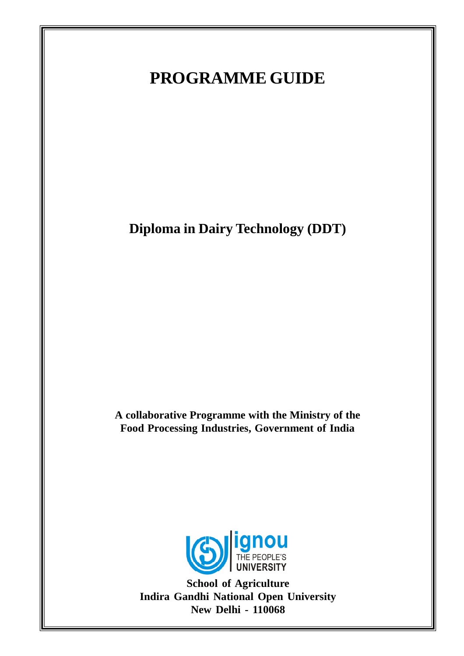## **PROGRAMME GUIDE**

**Diploma in Dairy Technology (DDT)**

**A collaborative Programme with the Ministry of the Food Processing Industries, Government of India**



**School of Agriculture Indira Gandhi National Open University New Delhi - 110068**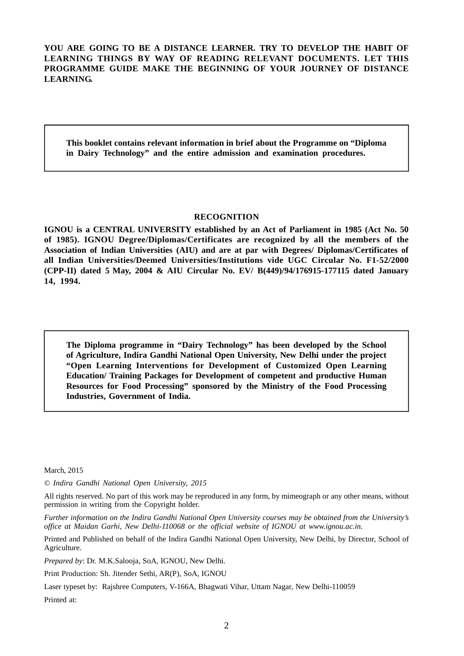**YOU ARE GOING TO BE A DISTANCE LEARNER. TRY TO DEVELOP THE HABIT OF LEARNING THINGS BY WAY OF READING RELEVANT DOCUMENTS. LET THIS PROGRAMME GUIDE MAKE THE BEGINNING OF YOUR JOURNEY OF DISTANCE LEARNING.**

**This booklet contains relevant information in brief about the Programme on "Diploma in Dairy Technology" and the entire admission and examination procedures.**

#### **RECOGNITION**

**IGNOU is a CENTRAL UNIVERSITY established by an Act of Parliament in 1985 (Act No. 50 of 1985). IGNOU Degree/Diplomas/Certificates are recognized by all the members of the Association of Indian Universities (AIU) and are at par with Degrees/ Diplomas/Certificates of all Indian Universities/Deemed Universities/Institutions vide UGC Circular No. F1-52/2000 (CPP-II) dated 5 May, 2004 & AIU Circular No. EV/ B(449)/94/176915-177115 dated January 14, 1994.**

**The Diploma programme in "Dairy Technology" has been developed by the School of Agriculture, Indira Gandhi National Open University, New Delhi under the project "Open Learning Interventions for Development of Customized Open Learning Education/ Training Packages for Development of competent and productive Human Resources for Food Processing" sponsored by the Ministry of the Food Processing Industries, Government of India.**

March, 2015

*© Indira Gandhi National Open University, 2015*

All rights reserved. No part of this work may be reproduced in any form, by mimeograph or any other means, without permission in writing from the Copyright holder.

*Further information on the Indira Gandhi National Open University courses may be obtained from the University's office at Maidan Garhi, New Delhi-110068 or the official website of IGNOU at www.ignou.ac.in.*

Printed and Published on behalf of the Indira Gandhi National Open University, New Delhi, by Director, School of Agriculture.

*Prepared by*: Dr. M.K.Salooja, SoA, IGNOU, New Delhi.

Print Production: Sh. Jitender Sethi, AR(P), SoA, IGNOU

Laser typeset by: Rajshree Computers, V-166A, Bhagwati Vihar, Uttam Nagar, New Delhi-110059

Printed at: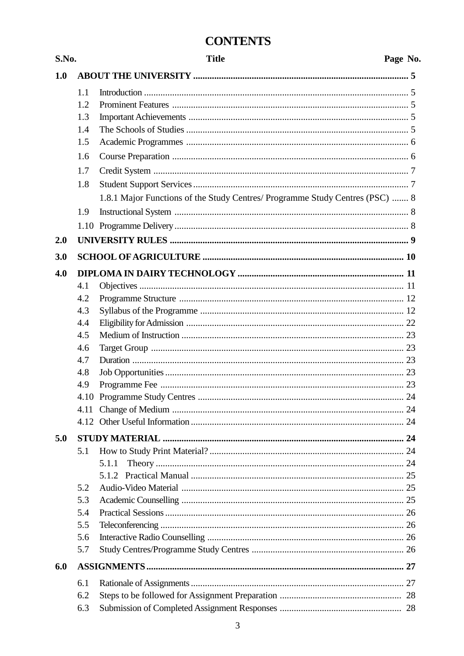## **CONTENTS**

| S.No. |            | <b>Title</b>                                                                 | Page No. |
|-------|------------|------------------------------------------------------------------------------|----------|
| 1.0   |            |                                                                              |          |
|       | 1.1        |                                                                              |          |
|       | 1.2        |                                                                              |          |
|       | 1.3        |                                                                              |          |
|       | 1.4        |                                                                              |          |
|       | 1.5        |                                                                              |          |
|       | 1.6        |                                                                              |          |
|       | 1.7        |                                                                              |          |
|       | 1.8        |                                                                              |          |
|       |            | 1.8.1 Major Functions of the Study Centres/ Programme Study Centres (PSC)  8 |          |
|       | 1.9        |                                                                              |          |
|       |            |                                                                              |          |
| 2.0   |            |                                                                              |          |
| 3.0   |            |                                                                              |          |
| 4.0   |            |                                                                              |          |
|       | 4.1        |                                                                              |          |
|       | 4.2        |                                                                              |          |
|       | 4.3        |                                                                              |          |
|       | 4.4        |                                                                              |          |
|       | 4.5        |                                                                              |          |
|       | 4.6        |                                                                              |          |
|       | 4.7        |                                                                              |          |
|       | 4.8        |                                                                              |          |
|       | 4.9        |                                                                              |          |
|       |            |                                                                              |          |
|       |            |                                                                              |          |
|       |            |                                                                              |          |
| 5.0   |            |                                                                              |          |
|       | 5.1        |                                                                              |          |
|       |            | 5.1.1                                                                        |          |
|       |            |                                                                              |          |
|       | 5.2        |                                                                              |          |
|       | 5.3<br>5.4 |                                                                              |          |
|       | 5.5        |                                                                              |          |
|       | 5.6        |                                                                              |          |
|       | 5.7        |                                                                              |          |
| 6.0   |            |                                                                              |          |
|       | 6.1        |                                                                              |          |
|       | 6.2        |                                                                              |          |
|       | 6.3        |                                                                              |          |
|       |            |                                                                              |          |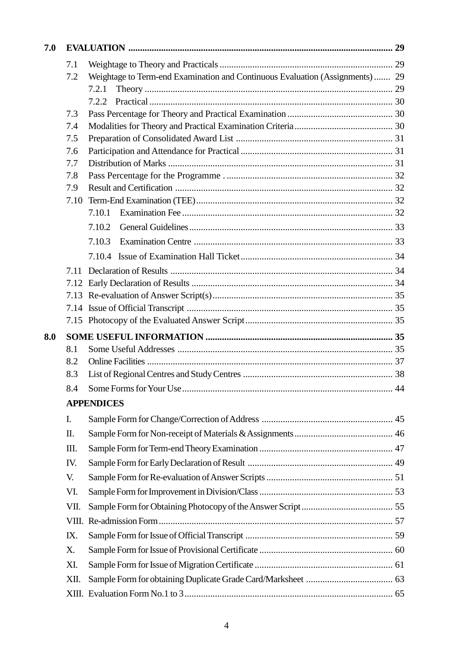| 7.0 |            |                                                                               |  |
|-----|------------|-------------------------------------------------------------------------------|--|
|     | 7.1        |                                                                               |  |
|     | 7.2        | Weightage to Term-end Examination and Continuous Evaluation (Assignments)  29 |  |
|     |            | 7.2.1                                                                         |  |
|     |            |                                                                               |  |
|     | 7.3        |                                                                               |  |
|     | 7.4        |                                                                               |  |
|     | 7.5        |                                                                               |  |
|     | 7.6        |                                                                               |  |
|     | 7.7        |                                                                               |  |
|     | 7.8<br>7.9 |                                                                               |  |
|     | 7.10       |                                                                               |  |
|     |            | 7.10.1                                                                        |  |
|     |            | 7.10.2                                                                        |  |
|     |            | 7.10.3                                                                        |  |
|     |            | 7.10.4                                                                        |  |
|     |            |                                                                               |  |
|     |            |                                                                               |  |
|     |            |                                                                               |  |
|     |            |                                                                               |  |
|     |            |                                                                               |  |
| 8.0 |            |                                                                               |  |
|     | 8.1        |                                                                               |  |
|     | 8.2        |                                                                               |  |
|     | 8.3        |                                                                               |  |
|     | 8.4        |                                                                               |  |
|     |            | <b>APPENDICES</b>                                                             |  |
|     | I.         |                                                                               |  |
|     | Π.         |                                                                               |  |
|     | III.       |                                                                               |  |
|     | IV.        |                                                                               |  |
|     | V.         |                                                                               |  |
|     | VI.        |                                                                               |  |
|     | VII.       |                                                                               |  |
|     | VIII.      |                                                                               |  |
|     | IX.        |                                                                               |  |
|     | X.         |                                                                               |  |
|     | XI.        |                                                                               |  |
|     | XII.       |                                                                               |  |
|     |            |                                                                               |  |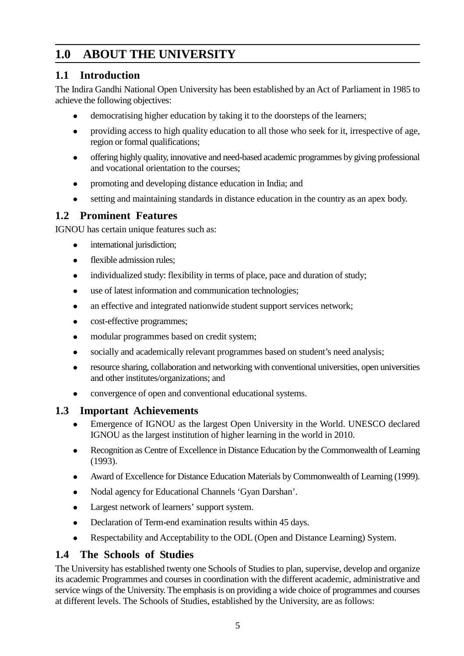## **1.0 ABOUT THE UNIVERSITY**

## **1.1 Introduction**

The Indira Gandhi National Open University has been established by an Act of Parliament in 1985 to achieve the following objectives:

- democratising higher education by taking it to the doorsteps of the learners;
- providing access to high quality education to all those who seek for it, irrespective of age, region or formal qualifications;
- offering highly quality, innovative and need-based academic programmes by giving professional and vocational orientation to the courses;
- promoting and developing distance education in India; and
- setting and maintaining standards in distance education in the country as an apex body.

## **1.2 Prominent Features**

IGNOU has certain unique features such as:

- international jurisdiction:
- flexible admission rules:
- individualized study: flexibility in terms of place, pace and duration of study;
- use of latest information and communication technologies;
- an effective and integrated nationwide student support services network;
- cost-effective programmes;
- modular programmes based on credit system;
- socially and academically relevant programmes based on student's need analysis;
- resource sharing, collaboration and networking with conventional universities, open universities and other institutes/organizations; and
- convergence of open and conventional educational systems.

## **1.3 Important Achievements**

- Emergence of IGNOU as the largest Open University in the World. UNESCO declared IGNOU as the largest institution of higher learning in the world in 2010.
- Recognition as Centre of Excellence in Distance Education by the Commonwealth of Learning (1993).
- Award of Excellence for Distance Education Materials by Commonwealth of Learning (1999).
- Nodal agency for Educational Channels 'Gyan Darshan'.
- Largest network of learners' support system.
- Declaration of Term-end examination results within 45 days.
- Respectability and Acceptability to the ODL (Open and Distance Learning) System.

## **1.4 The Schools of Studies**

The University has established twenty one Schools of Studies to plan, supervise, develop and organize its academic Programmes and courses in coordination with the different academic, administrative and service wings of the University. The emphasis is on providing a wide choice of programmes and courses at different levels. The Schools of Studies, established by the University, are as follows: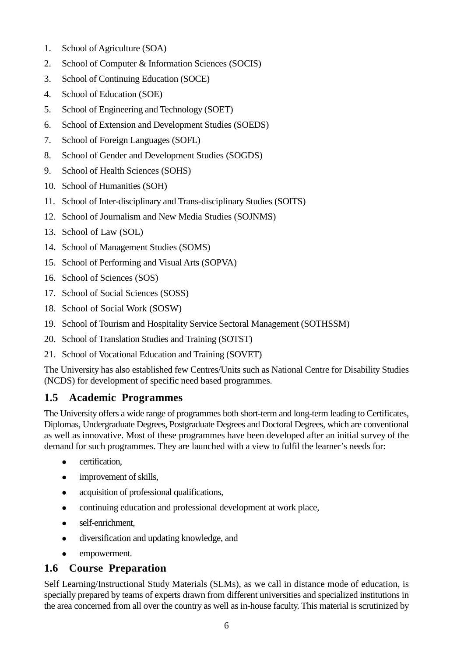- 1. School of Agriculture (SOA)
- 2. School of Computer & Information Sciences (SOCIS)
- 3. School of Continuing Education (SOCE)
- 4. School of Education (SOE)
- 5. School of Engineering and Technology (SOET)
- 6. School of Extension and Development Studies (SOEDS)
- 7. School of Foreign Languages (SOFL)
- 8. School of Gender and Development Studies (SOGDS)
- 9. School of Health Sciences (SOHS)
- 10. School of Humanities (SOH)
- 11. School of Inter-disciplinary and Trans-disciplinary Studies (SOITS)
- 12. School of Journalism and New Media Studies (SOJNMS)
- 13. School of Law (SOL)
- 14. School of Management Studies (SOMS)
- 15. School of Performing and Visual Arts (SOPVA)
- 16. School of Sciences (SOS)
- 17. School of Social Sciences (SOSS)
- 18. School of Social Work (SOSW)
- 19. School of Tourism and Hospitality Service Sectoral Management (SOTHSSM)
- 20. School of Translation Studies and Training (SOTST)
- 21. School of Vocational Education and Training (SOVET)

The University has also established few Centres/Units such as National Centre for Disability Studies (NCDS) for development of specific need based programmes.

#### **1.5 Academic Programmes**

The University offers a wide range of programmes both short-term and long-term leading to Certificates, Diplomas, Undergraduate Degrees, Postgraduate Degrees and Doctoral Degrees, which are conventional as well as innovative. Most of these programmes have been developed after an initial survey of the demand for such programmes. They are launched with a view to fulfil the learner's needs for:

- **•** certification.
- improvement of skills,
- acquisition of professional qualifications,
- continuing education and professional development at work place,
- self-enrichment,
- diversification and updating knowledge, and
- empowerment.

#### **1.6 Course Preparation**

Self Learning/Instructional Study Materials (SLMs), as we call in distance mode of education, is specially prepared by teams of experts drawn from different universities and specialized institutions in the area concerned from all over the country as well as in-house faculty. This material is scrutinized by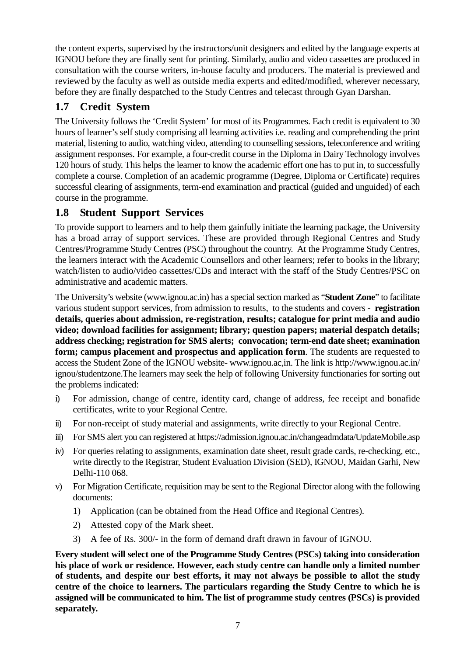the content experts, supervised by the instructors/unit designers and edited by the language experts at IGNOU before they are finally sent for printing. Similarly, audio and video cassettes are produced in consultation with the course writers, in-house faculty and producers. The material is previewed and reviewed by the faculty as well as outside media experts and edited/modified, wherever necessary, before they are finally despatched to the Study Centres and telecast through Gyan Darshan.

## **1.7 Credit System**

The University follows the 'Credit System' for most of its Programmes. Each credit is equivalent to 30 hours of learner's self study comprising all learning activities i.e. reading and comprehending the print material, listening to audio, watching video, attending to counselling sessions, teleconference and writing assignment responses. For example, a four-credit course in the Diploma in Dairy Technology involves 120 hours of study. This helps the learner to know the academic effort one has to put in, to successfully complete a course. Completion of an academic programme (Degree, Diploma or Certificate) requires successful clearing of assignments, term-end examination and practical (guided and unguided) of each course in the programme.

## **1.8 Student Support Services**

To provide support to learners and to help them gainfully initiate the learning package, the University has a broad array of support services. These are provided through Regional Centres and Study Centres/Programme Study Centres (PSC) throughout the country. At the Programme Study Centres, the learners interact with the Academic Counsellors and other learners; refer to books in the library; watch/listen to audio/video cassettes/CDs and interact with the staff of the Study Centres/PSC on administrative and academic matters.

The University's website (www.ignou.ac.in) has a special section marked as "**Student Zone**" to facilitate various student support services, from admission to results, to the students and covers - **registration details, queries about admission, re-registration, results; catalogue for print media and audio video; download facilities for assignment; library; question papers; material despatch details; address checking; registration for SMS alerts; convocation; term-end date sheet; examination form; campus placement and prospectus and application form**. The students are requested to access the Student Zone of the IGNOU website- www.ignou.ac,in. The link is http://www.ignou.ac.in/ ignou/studentzone.The learners may seek the help of following University functionaries for sorting out the problems indicated:

- i) For admission, change of centre, identity card, change of address, fee receipt and bonafide certificates, write to your Regional Centre.
- ii) For non-receipt of study material and assignments, write directly to your Regional Centre.
- iii) For SMS alert you can registered at https://admission.ignou.ac.in/changeadmdata/UpdateMobile.asp
- iv) For queries relating to assignments, examination date sheet, result grade cards, re-checking, etc., write directly to the Registrar, Student Evaluation Division (SED), IGNOU, Maidan Garhi, New Delhi-110 068.
- v) For Migration Certificate, requisition may be sent to the Regional Director along with the following documents:
	- 1) Application (can be obtained from the Head Office and Regional Centres).
	- 2) Attested copy of the Mark sheet.
	- 3) A fee of Rs. 300/- in the form of demand draft drawn in favour of IGNOU.

**Every student will select one of the Programme Study Centres (PSCs) taking into consideration his place of work or residence. However, each study centre can handle only a limited number of students, and despite our best efforts, it may not always be possible to allot the study centre of the choice to learners. The particulars regarding the Study Centre to which he is assigned will be communicated to him. The list of programme study centres (PSCs) is provided separately.**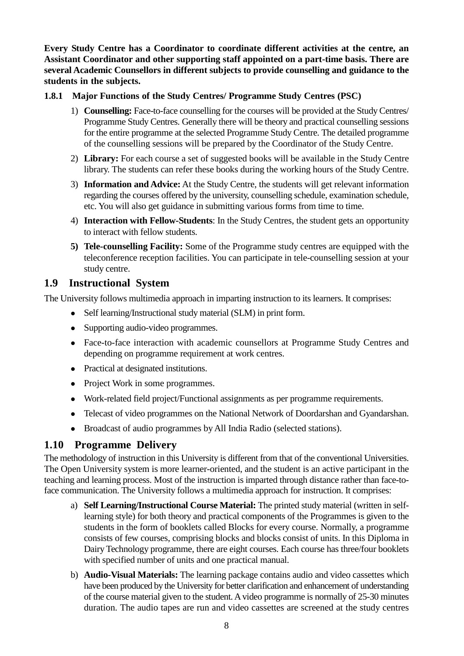**Every Study Centre has a Coordinator to coordinate different activities at the centre, an Assistant Coordinator and other supporting staff appointed on a part-time basis. There are several Academic Counsellors in different subjects to provide counselling and guidance to the students in the subjects.**

#### **1.8.1 Major Functions of the Study Centres/ Programme Study Centres (PSC)**

- 1) **Counselling:** Face-to-face counselling for the courses will be provided at the Study Centres/ Programme Study Centres. Generally there will be theory and practical counselling sessions for the entire programme at the selected Programme Study Centre. The detailed programme of the counselling sessions will be prepared by the Coordinator of the Study Centre.
- 2) **Library:** For each course a set of suggested books will be available in the Study Centre library. The students can refer these books during the working hours of the Study Centre.
- 3) **Information and Advice:** At the Study Centre, the students will get relevant information regarding the courses offered by the university, counselling schedule, examination schedule, etc. You will also get guidance in submitting various forms from time to time.
- 4) **Interaction with Fellow-Students**: In the Study Centres, the student gets an opportunity to interact with fellow students.
- **5) Tele-counselling Facility:** Some of the Programme study centres are equipped with the teleconference reception facilities. You can participate in tele-counselling session at your study centre.

#### **1.9 Instructional System**

The University follows multimedia approach in imparting instruction to its learners. It comprises:

- Self learning/Instructional study material (SLM) in print form.
- Supporting audio-video programmes.
- Face-to-face interaction with academic counsellors at Programme Study Centres and depending on programme requirement at work centres.
- Practical at designated institutions.
- Project Work in some programmes.
- Work-related field project/Functional assignments as per programme requirements.
- Telecast of video programmes on the National Network of Doordarshan and Gyandarshan.
- Broadcast of audio programmes by All India Radio (selected stations).

## **1.10 Programme Delivery**

The methodology of instruction in this University is different from that of the conventional Universities. The Open University system is more learner-oriented, and the student is an active participant in the teaching and learning process. Most of the instruction is imparted through distance rather than face-toface communication. The University follows a multimedia approach for instruction. It comprises:

- a) **Self Learning/Instructional Course Material:** The printed study material (written in selflearning style) for both theory and practical components of the Programmes is given to the students in the form of booklets called Blocks for every course. Normally, a programme consists of few courses, comprising blocks and blocks consist of units. In this Diploma in Dairy Technology programme, there are eight courses. Each course has three/four booklets with specified number of units and one practical manual.
- b) **Audio-Visual Materials:** The learning package contains audio and video cassettes which have been produced by the University for better clarification and enhancement of understanding of the course material given to the student. A video programme is normally of 25-30 minutes duration. The audio tapes are run and video cassettes are screened at the study centres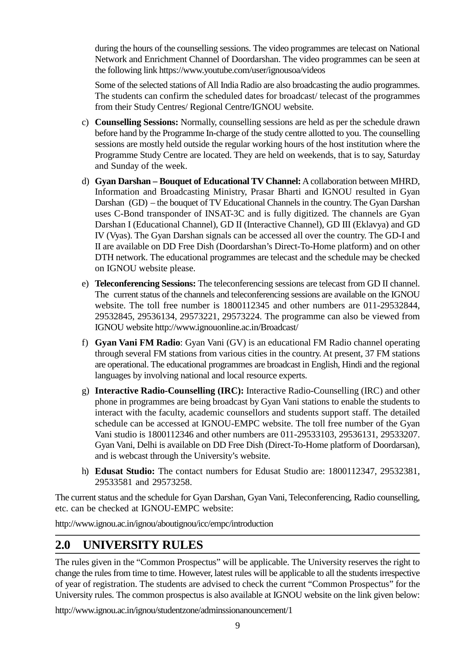during the hours of the counselling sessions. The video programmes are telecast on National Network and Enrichment Channel of Doordarshan. The video programmes can be seen at the following link https://www.youtube.com/user/ignousoa/videos

Some of the selected stations of All India Radio are also broadcasting the audio programmes. The students can confirm the scheduled dates for broadcast/ telecast of the programmes from their Study Centres/ Regional Centre/IGNOU website.

- c) **Counselling Sessions:** Normally, counselling sessions are held as per the schedule drawn before hand by the Programme In-charge of the study centre allotted to you. The counselling sessions are mostly held outside the regular working hours of the host institution where the Programme Study Centre are located. They are held on weekends, that is to say, Saturday and Sunday of the week.
- d) **Gyan Darshan Bouquet of Educational TV Channel:** A collaboration between MHRD, Information and Broadcasting Ministry, Prasar Bharti and IGNOU resulted in Gyan Darshan (GD) – the bouquet of TV Educational Channels in the country. The Gyan Darshan uses C-Bond transponder of INSAT-3C and is fully digitized. The channels are Gyan Darshan I (Educational Channel), GD II (Interactive Channel), GD III (Eklavya) and GD IV (Vyas). The Gyan Darshan signals can be accessed all over the country. The GD-I and II are available on DD Free Dish (Doordarshan's Direct-To-Home platform) and on other DTH network. The educational programmes are telecast and the schedule may be checked on IGNOU website please.
- e) **Teleconferencing Sessions:** The teleconferencing sessions are telecast from GD II channel. The current status of the channels and teleconferencing sessions are available on the IGNOU website. The toll free number is 1800112345 and other numbers are 011-29532844, 29532845, 29536134, 29573221, 29573224. The programme can also be viewed from IGNOU website http://www.ignouonline.ac.in/Broadcast/
- f) **Gyan Vani FM Radio**: Gyan Vani (GV) is an educational FM Radio channel operating through several FM stations from various cities in the country. At present, 37 FM stations are operational. The educational programmes are broadcast in English, Hindi and the regional languages by involving national and local resource experts.
- g) **Interactive Radio-Counselling (IRC):** Interactive Radio-Counselling (IRC) and other phone in programmes are being broadcast by Gyan Vani stations to enable the students to interact with the faculty, academic counsellors and students support staff. The detailed schedule can be accessed at IGNOU-EMPC website. The toll free number of the Gyan Vani studio is 1800112346 and other numbers are 011-29533103, 29536131, 29533207. Gyan Vani, Delhi is available on DD Free Dish (Direct-To-Home platform of Doordarsan), and is webcast through the University's website.
- h) **Edusat Studio:** The contact numbers for Edusat Studio are: 1800112347, 29532381, 29533581 and 29573258.

The current status and the schedule for Gyan Darshan, Gyan Vani, Teleconferencing, Radio counselling, etc. can be checked at IGNOU-EMPC website:

http://www.ignou.ac.in/ignou/aboutignou/icc/empc/introduction

## **2.0 UNIVERSITY RULES**

The rules given in the "Common Prospectus" will be applicable. The University reserves the right to change the rules from time to time. However, latest rules will be applicable to all the students irrespective of year of registration. The students are advised to check the current "Common Prospectus" for the University rules. The common prospectus is also available at IGNOU website on the link given below:

http://www.ignou.ac.in/ignou/studentzone/adminssionanouncement/1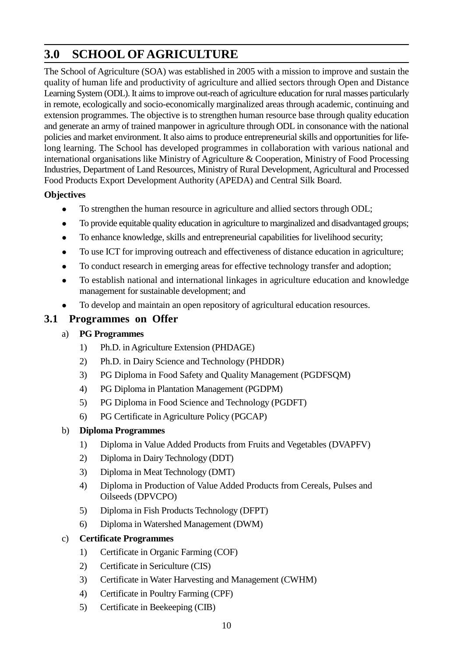## **3.0 SCHOOL OF AGRICULTURE**

The School of Agriculture (SOA) was established in 2005 with a mission to improve and sustain the quality of human life and productivity of agriculture and allied sectors through Open and Distance Learning System (ODL). It aims to improve out-reach of agriculture education for rural masses particularly in remote, ecologically and socio-economically marginalized areas through academic, continuing and extension programmes. The objective is to strengthen human resource base through quality education and generate an army of trained manpower in agriculture through ODL in consonance with the national policies and market environment. It also aims to produce entrepreneurial skills and opportunities for lifelong learning. The School has developed programmes in collaboration with various national and international organisations like Ministry of Agriculture & Cooperation, Ministry of Food Processing Industries, Department of Land Resources, Ministry of Rural Development, Agricultural and Processed Food Products Export Development Authority (APEDA) and Central Silk Board.

#### **Objectives**

- To strengthen the human resource in agriculture and allied sectors through ODL;
- To provide equitable quality education in agriculture to marginalized and disadvantaged groups;
- To enhance knowledge, skills and entrepreneurial capabilities for livelihood security;
- To use ICT for improving outreach and effectiveness of distance education in agriculture;
- To conduct research in emerging areas for effective technology transfer and adoption;
- To establish national and international linkages in agriculture education and knowledge management for sustainable development; and
- To develop and maintain an open repository of agricultural education resources.

#### **3.1 Programmes on Offer**

#### a) **PG Programmes**

- 1) Ph.D. in Agriculture Extension (PHDAGE)
- 2) Ph.D. in Dairy Science and Technology (PHDDR)
- 3) PG Diploma in Food Safety and Quality Management (PGDFSQM)
- 4) PG Diploma in Plantation Management (PGDPM)
- 5) PG Diploma in Food Science and Technology (PGDFT)
- 6) PG Certificate in Agriculture Policy (PGCAP)

#### b) **Diploma Programmes**

- 1) Diploma in Value Added Products from Fruits and Vegetables (DVAPFV)
- 2) Diploma in Dairy Technology (DDT)
- 3) Diploma in Meat Technology (DMT)
- 4) Diploma in Production of Value Added Products from Cereals, Pulses and Oilseeds (DPVCPO)
- 5) Diploma in Fish Products Technology (DFPT)
- 6) Diploma in Watershed Management (DWM)

#### c) **Certificate Programmes**

- 1) Certificate in Organic Farming (COF)
- 2) Certificate in Sericulture (CIS)
- 3) Certificate in Water Harvesting and Management (CWHM)
- 4) Certificate in Poultry Farming (CPF)
- 5) Certificate in Beekeeping (CIB)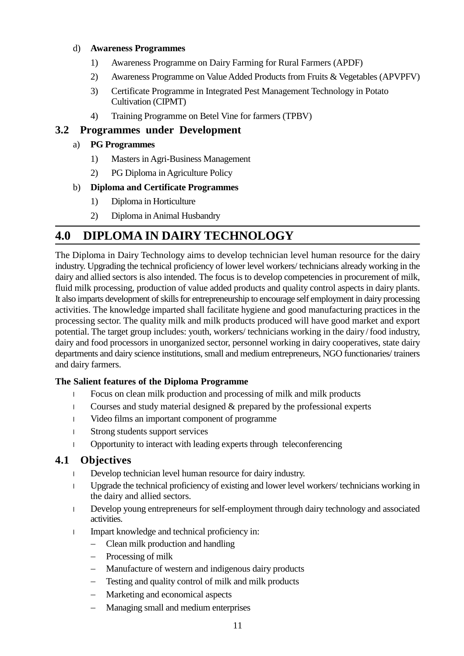#### d) **Awareness Programmes**

- 1) Awareness Programme on Dairy Farming for Rural Farmers (APDF)
- 2) Awareness Programme on Value Added Products from Fruits & Vegetables (APVPFV)
- 3) Certificate Programme in Integrated Pest Management Technology in Potato Cultivation (CIPMT)
- 4) Training Programme on Betel Vine for farmers (TPBV)

#### **3.2 Programmes under Development**

#### a) **PG Programmes**

- 1) Masters in Agri-Business Management
- 2) PG Diploma in Agriculture Policy

#### b) **Diploma and Certificate Programmes**

- 1) Diploma in Horticulture
- 2) Diploma in Animal Husbandry

## **4.0 DIPLOMA IN DAIRY TECHNOLOGY**

The Diploma in Dairy Technology aims to develop technician level human resource for the dairy industry. Upgrading the technical proficiency of lower level workers/ technicians already working in the dairy and allied sectors is also intended. The focus is to develop competencies in procurement of milk, fluid milk processing, production of value added products and quality control aspects in dairy plants. It also imparts development of skills for entrepreneurship to encourage self employment in dairy processing activities. The knowledge imparted shall facilitate hygiene and good manufacturing practices in the processing sector. The quality milk and milk products produced will have good market and export potential. The target group includes: youth, workers/ technicians working in the dairy/food industry, dairy and food processors in unorganized sector, personnel working in dairy cooperatives, state dairy departments and dairy science institutions, small and medium entrepreneurs, NGO functionaries/ trainers and dairy farmers.

#### **The Salient features of the Diploma Programme**

Focus on clean milk production and processing of milk and milk products

Courses and study material designed & prepared by the professional experts

Video films an important component of programme

Strong students support services

Opportunity to interact with leading experts through teleconferencing

#### **4.1 Objectives**

Develop technician level human resource for dairy industry.

Upgrade the technical proficiency of existing and lower level workers/ technicians working in the dairy and allied sectors.

Develop young entrepreneurs for self-employment through dairy technology and associated activities.

Impart knowledge and technical proficiency in:

- Clean milk production and handling
- $-$  Processing of milk
- Manufacture of western and indigenous dairy products
- Testing and quality control of milk and milk products
- Marketing and economical aspects
- Managing small and medium enterprises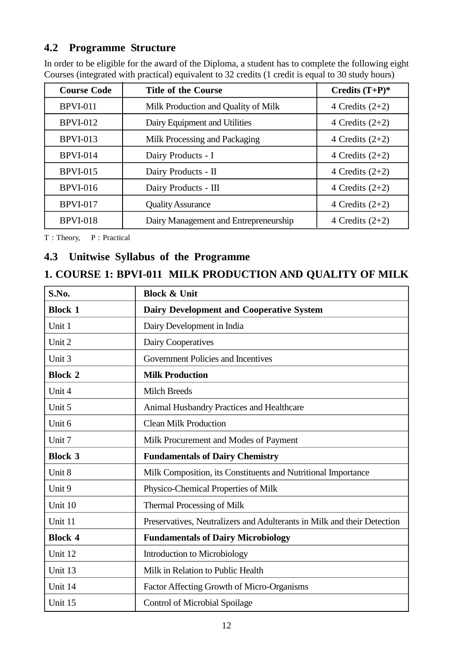## **4.2 Programme Structure**

In order to be eligible for the award of the Diploma, a student has to complete the following eight Courses (integrated with practical) equivalent to 32 credits (1 credit is equal to 30 study hours)

| <b>Course Code</b> | <b>Title of the Course</b>            | Credits $(T+P)^*$ |
|--------------------|---------------------------------------|-------------------|
| <b>BPVI-011</b>    | Milk Production and Quality of Milk   | 4 Credits $(2+2)$ |
| <b>BPVI-012</b>    | Dairy Equipment and Utilities         | 4 Credits $(2+2)$ |
| <b>BPVI-013</b>    | Milk Processing and Packaging         | 4 Credits $(2+2)$ |
| <b>BPVI-014</b>    | Dairy Products - I                    | 4 Credits $(2+2)$ |
| <b>BPVI-015</b>    | Dairy Products - II                   | 4 Credits $(2+2)$ |
| <b>BPVI-016</b>    | Dairy Products - III                  | 4 Credits $(2+2)$ |
| <b>BPVI-017</b>    | <b>Quality Assurance</b>              | 4 Credits $(2+2)$ |
| <b>BPVI-018</b>    | Dairy Management and Entrepreneurship | 4 Credits $(2+2)$ |

T : Theory, P : Practical

## **4.3 Unitwise Syllabus of the Programme**

## **1. COURSE 1: BPVI-011 MILK PRODUCTION AND QUALITY OF MILK**

| S.No.          | <b>Block &amp; Unit</b>                                                 |
|----------------|-------------------------------------------------------------------------|
| <b>Block 1</b> | Dairy Development and Cooperative System                                |
| Unit 1         | Dairy Development in India                                              |
| Unit 2         | Dairy Cooperatives                                                      |
| Unit 3         | Government Policies and Incentives                                      |
| <b>Block 2</b> | <b>Milk Production</b>                                                  |
| Unit 4         | <b>Milch Breeds</b>                                                     |
| Unit 5         | Animal Husbandry Practices and Healthcare                               |
| Unit 6         | <b>Clean Milk Production</b>                                            |
| Unit 7         | Milk Procurement and Modes of Payment                                   |
|                |                                                                         |
| <b>Block 3</b> | <b>Fundamentals of Dairy Chemistry</b>                                  |
| Unit 8         | Milk Composition, its Constituents and Nutritional Importance           |
| Unit 9         | Physico-Chemical Properties of Milk                                     |
| Unit 10        | <b>Thermal Processing of Milk</b>                                       |
| Unit 11        | Preservatives, Neutralizers and Adulterants in Milk and their Detection |
| <b>Block 4</b> | <b>Fundamentals of Dairy Microbiology</b>                               |
| Unit 12        | Introduction to Microbiology                                            |
| Unit 13        | Milk in Relation to Public Health                                       |
| Unit 14        | Factor Affecting Growth of Micro-Organisms                              |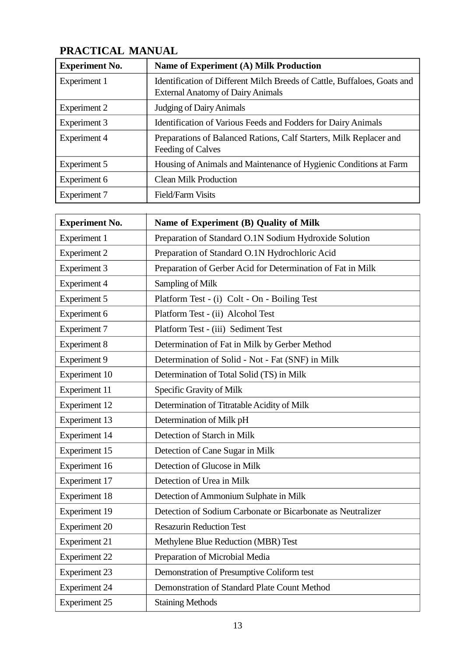| <b>Experiment No.</b> | Name of Experiment (A) Milk Production                                                                               |
|-----------------------|----------------------------------------------------------------------------------------------------------------------|
| Experiment 1          | Identification of Different Milch Breeds of Cattle, Buffaloes, Goats and<br><b>External Anatomy of Dairy Animals</b> |
| Experiment 2          | <b>Judging of Dairy Animals</b>                                                                                      |
| Experiment 3          | Identification of Various Feeds and Fodders for Dairy Animals                                                        |
| Experiment 4          | Preparations of Balanced Rations, Calf Starters, Milk Replacer and<br>Feeding of Calves                              |
| Experiment 5          | Housing of Animals and Maintenance of Hygienic Conditions at Farm                                                    |
| Experiment 6          | <b>Clean Milk Production</b>                                                                                         |
| Experiment 7          | Field/Farm Visits                                                                                                    |

| <b>Experiment No.</b> | Name of Experiment (B) Quality of Milk                      |
|-----------------------|-------------------------------------------------------------|
| <b>Experiment 1</b>   | Preparation of Standard O.1N Sodium Hydroxide Solution      |
| <b>Experiment 2</b>   | Preparation of Standard O.1N Hydrochloric Acid              |
| <b>Experiment 3</b>   | Preparation of Gerber Acid for Determination of Fat in Milk |
| <b>Experiment 4</b>   | Sampling of Milk                                            |
| <b>Experiment 5</b>   | Platform Test - (i) Colt - On - Boiling Test                |
| Experiment 6          | Platform Test - (ii) Alcohol Test                           |
| <b>Experiment 7</b>   | Platform Test - (iii) Sediment Test                         |
| <b>Experiment 8</b>   | Determination of Fat in Milk by Gerber Method               |
| <b>Experiment 9</b>   | Determination of Solid - Not - Fat (SNF) in Milk            |
| Experiment 10         | Determination of Total Solid (TS) in Milk                   |
| Experiment 11         | Specific Gravity of Milk                                    |
| <b>Experiment 12</b>  | Determination of Titratable Acidity of Milk                 |
| Experiment 13         | Determination of Milk pH                                    |
| Experiment 14         | Detection of Starch in Milk                                 |
| Experiment 15         | Detection of Cane Sugar in Milk                             |
| Experiment 16         | Detection of Glucose in Milk                                |
| <b>Experiment 17</b>  | Detection of Urea in Milk                                   |
| <b>Experiment 18</b>  | Detection of Ammonium Sulphate in Milk                      |
| <b>Experiment 19</b>  | Detection of Sodium Carbonate or Bicarbonate as Neutralizer |
| <b>Experiment 20</b>  | <b>Resazurin Reduction Test</b>                             |
| <b>Experiment 21</b>  | Methylene Blue Reduction (MBR) Test                         |
| <b>Experiment 22</b>  | Preparation of Microbial Media                              |
| <b>Experiment 23</b>  | Demonstration of Presumptive Coliform test                  |
| <b>Experiment 24</b>  | Demonstration of Standard Plate Count Method                |
| <b>Experiment 25</b>  | <b>Staining Methods</b>                                     |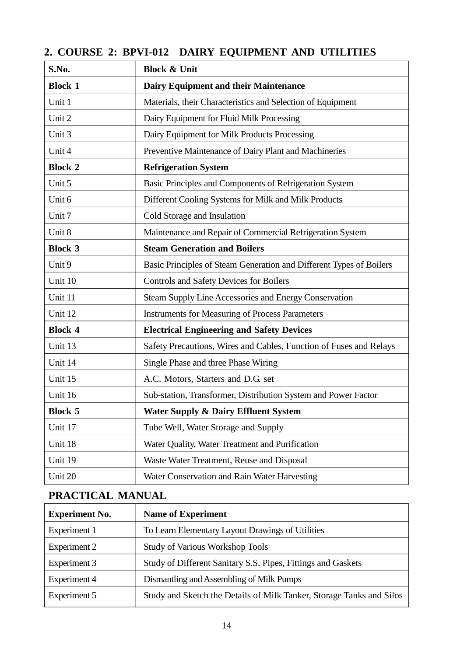## **2. COURSE 2: BPVI-012 DAIRY EQUIPMENT AND UTILITIES**

| S.No.          | <b>Block &amp; Unit</b>                                             |
|----------------|---------------------------------------------------------------------|
| <b>Block 1</b> | Dairy Equipment and their Maintenance                               |
| Unit 1         | Materials, their Characteristics and Selection of Equipment         |
| Unit 2         | Dairy Equipment for Fluid Milk Processing                           |
| Unit 3         | Dairy Equipment for Milk Products Processing                        |
| Unit 4         | Preventive Maintenance of Dairy Plant and Machineries               |
| <b>Block 2</b> | <b>Refrigeration System</b>                                         |
| Unit 5         | Basic Principles and Components of Refrigeration System             |
| Unit 6         | Different Cooling Systems for Milk and Milk Products                |
| Unit 7         | Cold Storage and Insulation                                         |
| Unit 8         | Maintenance and Repair of Commercial Refrigeration System           |
| <b>Block 3</b> | <b>Steam Generation and Boilers</b>                                 |
| Unit 9         | Basic Principles of Steam Generation and Different Types of Boilers |
| Unit 10        | <b>Controls and Safety Devices for Boilers</b>                      |
| Unit 11        | Steam Supply Line Accessories and Energy Conservation               |
| Unit 12        | <b>Instruments for Measuring of Process Parameters</b>              |
| <b>Block 4</b> | <b>Electrical Engineering and Safety Devices</b>                    |
| Unit 13        | Safety Precautions, Wires and Cables, Function of Fuses and Relays  |
| Unit 14        | Single Phase and three Phase Wiring                                 |
| Unit 15        | A.C. Motors, Starters and D.G. set                                  |
| Unit 16        | Sub-station, Transformer, Distribution System and Power Factor      |
| <b>Block 5</b> | <b>Water Supply &amp; Dairy Effluent System</b>                     |
| Unit 17        | Tube Well, Water Storage and Supply                                 |
| Unit 18        | Water Quality, Water Treatment and Purification                     |
| Unit 19        | Waste Water Treatment, Reuse and Disposal                           |
| Unit 20        | Water Conservation and Rain Water Harvesting                        |

## **PRACTICAL MANUAL**

| <b>Experiment No.</b> | <b>Name of Experiment</b>                                            |
|-----------------------|----------------------------------------------------------------------|
| Experiment 1          | To Learn Elementary Layout Drawings of Utilities                     |
| Experiment 2          | <b>Study of Various Workshop Tools</b>                               |
| Experiment 3          | Study of Different Sanitary S.S. Pipes, Fittings and Gaskets         |
| <b>Experiment 4</b>   | Dismantling and Assembling of Milk Pumps                             |
| Experiment 5          | Study and Sketch the Details of Milk Tanker, Storage Tanks and Silos |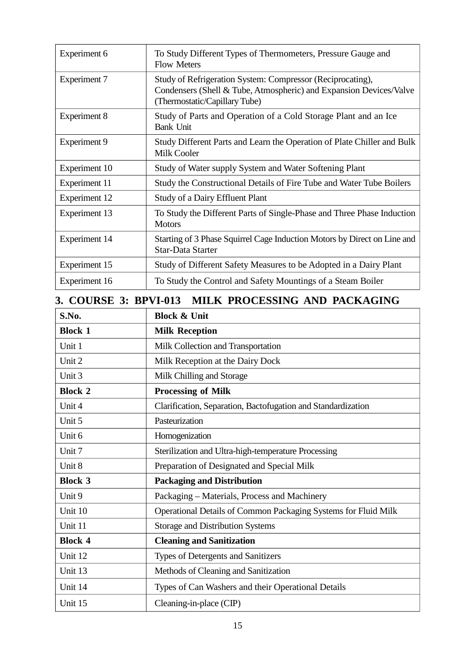| Experiment 6         | To Study Different Types of Thermometers, Pressure Gauge and<br><b>Flow Meters</b>                                                                                |
|----------------------|-------------------------------------------------------------------------------------------------------------------------------------------------------------------|
| Experiment 7         | Study of Refrigeration System: Compressor (Reciprocating),<br>Condensers (Shell & Tube, Atmospheric) and Expansion Devices/Valve<br>(Thermostatic/Capillary Tube) |
| Experiment 8         | Study of Parts and Operation of a Cold Storage Plant and an Ice<br><b>Bank Unit</b>                                                                               |
| <b>Experiment 9</b>  | Study Different Parts and Learn the Operation of Plate Chiller and Bulk<br>Milk Cooler                                                                            |
| <b>Experiment 10</b> | Study of Water supply System and Water Softening Plant                                                                                                            |
| Experiment 11        | Study the Constructional Details of Fire Tube and Water Tube Boilers                                                                                              |
| <b>Experiment 12</b> | <b>Study of a Dairy Effluent Plant</b>                                                                                                                            |
| <b>Experiment 13</b> | To Study the Different Parts of Single-Phase and Three Phase Induction<br><b>Motors</b>                                                                           |
| Experiment 14        | Starting of 3 Phase Squirrel Cage Induction Motors by Direct on Line and<br><b>Star-Data Starter</b>                                                              |
| Experiment 15        | Study of Different Safety Measures to be Adopted in a Dairy Plant                                                                                                 |
| Experiment 16        | To Study the Control and Safety Mountings of a Steam Boiler                                                                                                       |

## **3. COURSE 3: BPVI-013 MILK PROCESSING AND PACKAGING**

| S.No.          | <b>Block &amp; Unit</b>                                        |
|----------------|----------------------------------------------------------------|
| <b>Block 1</b> | <b>Milk Reception</b>                                          |
| Unit 1         | Milk Collection and Transportation                             |
| Unit 2         | Milk Reception at the Dairy Dock                               |
| Unit 3         | Milk Chilling and Storage                                      |
| <b>Block 2</b> | <b>Processing of Milk</b>                                      |
| Unit 4         | Clarification, Separation, Bactofugation and Standardization   |
| Unit 5         | Pasteurization                                                 |
| Unit 6         | Homogenization                                                 |
| Unit 7         | Sterilization and Ultra-high-temperature Processing            |
| Unit 8         | Preparation of Designated and Special Milk                     |
| <b>Block 3</b> | <b>Packaging and Distribution</b>                              |
| Unit 9         | Packaging - Materials, Process and Machinery                   |
| Unit 10        | Operational Details of Common Packaging Systems for Fluid Milk |
| Unit 11        | <b>Storage and Distribution Systems</b>                        |
| <b>Block 4</b> | <b>Cleaning and Sanitization</b>                               |
| Unit 12        | Types of Detergents and Sanitizers                             |
| Unit 13        | Methods of Cleaning and Sanitization                           |
| Unit 14        | Types of Can Washers and their Operational Details             |
| Unit 15        | Cleaning-in-place (CIP)                                        |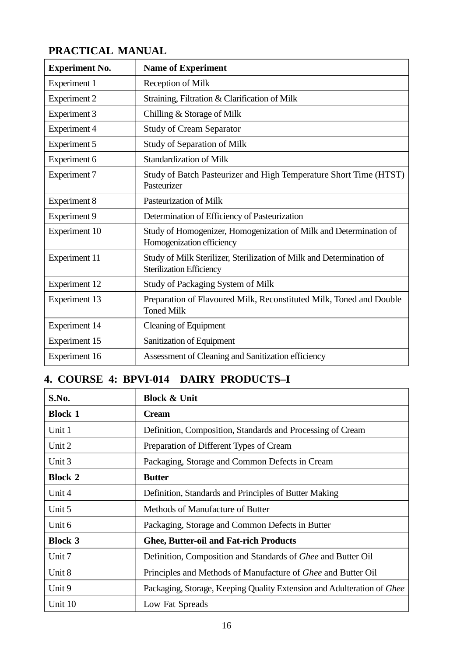| <b>Experiment No.</b> | <b>Name of Experiment</b>                                                                               |
|-----------------------|---------------------------------------------------------------------------------------------------------|
| <b>Experiment 1</b>   | <b>Reception of Milk</b>                                                                                |
| <b>Experiment 2</b>   | Straining, Filtration & Clarification of Milk                                                           |
| <b>Experiment 3</b>   | Chilling & Storage of Milk                                                                              |
| <b>Experiment 4</b>   | <b>Study of Cream Separator</b>                                                                         |
| <b>Experiment 5</b>   | <b>Study of Separation of Milk</b>                                                                      |
| Experiment 6          | <b>Standardization of Milk</b>                                                                          |
| <b>Experiment 7</b>   | Study of Batch Pasteurizer and High Temperature Short Time (HTST)<br>Pasteurizer                        |
| <b>Experiment 8</b>   | Pasteurization of Milk                                                                                  |
| <b>Experiment 9</b>   | Determination of Efficiency of Pasteurization                                                           |
| Experiment 10         | Study of Homogenizer, Homogenization of Milk and Determination of<br>Homogenization efficiency          |
| <b>Experiment 11</b>  | Study of Milk Sterilizer, Sterilization of Milk and Determination of<br><b>Sterilization Efficiency</b> |
| <b>Experiment 12</b>  | Study of Packaging System of Milk                                                                       |
| <b>Experiment 13</b>  | Preparation of Flavoured Milk, Reconstituted Milk, Toned and Double<br><b>Toned Milk</b>                |
| <b>Experiment 14</b>  | <b>Cleaning of Equipment</b>                                                                            |
| <b>Experiment 15</b>  | Sanitization of Equipment                                                                               |
| Experiment 16         | Assessment of Cleaning and Sanitization efficiency                                                      |

## **4. COURSE 4: BPVI-014 DAIRY PRODUCTS–I**

| S.No.          | <b>Block &amp; Unit</b>                                                |
|----------------|------------------------------------------------------------------------|
| <b>Block 1</b> | <b>Cream</b>                                                           |
| Unit 1         | Definition, Composition, Standards and Processing of Cream             |
| Unit 2         | Preparation of Different Types of Cream                                |
| Unit 3         | Packaging, Storage and Common Defects in Cream                         |
| <b>Block 2</b> | <b>Butter</b>                                                          |
| Unit 4         | Definition, Standards and Principles of Butter Making                  |
| Unit 5         | Methods of Manufacture of Butter                                       |
| Unit 6         | Packaging, Storage and Common Defects in Butter                        |
| <b>Block 3</b> | <b>Ghee, Butter-oil and Fat-rich Products</b>                          |
| Unit 7         | Definition, Composition and Standards of Ghee and Butter Oil           |
| Unit 8         | Principles and Methods of Manufacture of <i>Ghee</i> and Butter Oil    |
| Unit 9         | Packaging, Storage, Keeping Quality Extension and Adulteration of Ghee |
| Unit 10        | Low Fat Spreads                                                        |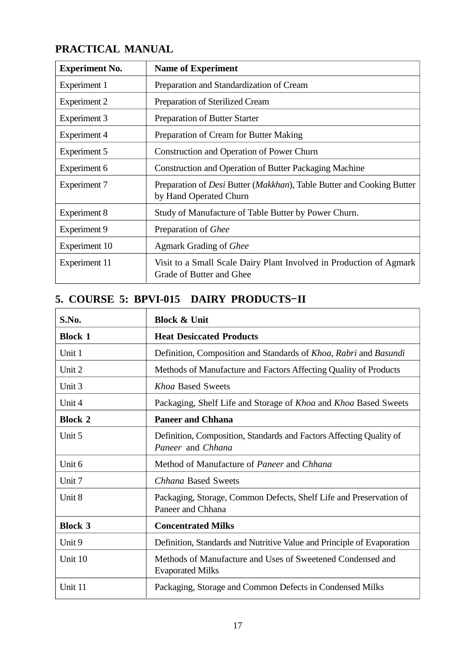| <b>Experiment No.</b> | <b>Name of Experiment</b>                                                                                       |
|-----------------------|-----------------------------------------------------------------------------------------------------------------|
| Experiment 1          | Preparation and Standardization of Cream                                                                        |
| Experiment 2          | Preparation of Sterilized Cream                                                                                 |
| Experiment 3          | Preparation of Butter Starter                                                                                   |
| Experiment 4          | Preparation of Cream for Butter Making                                                                          |
| Experiment 5          | Construction and Operation of Power Churn                                                                       |
| Experiment 6          | <b>Construction and Operation of Butter Packaging Machine</b>                                                   |
| Experiment 7          | Preparation of <i>Desi</i> Butter ( <i>Makkhan</i> ), Table Butter and Cooking Butter<br>by Hand Operated Churn |
| Experiment 8          | Study of Manufacture of Table Butter by Power Churn.                                                            |
| <b>Experiment 9</b>   | Preparation of <i>Ghee</i>                                                                                      |
| Experiment 10         | Agmark Grading of <i>Ghee</i>                                                                                   |
| Experiment 11         | Visit to a Small Scale Dairy Plant Involved in Production of Agmark<br>Grade of Butter and Ghee                 |

 $\overline{\phantom{a}}$ 

## **5. COURSE 5: BPVI-015 DAIRY PRODUCTS**–**II**

| S.No.          | <b>Block &amp; Unit</b>                                                                  |
|----------------|------------------------------------------------------------------------------------------|
| <b>Block 1</b> | <b>Heat Desiccated Products</b>                                                          |
| Unit 1         | Definition, Composition and Standards of Khoa, Rabri and Basundi                         |
| Unit 2         | Methods of Manufacture and Factors Affecting Quality of Products                         |
| Unit 3         | Khoa Based Sweets                                                                        |
| Unit 4         | Packaging, Shelf Life and Storage of Khoa and Khoa Based Sweets                          |
| <b>Block 2</b> | <b>Paneer and Chhana</b>                                                                 |
| Unit 5         | Definition, Composition, Standards and Factors Affecting Quality of<br>Paneer and Chhana |
| Unit 6         | Method of Manufacture of Paneer and Chhana                                               |
| Unit 7         | Chhana Based Sweets                                                                      |
| Unit 8         | Packaging, Storage, Common Defects, Shelf Life and Preservation of<br>Paneer and Chhana  |
| <b>Block 3</b> | <b>Concentrated Milks</b>                                                                |
| Unit 9         | Definition, Standards and Nutritive Value and Principle of Evaporation                   |
| Unit 10        | Methods of Manufacture and Uses of Sweetened Condensed and<br><b>Evaporated Milks</b>    |
| Unit 11        | Packaging, Storage and Common Defects in Condensed Milks                                 |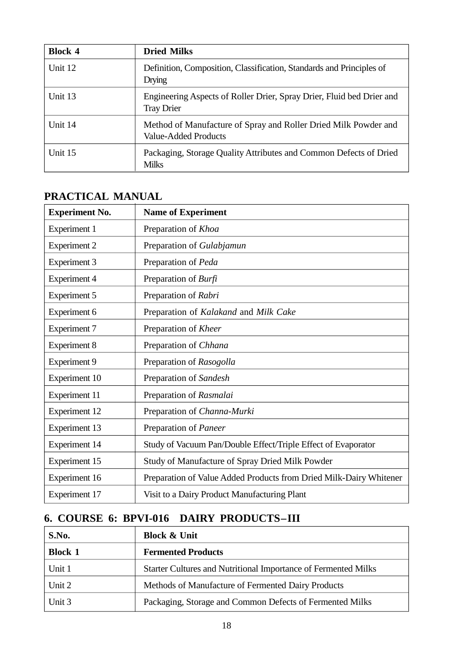| <b>Block 4</b> | <b>Dried Milks</b>                                                                             |
|----------------|------------------------------------------------------------------------------------------------|
| Unit 12        | Definition, Composition, Classification, Standards and Principles of<br>Drying                 |
| Unit 13        | Engineering Aspects of Roller Drier, Spray Drier, Fluid bed Drier and<br><b>Tray Drier</b>     |
| Unit 14        | Method of Manufacture of Spray and Roller Dried Milk Powder and<br><b>Value-Added Products</b> |
| Unit 15        | Packaging, Storage Quality Attributes and Common Defects of Dried<br><b>Milks</b>              |

| <b>Experiment No.</b> | <b>Name of Experiment</b>                                          |
|-----------------------|--------------------------------------------------------------------|
| <b>Experiment 1</b>   | Preparation of Khoa                                                |
| <b>Experiment 2</b>   | Preparation of Gulabjamun                                          |
| <b>Experiment 3</b>   | Preparation of Peda                                                |
| <b>Experiment 4</b>   | Preparation of <i>Burfi</i>                                        |
| <b>Experiment 5</b>   | Preparation of Rabri                                               |
| Experiment 6          | Preparation of Kalakand and Milk Cake                              |
| <b>Experiment 7</b>   | Preparation of Kheer                                               |
| <b>Experiment 8</b>   | Preparation of Chhana                                              |
| <b>Experiment 9</b>   | Preparation of Rasogolla                                           |
| <b>Experiment 10</b>  | Preparation of Sandesh                                             |
| <b>Experiment 11</b>  | Preparation of Rasmalai                                            |
| <b>Experiment 12</b>  | Preparation of Channa-Murki                                        |
| <b>Experiment 13</b>  | Preparation of Paneer                                              |
| <b>Experiment 14</b>  | Study of Vacuum Pan/Double Effect/Triple Effect of Evaporator      |
| <b>Experiment 15</b>  | Study of Manufacture of Spray Dried Milk Powder                    |
| Experiment 16         | Preparation of Value Added Products from Dried Milk-Dairy Whitener |
| <b>Experiment 17</b>  | Visit to a Dairy Product Manufacturing Plant                       |

## **6. COURSE 6: BPVI-016 DAIRY PRODUCTS–III**

| S.No.          | <b>Block &amp; Unit</b>                                        |
|----------------|----------------------------------------------------------------|
| <b>Block 1</b> | <b>Fermented Products</b>                                      |
| Unit 1         | Starter Cultures and Nutritional Importance of Fermented Milks |
| Unit 2         | Methods of Manufacture of Fermented Dairy Products             |
| Unit 3         | Packaging, Storage and Common Defects of Fermented Milks       |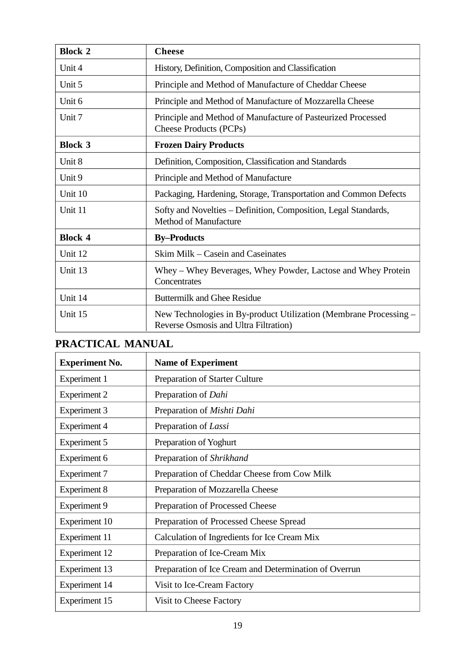| <b>Block 2</b> | <b>Cheese</b>                                                                                              |
|----------------|------------------------------------------------------------------------------------------------------------|
| Unit 4         | History, Definition, Composition and Classification                                                        |
| Unit 5         | Principle and Method of Manufacture of Cheddar Cheese                                                      |
| Unit 6         | Principle and Method of Manufacture of Mozzarella Cheese                                                   |
| Unit 7         | Principle and Method of Manufacture of Pasteurized Processed<br>Cheese Products (PCPs)                     |
| <b>Block 3</b> | <b>Frozen Dairy Products</b>                                                                               |
| Unit 8         | Definition, Composition, Classification and Standards                                                      |
| Unit 9         | Principle and Method of Manufacture                                                                        |
| Unit 10        | Packaging, Hardening, Storage, Transportation and Common Defects                                           |
| Unit 11        | Softy and Novelties – Definition, Composition, Legal Standards,<br>Method of Manufacture                   |
| <b>Block 4</b> | <b>By-Products</b>                                                                                         |
| Unit 12        | Skim Milk – Casein and Caseinates                                                                          |
| Unit 13        | Whey – Whey Beverages, Whey Powder, Lactose and Whey Protein<br>Concentrates                               |
| Unit 14        | <b>Buttermilk and Ghee Residue</b>                                                                         |
| Unit 15        | New Technologies in By-product Utilization (Membrane Processing –<br>Reverse Osmosis and Ultra Filtration) |

| <b>Experiment No.</b> | <b>Name of Experiment</b>                             |
|-----------------------|-------------------------------------------------------|
| Experiment 1          | Preparation of Starter Culture                        |
| <b>Experiment 2</b>   | Preparation of Dahi                                   |
| Experiment 3          | Preparation of Mishti Dahi                            |
| <b>Experiment 4</b>   | Preparation of Lassi                                  |
| <b>Experiment 5</b>   | Preparation of Yoghurt                                |
| Experiment 6          | Preparation of Shrikhand                              |
| <b>Experiment 7</b>   | Preparation of Cheddar Cheese from Cow Milk           |
| <b>Experiment 8</b>   | Preparation of Mozzarella Cheese                      |
| <b>Experiment 9</b>   | Preparation of Processed Cheese                       |
| <b>Experiment 10</b>  | Preparation of Processed Cheese Spread                |
| Experiment 11         | Calculation of Ingredients for Ice Cream Mix          |
| <b>Experiment 12</b>  | Preparation of Ice-Cream Mix                          |
| <b>Experiment 13</b>  | Preparation of Ice Cream and Determination of Overrun |
| <b>Experiment 14</b>  | Visit to Ice-Cream Factory                            |
| <b>Experiment 15</b>  | Visit to Cheese Factory                               |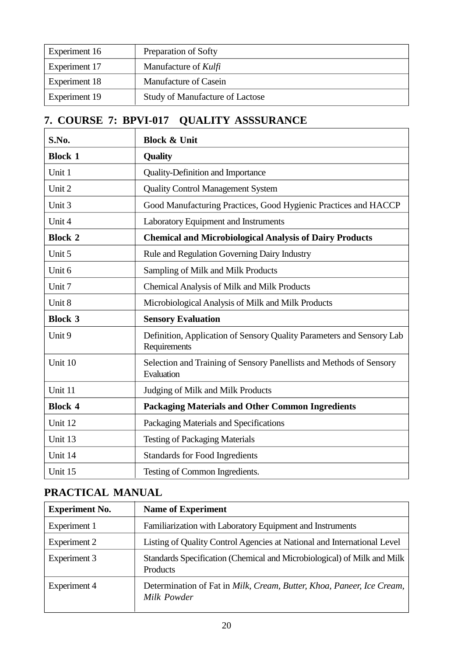| Experiment 16 | Preparation of Softy                   |
|---------------|----------------------------------------|
| Experiment 17 | Manufacture of Kulfi                   |
| Experiment 18 | Manufacture of Casein                  |
| Experiment 19 | <b>Study of Manufacture of Lactose</b> |

## **7. COURSE 7: BPVI-017 QUALITY ASSSURANCE**

| S.No.          | <b>Block &amp; Unit</b>                                                               |
|----------------|---------------------------------------------------------------------------------------|
| <b>Block 1</b> | <b>Quality</b>                                                                        |
| Unit 1         | <b>Quality-Definition and Importance</b>                                              |
| Unit 2         | <b>Quality Control Management System</b>                                              |
| Unit 3         | Good Manufacturing Practices, Good Hygienic Practices and HACCP                       |
| Unit 4         | Laboratory Equipment and Instruments                                                  |
| <b>Block 2</b> | <b>Chemical and Microbiological Analysis of Dairy Products</b>                        |
| Unit 5         | Rule and Regulation Governing Dairy Industry                                          |
| Unit 6         | Sampling of Milk and Milk Products                                                    |
| Unit 7         | Chemical Analysis of Milk and Milk Products                                           |
| Unit 8         | Microbiological Analysis of Milk and Milk Products                                    |
| <b>Block 3</b> | <b>Sensory Evaluation</b>                                                             |
| Unit 9         | Definition, Application of Sensory Quality Parameters and Sensory Lab<br>Requirements |
| Unit 10        | Selection and Training of Sensory Panellists and Methods of Sensory<br>Evaluation     |
| Unit 11        | Judging of Milk and Milk Products                                                     |
| <b>Block 4</b> | <b>Packaging Materials and Other Common Ingredients</b>                               |
| Unit 12        | Packaging Materials and Specifications                                                |
| Unit 13        | <b>Testing of Packaging Materials</b>                                                 |
| Unit 14        | <b>Standards for Food Ingredients</b>                                                 |
| Unit 15        | Testing of Common Ingredients.                                                        |

## **PRACTICAL MANUAL**

| <b>Experiment No.</b> | <b>Name of Experiment</b>                                                            |
|-----------------------|--------------------------------------------------------------------------------------|
| Experiment 1          | Familiarization with Laboratory Equipment and Instruments                            |
| Experiment 2          | Listing of Quality Control Agencies at National and International Level              |
| Experiment 3          | Standards Specification (Chemical and Microbiological) of Milk and Milk<br>Products  |
| Experiment 4          | Determination of Fat in Milk, Cream, Butter, Khoa, Paneer, Ice Cream,<br>Milk Powder |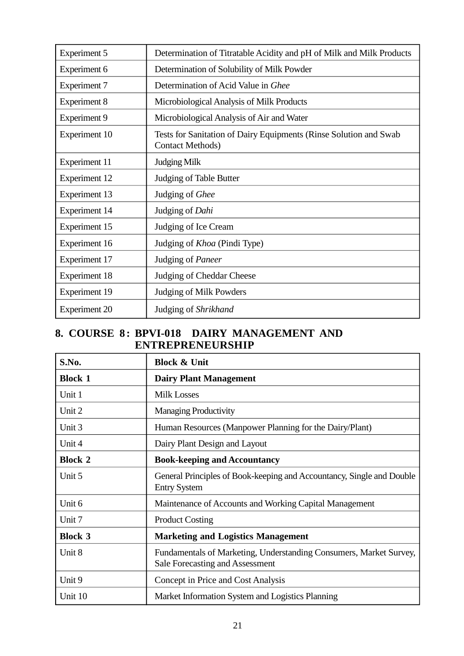| <b>Experiment 5</b>  | Determination of Titratable Acidity and pH of Milk and Milk Products                          |
|----------------------|-----------------------------------------------------------------------------------------------|
| Experiment 6         | Determination of Solubility of Milk Powder                                                    |
| <b>Experiment 7</b>  | Determination of Acid Value in Ghee                                                           |
| <b>Experiment 8</b>  | Microbiological Analysis of Milk Products                                                     |
| <b>Experiment 9</b>  | Microbiological Analysis of Air and Water                                                     |
| <b>Experiment 10</b> | Tests for Sanitation of Dairy Equipments (Rinse Solution and Swab<br><b>Contact Methods</b> ) |
| <b>Experiment 11</b> | Judging Milk                                                                                  |
| <b>Experiment 12</b> | Judging of Table Butter                                                                       |
| <b>Experiment 13</b> | Judging of Ghee                                                                               |
| <b>Experiment 14</b> | Judging of Dahi                                                                               |
| <b>Experiment 15</b> | Judging of Ice Cream                                                                          |
| Experiment 16        | Judging of <i>Khoa</i> (Pindi Type)                                                           |
| <b>Experiment 17</b> | Judging of Paneer                                                                             |
| <b>Experiment 18</b> | Judging of Cheddar Cheese                                                                     |
| <b>Experiment 19</b> | <b>Judging of Milk Powders</b>                                                                |
| <b>Experiment 20</b> | Judging of Shrikhand                                                                          |

## **8. COURSE 8: BPVI-018 DAIRY MANAGEMENT AND ENTREPRENEURSHIP**

| S.No.          | <b>Block &amp; Unit</b>                                                                               |
|----------------|-------------------------------------------------------------------------------------------------------|
| <b>Block 1</b> | <b>Dairy Plant Management</b>                                                                         |
| Unit 1         | <b>Milk Losses</b>                                                                                    |
| Unit 2         | <b>Managing Productivity</b>                                                                          |
| Unit 3         | Human Resources (Manpower Planning for the Dairy/Plant)                                               |
| Unit 4         | Dairy Plant Design and Layout                                                                         |
| <b>Block 2</b> | <b>Book-keeping and Accountancy</b>                                                                   |
| Unit 5         | General Principles of Book-keeping and Accountancy, Single and Double<br><b>Entry System</b>          |
| Unit 6         | Maintenance of Accounts and Working Capital Management                                                |
| Unit 7         | <b>Product Costing</b>                                                                                |
| <b>Block 3</b> | <b>Marketing and Logistics Management</b>                                                             |
| Unit 8         | Fundamentals of Marketing, Understanding Consumers, Market Survey,<br>Sale Forecasting and Assessment |
| Unit 9         | Concept in Price and Cost Analysis                                                                    |
| Unit 10        | Market Information System and Logistics Planning                                                      |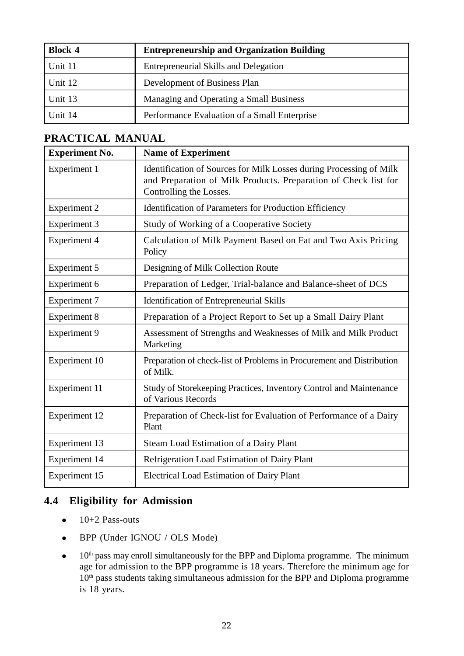| <b>Block 4</b> | <b>Entrepreneurship and Organization Building</b> |  |
|----------------|---------------------------------------------------|--|
| Unit 11        | <b>Entrepreneurial Skills and Delegation</b>      |  |
| Unit 12        | Development of Business Plan                      |  |
| Unit 13        | Managing and Operating a Small Business           |  |
| Unit 14        | Performance Evaluation of a Small Enterprise      |  |

| <b>Experiment No.</b> | <b>Name of Experiment</b>                                                                                                                                         |
|-----------------------|-------------------------------------------------------------------------------------------------------------------------------------------------------------------|
| Experiment 1          | Identification of Sources for Milk Losses during Processing of Milk<br>and Preparation of Milk Products. Preparation of Check list for<br>Controlling the Losses. |
| <b>Experiment 2</b>   | Identification of Parameters for Production Efficiency                                                                                                            |
| Experiment 3          | <b>Study of Working of a Cooperative Society</b>                                                                                                                  |
| <b>Experiment 4</b>   | Calculation of Milk Payment Based on Fat and Two Axis Pricing<br>Policy                                                                                           |
| Experiment 5          | Designing of Milk Collection Route                                                                                                                                |
| Experiment 6          | Preparation of Ledger, Trial-balance and Balance-sheet of DCS                                                                                                     |
| <b>Experiment 7</b>   | <b>Identification of Entrepreneurial Skills</b>                                                                                                                   |
| <b>Experiment 8</b>   | Preparation of a Project Report to Set up a Small Dairy Plant                                                                                                     |
| <b>Experiment 9</b>   | Assessment of Strengths and Weaknesses of Milk and Milk Product<br>Marketing                                                                                      |
| Experiment 10         | Preparation of check-list of Problems in Procurement and Distribution<br>of Milk.                                                                                 |
| <b>Experiment 11</b>  | Study of Storekeeping Practices, Inventory Control and Maintenance<br>of Various Records                                                                          |
| <b>Experiment 12</b>  | Preparation of Check-list for Evaluation of Performance of a Dairy<br>Plant                                                                                       |
| Experiment 13         | Steam Load Estimation of a Dairy Plant                                                                                                                            |
| <b>Experiment 14</b>  | Refrigeration Load Estimation of Dairy Plant                                                                                                                      |
| Experiment 15         | <b>Electrical Load Estimation of Dairy Plant</b>                                                                                                                  |

## **4.4 Eligibility for Admission**

- $\bullet$  10+2 Pass-outs
- BPP (Under IGNOU / OLS Mode)
- $\bullet$  10<sup>th</sup> pass may enroll simultaneously for the BPP and Diploma programme. The minimum age for admission to the BPP programme is 18 years. Therefore the minimum age for 10<sup>th</sup> pass students taking simultaneous admission for the BPP and Diploma programme is 18 years.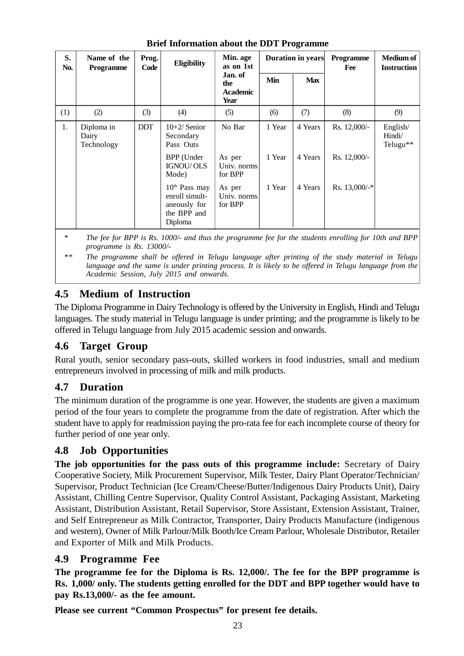| S.<br>No. | Name of the<br><b>Programme</b>   | Prog.<br>Code | <b>Eligibility</b>                                                          | Min. age<br>as on 1st                     |        | Duration in years | Programme<br>Fee | <b>Medium of</b><br><b>Instruction</b> |
|-----------|-----------------------------------|---------------|-----------------------------------------------------------------------------|-------------------------------------------|--------|-------------------|------------------|----------------------------------------|
|           |                                   |               |                                                                             | Jan. of<br>the<br><b>Academic</b><br>Year | Min    | <b>Max</b>        |                  |                                        |
| (1)       | (2)                               | (3)           | (4)                                                                         | (5)                                       | (6)    | (7)               | (8)              | (9)                                    |
| 1.        | Diploma in<br>Dairy<br>Technology | <b>DDT</b>    | $10+2/$ Senior<br>Secondary<br>Pass Outs                                    | No Bar                                    | 1 Year | 4 Years           | Rs. 12,000/-     | English/<br>Hindi/<br>Telugu**         |
|           |                                   |               | BPP (Under<br><b>IGNOU/OLS</b><br>Mode)                                     | As per<br>Univ. norms<br>for BPP          | 1 Year | 4 Years           | $Rs. 12,000/$ -  |                                        |
|           |                                   |               | $10th$ Pass may<br>enroll simult-<br>aneously for<br>the BPP and<br>Diploma | As per<br>Univ. norms<br>for BPP          | 1 Year | 4 Years           | Rs. $13,000/$ -* |                                        |

**Brief Information about the DDT Programme**

*The fee for BPP is Rs. 1000/- and thus the programme fee for the students enrolling for 10th and BPP programme is Rs. 13000/-*

*\*\* The programme shall be offered in Telugu language after printing of the study material in Telugu language and the same is under printing process. It is likely to be offered in Telugu language from the Academic Session, July 2015 and onwards.*

## **4.5 Medium of Instruction**

The Diploma Programme in Dairy Technology is offered by the University in English, Hindi and Telugu languages. The study material in Telugu language is under printing; and the programme is likely to be offered in Telugu language from July 2015 academic session and onwards.

## **4.6 Target Group**

Rural youth, senior secondary pass-outs, skilled workers in food industries, small and medium entrepreneurs involved in processing of milk and milk products.

## **4.7 Duration**

The minimum duration of the programme is one year. However, the students are given a maximum period of the four years to complete the programme from the date of registration. After which the student have to apply for readmission paying the pro-rata fee for each incomplete course of theory for further period of one year only.

## **4.8 Job Opportunities**

**The job opportunities for the pass outs of this programme include:** Secretary of Dairy Cooperative Society, Milk Procurement Supervisor, Milk Tester, Dairy Plant Operator/Technician/ Supervisor, Product Technician (Ice Cream/Cheese/Butter/Indigenous Dairy Products Unit), Dairy Assistant, Chilling Centre Supervisor, Quality Control Assistant, Packaging Assistant, Marketing Assistant, Distribution Assistant, Retail Supervisor, Store Assistant, Extension Assistant, Trainer, and Self Entrepreneur as Milk Contractor, Transporter, Dairy Products Manufacture (indigenous and western), Owner of Milk Parlour/Milk Booth/Ice Cream Parlour, Wholesale Distributor, Retailer and Exporter of Milk and Milk Products.

#### **4.9 Programme Fee**

**The programme fee for the Diploma is Rs. 12,000/. The fee for the BPP programme is Rs. 1,000/ only. The students getting enrolled for the DDT and BPP together would have to pay Rs.13,000/- as the fee amount.**

**Please see current "Common Prospectus" for present fee details.**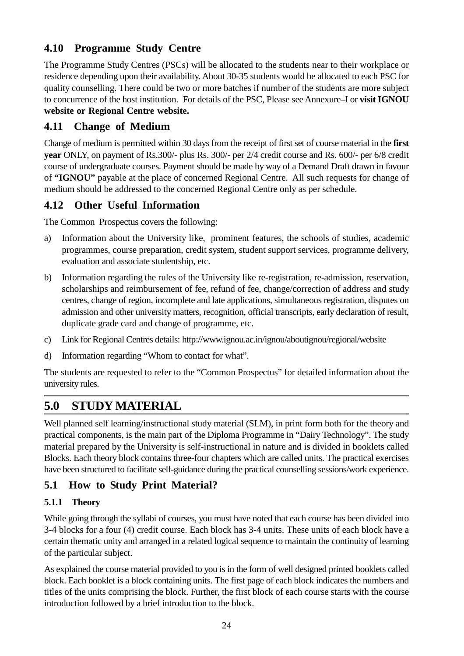## **4.10 Programme Study Centre**

The Programme Study Centres (PSCs) will be allocated to the students near to their workplace or residence depending upon their availability. About 30-35 students would be allocated to each PSC for quality counselling. There could be two or more batches if number of the students are more subject to concurrence of the host institution. For details of the PSC, Please see Annexure–I or **visit IGNOU website or Regional Centre website.**

## **4.11 Change of Medium**

Change of medium is permitted within 30 days from the receipt of first set of course material in the **first year** ONLY, on payment of Rs.300/- plus Rs. 300/- per 2/4 credit course and Rs. 600/- per 6/8 credit course of undergraduate courses. Payment should be made by way of a Demand Draft drawn in favour of **"IGNOU"** payable at the place of concerned Regional Centre. All such requests for change of medium should be addressed to the concerned Regional Centre only as per schedule.

## **4.12 Other Useful Information**

The Common Prospectus covers the following:

- a) Information about the University like, prominent features, the schools of studies, academic programmes, course preparation, credit system, student support services, programme delivery, evaluation and associate studentship, etc.
- b) Information regarding the rules of the University like re-registration, re-admission, reservation, scholarships and reimbursement of fee, refund of fee, change/correction of address and study centres, change of region, incomplete and late applications, simultaneous registration, disputes on admission and other university matters, recognition, official transcripts, early declaration of result, duplicate grade card and change of programme, etc.
- c) Link for Regional Centres details: http://www.ignou.ac.in/ignou/aboutignou/regional/website
- d) Information regarding "Whom to contact for what".

The students are requested to refer to the "Common Prospectus" for detailed information about the university rules.

## **5.0 STUDY MATERIAL**

Well planned self learning/instructional study material (SLM), in print form both for the theory and practical components, is the main part of the Diploma Programme in "Dairy Technology". The study material prepared by the University is self-instructional in nature and is divided in booklets called Blocks. Each theory block contains three-four chapters which are called units. The practical exercises have been structured to facilitate self-guidance during the practical counselling sessions/work experience.

## **5.1 How to Study Print Material?**

#### **5.1.1 Theory**

While going through the syllabi of courses, you must have noted that each course has been divided into 3-4 blocks for a four (4) credit course. Each block has 3-4 units. These units of each block have a certain thematic unity and arranged in a related logical sequence to maintain the continuity of learning of the particular subject.

As explained the course material provided to you is in the form of well designed printed booklets called block. Each booklet is a block containing units. The first page of each block indicates the numbers and titles of the units comprising the block. Further, the first block of each course starts with the course introduction followed by a brief introduction to the block.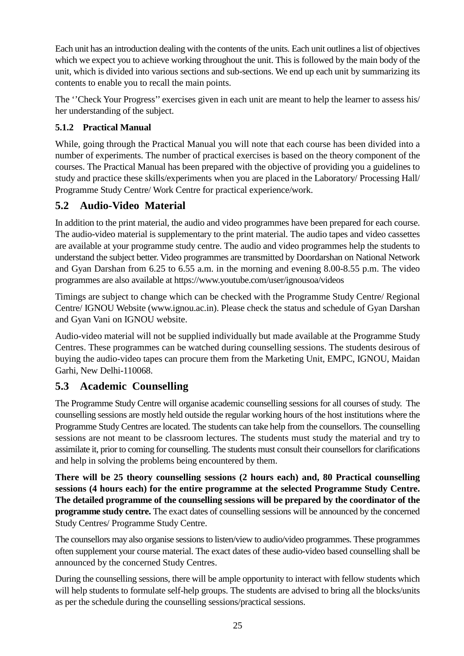Each unit has an introduction dealing with the contents of the units. Each unit outlines a list of objectives which we expect you to achieve working throughout the unit. This is followed by the main body of the unit, which is divided into various sections and sub-sections. We end up each unit by summarizing its contents to enable you to recall the main points.

The ''Check Your Progress'' exercises given in each unit are meant to help the learner to assess his/ her understanding of the subject.

#### **5.1.2 Practical Manual**

While, going through the Practical Manual you will note that each course has been divided into a number of experiments. The number of practical exercises is based on the theory component of the courses. The Practical Manual has been prepared with the objective of providing you a guidelines to study and practice these skills/experiments when you are placed in the Laboratory/ Processing Hall/ Programme Study Centre/ Work Centre for practical experience/work.

## **5.2 Audio-Video Material**

In addition to the print material, the audio and video programmes have been prepared for each course. The audio-video material is supplementary to the print material. The audio tapes and video cassettes are available at your programme study centre. The audio and video programmes help the students to understand the subject better. Video programmes are transmitted by Doordarshan on National Network and Gyan Darshan from 6.25 to 6.55 a.m. in the morning and evening 8.00-8.55 p.m. The video programmes are also available at https://www.youtube.com/user/ignousoa/videos

Timings are subject to change which can be checked with the Programme Study Centre/ Regional Centre/ IGNOU Website (www.ignou.ac.in). Please check the status and schedule of Gyan Darshan and Gyan Vani on IGNOU website.

Audio-video material will not be supplied individually but made available at the Programme Study Centres. These programmes can be watched during counselling sessions. The students desirous of buying the audio-video tapes can procure them from the Marketing Unit, EMPC, IGNOU, Maidan Garhi, New Delhi-110068.

## **5.3 Academic Counselling**

The Programme Study Centre will organise academic counselling sessions for all courses of study. The counselling sessions are mostly held outside the regular working hours of the host institutions where the Programme Study Centres are located. The students can take help from the counsellors. The counselling sessions are not meant to be classroom lectures. The students must study the material and try to assimilate it, prior to coming for counselling. The students must consult their counsellors for clarifications and help in solving the problems being encountered by them.

**There will be 25 theory counselling sessions (2 hours each) and, 80 Practical counselling sessions (4 hours each) for the entire programme at the selected Programme Study Centre. The detailed programme of the counselling sessions will be prepared by the coordinator of the programme study centre.** The exact dates of counselling sessions will be announced by the concerned Study Centres/ Programme Study Centre.

The counsellors may also organise sessions to listen/view to audio/video programmes. These programmes often supplement your course material. The exact dates of these audio-video based counselling shall be announced by the concerned Study Centres.

During the counselling sessions, there will be ample opportunity to interact with fellow students which will help students to formulate self-help groups. The students are advised to bring all the blocks/units as per the schedule during the counselling sessions/practical sessions.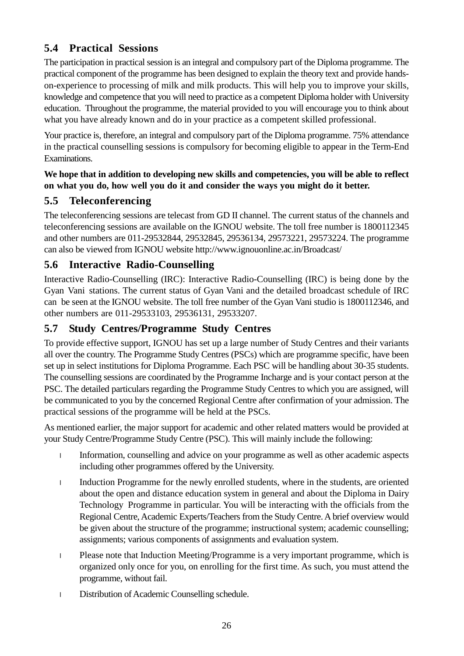## **5.4 Practical Sessions**

The participation in practical session is an integral and compulsory part of the Diploma programme. The practical component of the programme has been designed to explain the theory text and provide handson-experience to processing of milk and milk products. This will help you to improve your skills, knowledge and competence that you will need to practice as a competent Diploma holder with University education. Throughout the programme, the material provided to you will encourage you to think about what you have already known and do in your practice as a competent skilled professional.

Your practice is, therefore, an integral and compulsory part of the Diploma programme. 75% attendance in the practical counselling sessions is compulsory for becoming eligible to appear in the Term-End Examinations.

**We hope that in addition to developing new skills and competencies, you will be able to reflect on what you do, how well you do it and consider the ways you might do it better.**

## **5.5 Teleconferencing**

The teleconferencing sessions are telecast from GD II channel. The current status of the channels and teleconferencing sessions are available on the IGNOU website. The toll free number is 1800112345 and other numbers are 011-29532844, 29532845, 29536134, 29573221, 29573224. The programme can also be viewed from IGNOU website http://www.ignouonline.ac.in/Broadcast/

#### **5.6 Interactive Radio-Counselling**

Interactive Radio-Counselling (IRC): Interactive Radio-Counselling (IRC) is being done by the Gyan Vani stations. The current status of Gyan Vani and the detailed broadcast schedule of IRC can be seen at the IGNOU website. The toll free number of the Gyan Vani studio is 1800112346, and other numbers are 011-29533103, 29536131, 29533207.

#### **5.7 Study Centres/Programme Study Centres**

To provide effective support, IGNOU has set up a large number of Study Centres and their variants all over the country. The Programme Study Centres (PSCs) which are programme specific, have been set up in select institutions for Diploma Programme. Each PSC will be handling about 30-35 students. The counselling sessions are coordinated by the Programme Incharge and is your contact person at the PSC. The detailed particulars regarding the Programme Study Centres to which you are assigned, will be communicated to you by the concerned Regional Centre after confirmation of your admission. The practical sessions of the programme will be held at the PSCs.

As mentioned earlier, the major support for academic and other related matters would be provided at your Study Centre/Programme Study Centre (PSC). This will mainly include the following:

Information, counselling and advice on your programme as well as other academic aspects including other programmes offered by the University.

Induction Programme for the newly enrolled students, where in the students, are oriented about the open and distance education system in general and about the Diploma in Dairy Technology Programme in particular. You will be interacting with the officials from the Regional Centre, Academic Experts/Teachers from the Study Centre. A brief overview would be given about the structure of the programme; instructional system; academic counselling; assignments; various components of assignments and evaluation system.

Please note that Induction Meeting/Programme is a very important programme, which is organized only once for you, on enrolling for the first time. As such, you must attend the programme, without fail.

Distribution of Academic Counselling schedule.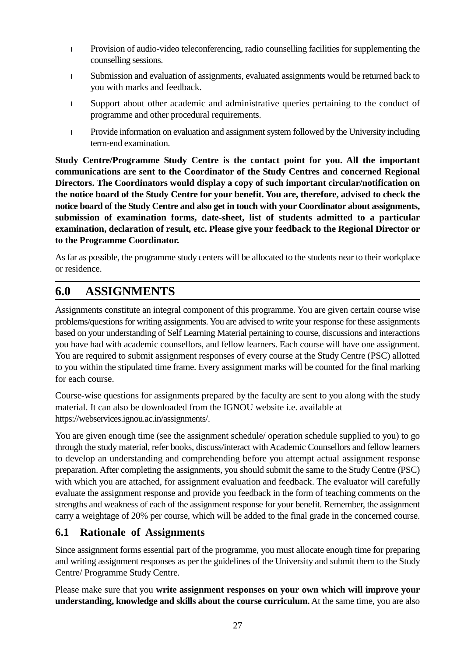Provision of audio-video teleconferencing, radio counselling facilities for supplementing the counselling sessions.

Submission and evaluation of assignments, evaluated assignments would be returned back to you with marks and feedback.

Support about other academic and administrative queries pertaining to the conduct of programme and other procedural requirements.

Provide information on evaluation and assignment system followed by the University including term-end examination.

**Study Centre/Programme Study Centre is the contact point for you. All the important communications are sent to the Coordinator of the Study Centres and concerned Regional Directors. The Coordinators would display a copy of such important circular/notification on the notice board of the Study Centre for your benefit. You are, therefore, advised to check the notice board of the Study Centre and also get in touch with your Coordinator about assignments, submission of examination forms, date-sheet, list of students admitted to a particular examination, declaration of result, etc. Please give your feedback to the Regional Director or to the Programme Coordinator.**

As far as possible, the programme study centers will be allocated to the students near to their workplace or residence.

## **6.0 ASSIGNMENTS**

Assignments constitute an integral component of this programme. You are given certain course wise problems/questions for writing assignments. You are advised to write your response for these assignments based on your understanding of Self Learning Material pertaining to course, discussions and interactions you have had with academic counsellors, and fellow learners. Each course will have one assignment. You are required to submit assignment responses of every course at the Study Centre (PSC) allotted to you within the stipulated time frame. Every assignment marks will be counted for the final marking for each course.

Course-wise questions for assignments prepared by the faculty are sent to you along with the study material. It can also be downloaded from the IGNOU website i.e. available at https://webservices.ignou.ac.in/assignments/.

You are given enough time (see the assignment schedule/ operation schedule supplied to you) to go through the study material, refer books, discuss/interact with Academic Counsellors and fellow learners to develop an understanding and comprehending before you attempt actual assignment response preparation. After completing the assignments, you should submit the same to the Study Centre (PSC) with which you are attached, for assignment evaluation and feedback. The evaluator will carefully evaluate the assignment response and provide you feedback in the form of teaching comments on the strengths and weakness of each of the assignment response for your benefit. Remember, the assignment carry a weightage of 20% per course, which will be added to the final grade in the concerned course.

## **6.1 Rationale of Assignments**

Since assignment forms essential part of the programme, you must allocate enough time for preparing and writing assignment responses as per the guidelines of the University and submit them to the Study Centre/ Programme Study Centre.

Please make sure that you **write assignment responses on your own which will improve your understanding, knowledge and skills about the course curriculum.** At the same time, you are also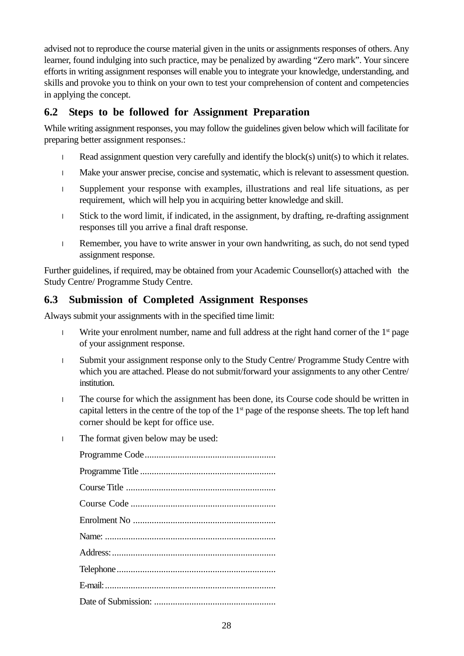advised not to reproduce the course material given in the units or assignments responses of others. Any learner, found indulging into such practice, may be penalized by awarding "Zero mark". Your sincere efforts in writing assignment responses will enable you to integrate your knowledge, understanding, and skills and provoke you to think on your own to test your comprehension of content and competencies in applying the concept.

## **6.2 Steps to be followed for Assignment Preparation**

While writing assignment responses, you may follow the guidelines given below which will facilitate for preparing better assignment responses.:

Read assignment question very carefully and identify the block(s) unit(s) to which it relates.

Make your answer precise, concise and systematic, which is relevant to assessment question.

Supplement your response with examples, illustrations and real life situations, as per requirement, which will help you in acquiring better knowledge and skill.

Stick to the word limit, if indicated, in the assignment, by drafting, re-drafting assignment responses till you arrive a final draft response.

Remember, you have to write answer in your own handwriting, as such, do not send typed assignment response.

Further guidelines, if required, may be obtained from your Academic Counsellor(s) attached with the Study Centre/ Programme Study Centre.

#### **6.3 Submission of Completed Assignment Responses**

Always submit your assignments with in the specified time limit:

Write your enrolment number, name and full address at the right hand corner of the 1<sup>st</sup> page of your assignment response.

Submit your assignment response only to the Study Centre/ Programme Study Centre with which you are attached. Please do not submit/forward your assignments to any other Centre/ institution.

The course for which the assignment has been done, its Course code should be written in capital letters in the centre of the top of the 1st page of the response sheets. The top left hand corner should be kept for office use.

The format given below may be used: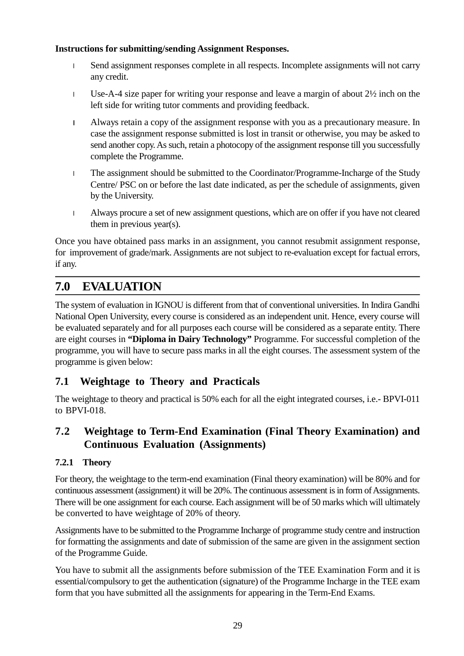#### **Instructions for submitting/sending Assignment Responses.**

Send assignment responses complete in all respects. Incomplete assignments will not carry any credit.

Use-A-4 size paper for writing your response and leave a margin of about 2½ inch on the left side for writing tutor comments and providing feedback.

<sup>l</sup> Always retain a copy of the assignment response with you as a precautionary measure. In case the assignment response submitted is lost in transit or otherwise, you may be asked to send another copy. As such, retain a photocopy of the assignment response till you successfully complete the Programme.

The assignment should be submitted to the Coordinator/Programme-Incharge of the Study Centre/ PSC on or before the last date indicated, as per the schedule of assignments, given by the University.

Always procure a set of new assignment questions, which are on offer if you have not cleared them in previous year(s).

Once you have obtained pass marks in an assignment, you cannot resubmit assignment response, for improvement of grade/mark. Assignments are not subject to re-evaluation except for factual errors, if any.

## **7.0 EVALUATION**

The system of evaluation in IGNOU is different from that of conventional universities. In Indira Gandhi National Open University, every course is considered as an independent unit. Hence, every course will be evaluated separately and for all purposes each course will be considered as a separate entity. There are eight courses in **"Diploma in Dairy Technology"** Programme. For successful completion of the programme, you will have to secure pass marks in all the eight courses. The assessment system of the programme is given below:

## **7.1 Weightage to Theory and Practicals**

The weightage to theory and practical is 50% each for all the eight integrated courses, i.e.- BPVI-011 to BPVI-018.

## **7.2 Weightage to Term-End Examination (Final Theory Examination) and Continuous Evaluation (Assignments)**

#### **7.2.1 Theory**

For theory, the weightage to the term-end examination (Final theory examination) will be 80% and for continuous assessment (assignment) it will be 20%. The continuous assessment is in form of Assignments. There will be one assignment for each course. Each assignment will be of 50 marks which will ultimately be converted to have weightage of 20% of theory.

Assignments have to be submitted to the Programme Incharge of programme study centre and instruction for formatting the assignments and date of submission of the same are given in the assignment section of the Programme Guide.

You have to submit all the assignments before submission of the TEE Examination Form and it is essential/compulsory to get the authentication (signature) of the Programme Incharge in the TEE exam form that you have submitted all the assignments for appearing in the Term-End Exams.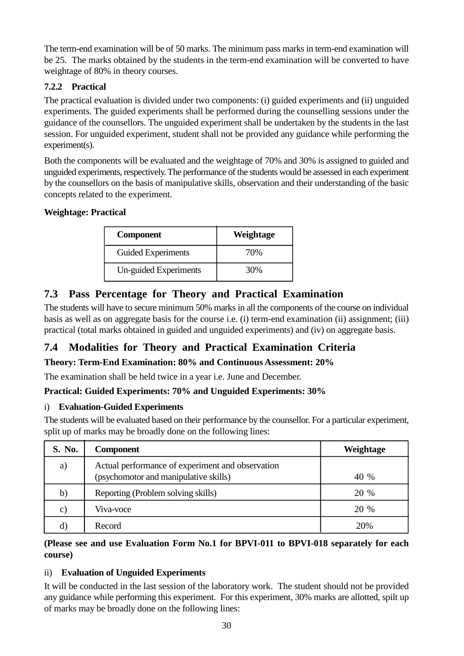The term-end examination will be of 50 marks. The minimum pass marks in term-end examination will be 25. The marks obtained by the students in the term-end examination will be converted to have weightage of 80% in theory courses.

#### **7.2.2 Practical**

The practical evaluation is divided under two components: (i) guided experiments and (ii) unguided experiments. The guided experiments shall be performed during the counselling sessions under the guidance of the counsellors. The unguided experiment shall be undertaken by the students in the last session. For unguided experiment, student shall not be provided any guidance while performing the experiment(s).

Both the components will be evaluated and the weightage of 70% and 30% is assigned to guided and unguided experiments, respectively. The performance of the students would be assessed in each experiment by the counsellors on the basis of manipulative skills, observation and their understanding of the basic concepts related to the experiment.

#### **Weightage: Practical**

| <b>Component</b>      | Weightage |
|-----------------------|-----------|
| Guided Experiments    | 70%       |
| Un-guided Experiments | 30%       |

## **7.3 Pass Percentage for Theory and Practical Examination**

The students will have to secure minimum 50% marks in all the components of the course on individual basis as well as on aggregate basis for the course i.e. (i) term-end examination (ii) assignment; (iii) practical (total marks obtained in guided and unguided experiments) and (iv) on aggregate basis.

## **7.4 Modalities for Theory and Practical Examination Criteria**

#### **Theory: Term-End Examination: 80% and Continuous Assessment: 20%**

The examination shall be held twice in a year i.e. June and December.

#### **Practical: Guided Experiments: 70% and Unguided Experiments: 30%**

#### i) **Evaluation-Guided Experiments**

The students will be evaluated based on their performance by the counsellor. For a particular experiment, split up of marks may be broadly done on the following lines:

| S. No. | <b>Component</b>                                                                          | Weightage |
|--------|-------------------------------------------------------------------------------------------|-----------|
| a)     | Actual performance of experiment and observation<br>(psychomotor and manipulative skills) | 40 %      |
| b)     | Reporting (Problem solving skills)                                                        | 20 %      |
| C)     | Viva-voce                                                                                 | 20 %      |
| d)     | Record                                                                                    | 20%       |

#### **(Please see and use Evaluation Form No.1 for BPVI-011 to BPVI-018 separately for each course)**

#### ii) **Evaluation of Unguided Experiments**

It will be conducted in the last session of the laboratory work. The student should not be provided any guidance while performing this experiment. For this experiment, 30% marks are allotted, spilt up of marks may be broadly done on the following lines: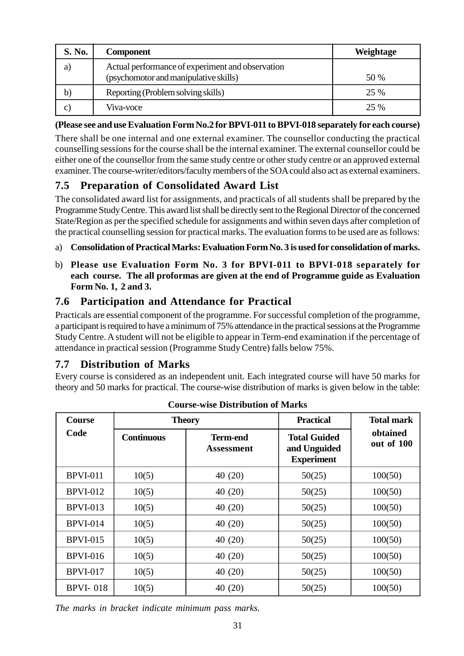| S. No.       | <b>Component</b>                                                                          | Weightage |
|--------------|-------------------------------------------------------------------------------------------|-----------|
| a            | Actual performance of experiment and observation<br>(psychomotor and manipulative skills) | 50 %      |
| $\mathbf{b}$ | Reporting (Problem solving skills)                                                        | 25 %      |
| $\mathbf{C}$ | Viva-voce                                                                                 | 25 %      |

#### **(Please see and use Evaluation Form No.2 for BPVI-011 to BPVI-018 separately for each course)**

There shall be one internal and one external examiner. The counsellor conducting the practical counselling sessions for the course shall be the internal examiner. The external counsellor could be either one of the counsellor from the same study centre or other study centre or an approved external examiner. The course-writer/editors/faculty members of the SOAcould also act as external examiners.

## **7.5 Preparation of Consolidated Award List**

The consolidated award list for assignments, and practicals of all students shall be prepared by the Programme StudyCentre. This award list shall be directly sent to the Regional Director of the concerned State/Region as per the specified schedule for assignments and within seven days after completion of the practical counselling session for practical marks. The evaluation forms to be used are as follows:

- a) **Consolidation of Practical Marks: Evaluation Form No. 3 is used for consolidation of marks.**
- b) **Please use Evaluation Form No. 3 for BPVI-011 to BPVI-018 separately for each course. The all proformas are given at the end of Programme guide as Evaluation Form No. 1, 2 and 3.**

## **7.6 Participation and Attendance for Practical**

Practicals are essential component of the programme. For successful completion of the programme, a participant is required to have a minimum of 75% attendance in the practical sessions at the Programme Study Centre. A student will not be eligible to appear in Term-end examination if the percentage of attendance in practical session (Programme Study Centre) falls below 75%.

## **7.7 Distribution of Marks**

Every course is considered as an independent unit. Each integrated course will have 50 marks for theory and 50 marks for practical. The course-wise distribution of marks is given below in the table:

| <b>Course</b>   |                   | <b>Theory</b>                        | <b>Practical</b>                                         | <b>Total mark</b>      |
|-----------------|-------------------|--------------------------------------|----------------------------------------------------------|------------------------|
| Code            | <b>Continuous</b> | <b>Term-end</b><br><b>Assessment</b> | <b>Total Guided</b><br>and Unguided<br><b>Experiment</b> | obtained<br>out of 100 |
| <b>BPVI-011</b> | 10(5)             | 40(20)                               | 50(25)                                                   | 100(50)                |
| <b>BPVI-012</b> | 10(5)             | 40(20)                               | 50(25)                                                   | 100(50)                |
| <b>BPVI-013</b> | 10(5)             | 40(20)                               | 50(25)                                                   | 100(50)                |
| <b>BPVI-014</b> | 10(5)             | 40 (20)                              | 50(25)                                                   | 100(50)                |
| <b>BPVI-015</b> | 10(5)             | 40 (20)                              | 50(25)                                                   | 100(50)                |
| <b>BPVI-016</b> | 10(5)             | 40(20)                               | 50(25)                                                   | 100(50)                |
| <b>BPVI-017</b> | 10(5)             | 40(20)                               | 50(25)                                                   | 100(50)                |
| <b>BPVI-018</b> | 10(5)             | 40 (20)                              | 50(25)                                                   | 100(50)                |

**Course-wise Distribution of Marks**

*The marks in bracket indicate minimum pass marks.*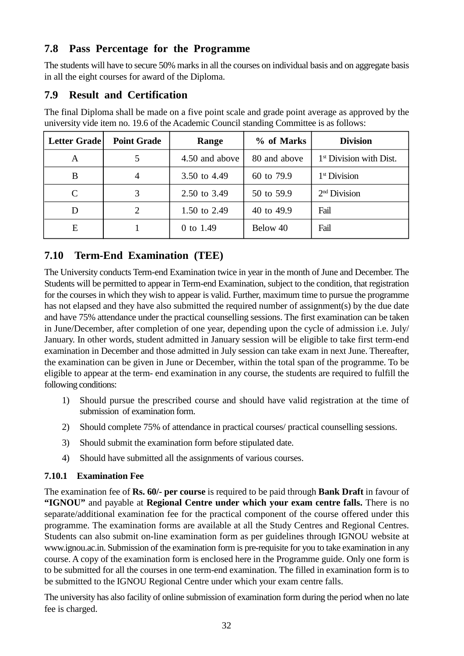## **7.8 Pass Percentage for the Programme**

The students will have to secure 50% marks in all the courses on individual basis and on aggregate basis in all the eight courses for award of the Diploma.

## **7.9 Result and Certification**

| <b>Letter Grade</b> | <b>Point Grade</b> | Range          | % of Marks   | <b>Division</b>                     |
|---------------------|--------------------|----------------|--------------|-------------------------------------|
| A                   |                    | 4.50 and above | 80 and above | 1 <sup>st</sup> Division with Dist. |
| B                   |                    | 3.50 to 4.49   | 60 to 79.9   | 1 <sup>st</sup> Division            |
| $\mathsf{C}$        | 3                  | 2.50 to 3.49   | 50 to 59.9   | 2 <sup>nd</sup> Division            |
| D                   |                    | 1.50 to 2.49   | 40 to 49.9   | Fail                                |
| E                   |                    | 0 to 1.49      | Below 40     | Fail                                |
|                     |                    |                |              |                                     |

The final Diploma shall be made on a five point scale and grade point average as approved by the university vide item no. 19.6 of the Academic Council standing Committee is as follows:

## **7.10 Term-End Examination (TEE)**

The University conducts Term-end Examination twice in year in the month of June and December. The Students will be permitted to appear in Term-end Examination, subject to the condition, that registration for the courses in which they wish to appear is valid. Further, maximum time to pursue the programme has not elapsed and they have also submitted the required number of assignment(s) by the due date and have 75% attendance under the practical counselling sessions. The first examination can be taken in June/December, after completion of one year, depending upon the cycle of admission i.e. July/ January. In other words, student admitted in January session will be eligible to take first term-end examination in December and those admitted in July session can take exam in next June. Thereafter, the examination can be given in June or December, within the total span of the programme. To be eligible to appear at the term- end examination in any course, the students are required to fulfill the following conditions:

- 1) Should pursue the prescribed course and should have valid registration at the time of submission of examination form.
- 2) Should complete 75% of attendance in practical courses/ practical counselling sessions.
- 3) Should submit the examination form before stipulated date.
- 4) Should have submitted all the assignments of various courses.

#### **7.10.1 Examination Fee**

The examination fee of **Rs. 60/- per course** is required to be paid through **Bank Draft** in favour of **"IGNOU"** and payable at **Regional Centre under which your exam centre falls.** There is no separate/additional examination fee for the practical component of the course offered under this programme. The examination forms are available at all the Study Centres and Regional Centres. Students can also submit on-line examination form as per guidelines through IGNOU website at www.ignou.ac.in. Submission of the examination form is pre-requisite for you to take examination in any course. A copy of the examination form is enclosed here in the Programme guide. Only one form is to be submitted for all the courses in one term-end examination. The filled in examination form is to be submitted to the IGNOU Regional Centre under which your exam centre falls.

The university has also facility of online submission of examination form during the period when no late fee is charged.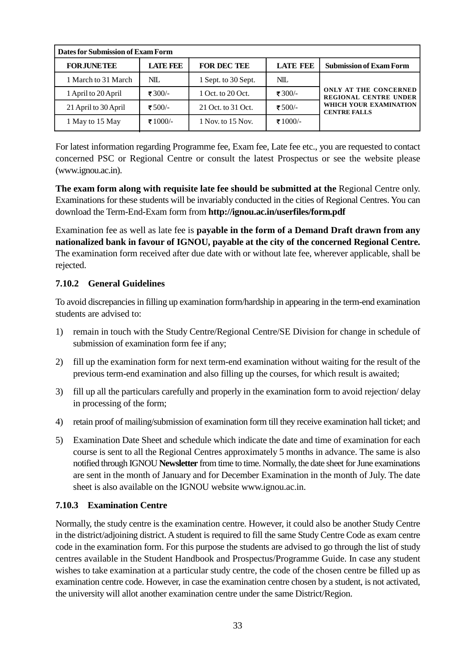| Dates for Submission of Exam Form |                 |                     |                 |                                                       |  |
|-----------------------------------|-----------------|---------------------|-----------------|-------------------------------------------------------|--|
| <b>FORJUNETEE</b>                 | <b>LATE FEE</b> | <b>FOR DEC TEE</b>  | <b>LATE FEE</b> | <b>Submission of Exam Form</b>                        |  |
| 1 March to 31 March               | NIL.            | 1 Sept. to 30 Sept. | NII.            |                                                       |  |
| 1 April to 20 April               | ₹ 300/-         | 1 Oct. to 20 Oct.   | ₹ 300/-         | ONLY AT THE CONCERNED<br><b>REGIONAL CENTRE UNDER</b> |  |
| 21 April to 30 April              | ₹ 500/-         | 21 Oct. to 31 Oct.  | ₹500/-          | WHICH YOUR EXAMINATION<br><b>CENTRE FALLS</b>         |  |
| 1 May to 15 May                   | ₹1000/-         | 1 Nov. to 15 Nov.   | ₹ 1000/-        |                                                       |  |

For latest information regarding Programme fee, Exam fee, Late fee etc., you are requested to contact concerned PSC or Regional Centre or consult the latest Prospectus or see the website please (www.ignou.ac.in).

**The exam form along with requisite late fee should be submitted at the** Regional Centre only. Examinations for these students will be invariably conducted in the cities of Regional Centres. You can download the Term-End-Exam form from **http://ignou.ac.in/userfiles/form.pdf**

Examination fee as well as late fee is **payable in the form of a Demand Draft drawn from any nationalized bank in favour of IGNOU, payable at the city of the concerned Regional Centre.** The examination form received after due date with or without late fee, wherever applicable, shall be rejected.

#### **7.10.2 General Guidelines**

To avoid discrepancies in filling up examination form/hardship in appearing in the term-end examination students are advised to:

- 1) remain in touch with the Study Centre/Regional Centre/SE Division for change in schedule of submission of examination form fee if any;
- 2) fill up the examination form for next term-end examination without waiting for the result of the previous term-end examination and also filling up the courses, for which result is awaited;
- 3) fill up all the particulars carefully and properly in the examination form to avoid rejection/ delay in processing of the form;
- 4) retain proof of mailing/submission of examination form till they receive examination hall ticket; and
- 5) Examination Date Sheet and schedule which indicate the date and time of examination for each course is sent to all the Regional Centres approximately 5 months in advance. The same is also notified through IGNOU **Newsletter** from time to time. Normally, the date sheet for June examinations are sent in the month of January and for December Examination in the month of July. The date sheet is also available on the IGNOU website www.ignou.ac.in.

#### **7.10.3 Examination Centre**

Normally, the study centre is the examination centre. However, it could also be another Study Centre in the district/adjoining district. A student is required to fill the same Study Centre Code as exam centre code in the examination form. For this purpose the students are advised to go through the list of study centres available in the Student Handbook and Prospectus/Programme Guide. In case any student wishes to take examination at a particular study centre, the code of the chosen centre be filled up as examination centre code. However, in case the examination centre chosen by a student, is not activated, the university will allot another examination centre under the same District/Region.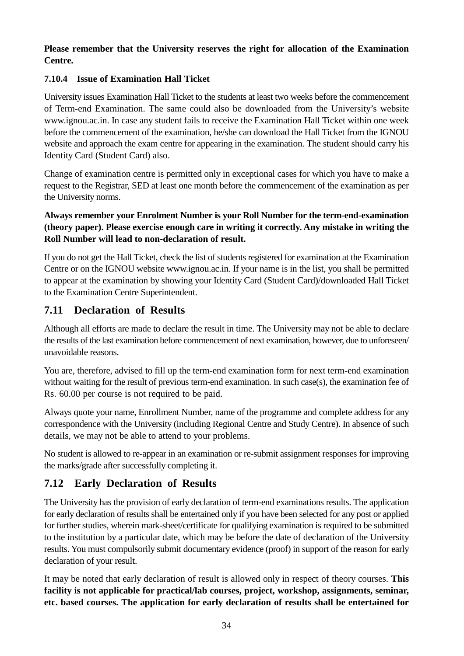#### **Please remember that the University reserves the right for allocation of the Examination Centre.**

#### **7.10.4 Issue of Examination Hall Ticket**

University issues Examination Hall Ticket to the students at least two weeks before the commencement of Term-end Examination. The same could also be downloaded from the University's website www.ignou.ac.in. In case any student fails to receive the Examination Hall Ticket within one week before the commencement of the examination, he/she can download the Hall Ticket from the IGNOU website and approach the exam centre for appearing in the examination. The student should carry his Identity Card (Student Card) also.

Change of examination centre is permitted only in exceptional cases for which you have to make a request to the Registrar, SED at least one month before the commencement of the examination as per the University norms.

#### **Always remember your Enrolment Number is your Roll Number for the term-end-examination (theory paper). Please exercise enough care in writing it correctly. Any mistake in writing the Roll Number will lead to non-declaration of result.**

If you do not get the Hall Ticket, check the list of students registered for examination at the Examination Centre or on the IGNOU website www.ignou.ac.in. If your name is in the list, you shall be permitted to appear at the examination by showing your Identity Card (Student Card)/downloaded Hall Ticket to the Examination Centre Superintendent.

## **7.11 Declaration of Results**

Although all efforts are made to declare the result in time. The University may not be able to declare the results of the last examination before commencement of next examination, however, due to unforeseen/ unavoidable reasons.

You are, therefore, advised to fill up the term-end examination form for next term-end examination without waiting for the result of previous term-end examination. In such case(s), the examination fee of Rs. 60.00 per course is not required to be paid.

Always quote your name, Enrollment Number, name of the programme and complete address for any correspondence with the University (including Regional Centre and Study Centre). In absence of such details, we may not be able to attend to your problems.

No student is allowed to re-appear in an examination or re-submit assignment responses for improving the marks/grade after successfully completing it.

## **7.12 Early Declaration of Results**

The University has the provision of early declaration of term-end examinations results. The application for early declaration of results shall be entertained only if you have been selected for any post or applied for further studies, wherein mark-sheet/certificate for qualifying examination is required to be submitted to the institution by a particular date, which may be before the date of declaration of the University results. You must compulsorily submit documentary evidence (proof) in support of the reason for early declaration of your result.

It may be noted that early declaration of result is allowed only in respect of theory courses. **This facility is not applicable for practical/lab courses, project, workshop, assignments, seminar, etc. based courses. The application for early declaration of results shall be entertained for**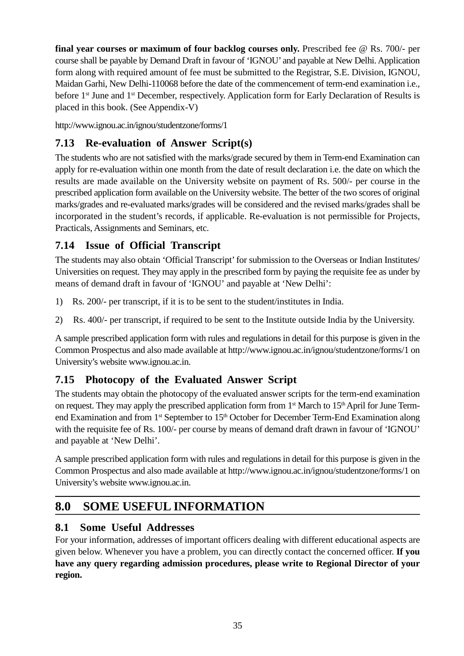**final year courses or maximum of four backlog courses only.** Prescribed fee @ Rs. 700/- per course shall be payable by Demand Draft in favour of 'IGNOU' and payable at New Delhi. Application form along with required amount of fee must be submitted to the Registrar, S.E. Division, IGNOU, Maidan Garhi, New Delhi-110068 before the date of the commencement of term-end examination i.e., before 1<sup>st</sup> June and 1<sup>st</sup> December, respectively. Application form for Early Declaration of Results is placed in this book. (See Appendix-V)

http://www.ignou.ac.in/ignou/studentzone/forms/1

## **7.13 Re-evaluation of Answer Script(s)**

The students who are not satisfied with the marks/grade secured by them in Term-end Examination can apply for re-evaluation within one month from the date of result declaration i.e. the date on which the results are made available on the University website on payment of Rs. 500/- per course in the prescribed application form available on the University website. The better of the two scores of original marks/grades and re-evaluated marks/grades will be considered and the revised marks/grades shall be incorporated in the student's records, if applicable. Re-evaluation is not permissible for Projects, Practicals, Assignments and Seminars, etc.

## **7.14 Issue of Official Transcript**

The students may also obtain 'Official Transcript' for submission to the Overseas or Indian Institutes/ Universities on request. They may apply in the prescribed form by paying the requisite fee as under by means of demand draft in favour of 'IGNOU' and payable at 'New Delhi':

- 1) Rs. 200/- per transcript, if it is to be sent to the student/institutes in India.
- 2) Rs. 400/- per transcript, if required to be sent to the Institute outside India by the University.

A sample prescribed application form with rules and regulations in detail for this purpose is given in the Common Prospectus and also made available at http://www.ignou.ac.in/ignou/studentzone/forms/1 on University's website www.ignou.ac.in.

## **7.15 Photocopy of the Evaluated Answer Script**

The students may obtain the photocopy of the evaluated answer scripts for the term-end examination on request. They may apply the prescribed application form from  $1<sup>st</sup>$  March to  $15<sup>th</sup>$  April for June Termend Examination and from 1<sup>st</sup> September to 15<sup>th</sup> October for December Term-End Examination along with the requisite fee of Rs. 100/- per course by means of demand draft drawn in favour of 'IGNOU' and payable at 'New Delhi'.

A sample prescribed application form with rules and regulations in detail for this purpose is given in the Common Prospectus and also made available at http://www.ignou.ac.in/ignou/studentzone/forms/1 on University's website www.ignou.ac.in.

## **8.0 SOME USEFUL INFORMATION**

#### **8.1 Some Useful Addresses**

For your information, addresses of important officers dealing with different educational aspects are given below. Whenever you have a problem, you can directly contact the concerned officer. **If you have any query regarding admission procedures, please write to Regional Director of your region.**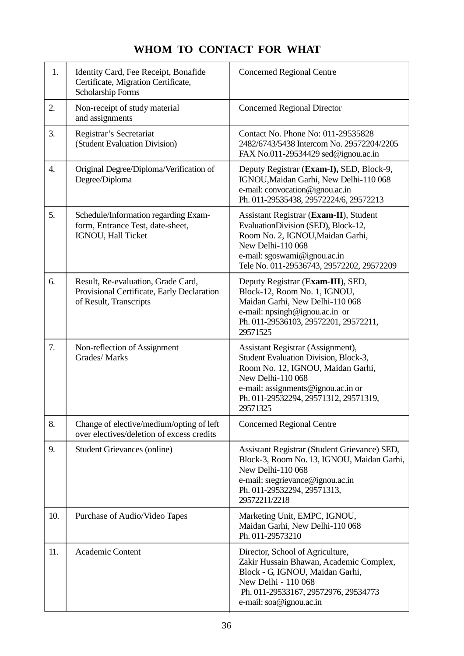## **WHOM TO CONTACT FOR WHAT**

| 1.  | Identity Card, Fee Receipt, Bonafide<br>Certificate, Migration Certificate,<br>Scholarship Forms           | <b>Concerned Regional Centre</b>                                                                                                                                                                                                |
|-----|------------------------------------------------------------------------------------------------------------|---------------------------------------------------------------------------------------------------------------------------------------------------------------------------------------------------------------------------------|
| 2.  | Non-receipt of study material<br>and assignments                                                           | <b>Concerned Regional Director</b>                                                                                                                                                                                              |
| 3.  | Registrar's Secretariat<br>(Student Evaluation Division)                                                   | Contact No. Phone No: 011-29535828<br>2482/6743/5438 Intercom No. 29572204/2205<br>FAX No.011-29534429 sed@ignou.ac.in                                                                                                          |
| 4.  | Original Degree/Diploma/Verification of<br>Degree/Diploma                                                  | Deputy Registrar (Exam-I), SED, Block-9,<br>IGNOU, Maidan Garhi, New Delhi-110 068<br>e-mail: convocation@ignou.ac.in<br>Ph. 011-29535438, 29572224/6, 29572213                                                                 |
| 5.  | Schedule/Information regarding Exam-<br>form, Entrance Test, date-sheet,<br>IGNOU, Hall Ticket             | Assistant Registrar (Exam-II), Student<br>EvaluationDivision (SED), Block-12,<br>Room No. 2, IGNOU, Maidan Garhi,<br>New Delhi-110 068<br>e-mail: sgoswami@ignou.ac.in<br>Tele No. 011-29536743, 29572202, 29572209             |
| 6.  | Result, Re-evaluation, Grade Card,<br>Provisional Certificate, Early Declaration<br>of Result, Transcripts | Deputy Registrar (Exam-III), SED,<br>Block-12, Room No. 1, IGNOU,<br>Maidan Garhi, New Delhi-110 068<br>e-mail: npsingh@ignou.ac.in or<br>Ph. 011-29536103, 29572201, 29572211,<br>29571525                                     |
| 7.  | Non-reflection of Assignment<br><b>Grades/Marks</b>                                                        | Assistant Registrar (Assignment),<br>Student Evaluation Division, Block-3,<br>Room No. 12, IGNOU, Maidan Garhi,<br>New Delhi-110 068<br>e-mail: assignments@ignou.ac.in or<br>Ph. 011-29532294, 29571312, 29571319,<br>29571325 |
| 8.  | Change of elective/medium/opting of left<br>over electives/deletion of excess credits                      | <b>Concerned Regional Centre</b>                                                                                                                                                                                                |
| 9.  | <b>Student Grievances (online)</b>                                                                         | Assistant Registrar (Student Grievance) SED,<br>Block-3, Room No. 13, IGNOU, Maidan Garhi,<br>New Delhi-110 068<br>e-mail: sregrievance@ignou.ac.in<br>Ph. 011-29532294, 29571313,<br>29572211/2218                             |
| 10. | Purchase of Audio/Video Tapes                                                                              | Marketing Unit, EMPC, IGNOU,<br>Maidan Garhi, New Delhi-110 068<br>Ph. 011-29573210                                                                                                                                             |
| 11. | <b>Academic Content</b>                                                                                    | Director, School of Agriculture,<br>Zakir Hussain Bhawan, Academic Complex,<br>Block - G, IGNOU, Maidan Garhi,<br>New Delhi - 110 068<br>Ph. 011-29533167, 29572976, 29534773<br>e-mail: soa@ignou.ac.in                        |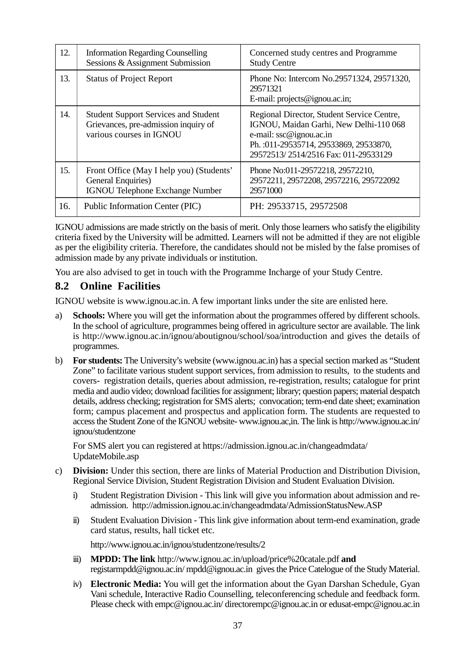| 12. | <b>Information Regarding Counselling</b><br>Sessions & Assignment Submission                                    | Concerned study centres and Programme<br><b>Study Centre</b>                                                                                                                                       |
|-----|-----------------------------------------------------------------------------------------------------------------|----------------------------------------------------------------------------------------------------------------------------------------------------------------------------------------------------|
| 13. | <b>Status of Project Report</b>                                                                                 | Phone No: Intercom No.29571324, 29571320,<br>29571321<br>E-mail: projects@ignou.ac.in;                                                                                                             |
| 14. | <b>Student Support Services and Student</b><br>Grievances, pre-admission inquiry of<br>various courses in IGNOU | Regional Director, Student Service Centre,<br>IGNOU, Maidan Garhi, New Delhi-110 068<br>e-mail: ssc@ignou.ac.in<br>Ph. : 011-29535714, 29533869, 29533870,<br>29572513/2514/2516 Fax: 011-29533129 |
| 15. | Front Office (May I help you) (Students'<br>General Enquiries)<br><b>IGNOU Telephone Exchange Number</b>        | Phone No:011-29572218, 29572210,<br>29572211, 29572208, 29572216, 295722092<br>29571000                                                                                                            |
| 16. | Public Information Center (PIC)                                                                                 | PH: 29533715, 29572508                                                                                                                                                                             |

IGNOU admissions are made strictly on the basis of merit. Only those learners who satisfy the eligibility criteria fixed by the University will be admitted. Learners will not be admitted if they are not eligible as per the eligibility criteria. Therefore, the candidates should not be misled by the false promises of admission made by any private individuals or institution.

You are also advised to get in touch with the Programme Incharge of your Study Centre.

#### **8.2 Online Facilities**

IGNOU website is www.ignou.ac.in. A few important links under the site are enlisted here.

- a) **Schools:** Where you will get the information about the programmes offered by different schools. In the school of agriculture, programmes being offered in agriculture sector are available. The link is http://www.ignou.ac.in/ignou/aboutignou/school/soa/introduction and gives the details of programmes.
- b) **For students:** The University's website (www.ignou.ac.in) has a special section marked as "Student Zone" to facilitate various student support services, from admission to results, to the students and covers- registration details, queries about admission, re-registration, results; catalogue for print media and audio video; download facilities for assignment; library; question papers; material despatch details, address checking; registration for SMS alerts; convocation; term-end date sheet; examination form; campus placement and prospectus and application form. The students are requested to access the Student Zone of the IGNOU website- www.ignou.ac,in. The link is http://www.ignou.ac.in/ ignou/studentzone

For SMS alert you can registered at https://admission.ignou.ac.in/changeadmdata/ UpdateMobile.asp

- c) **Division:** Under this section, there are links of Material Production and Distribution Division, Regional Service Division, Student Registration Division and Student Evaluation Division.
	- i) Student Registration Division This link will give you information about admission and readmission. http://admission.ignou.ac.in/changeadmdata/AdmissionStatusNew.ASP
	- ii) Student Evaluation Division This link give information about term-end examination, grade card status, results, hall ticket etc.

http://www.ignou.ac.in/ignou/studentzone/results/2

- iii) **MPDD: The link** http://www.ignou.ac.in/upload/price%20catale.pdf **and** registarmpdd@ignou.ac.in/ mpdd@ignou.ac.in gives the Price Catelogue of the Study Material.
- iv) **Electronic Media:** You will get the information about the Gyan Darshan Schedule, Gyan Vani schedule, Interactive Radio Counselling, teleconferencing schedule and feedback form. Please check with empc@ignou.ac.in/ directorempc@ignou.ac.in or edusat-empc@ignou.ac.in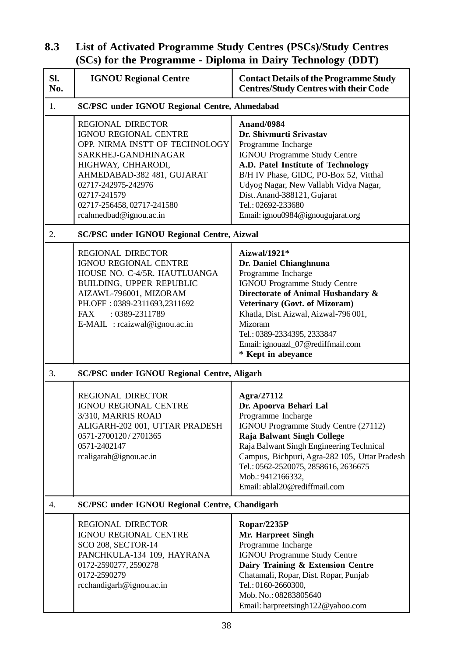## **8.3 List of Activated Programme Study Centres (PSCs)/Study Centres (SCs) for the Programme - Diploma in Dairy Technology (DDT)**

| SI.<br>No. | <b>IGNOU Regional Centre</b>                                                                                                                                                                                                                                  | <b>Contact Details of the Programme Study</b><br><b>Centres/Study Centres with their Code</b>                                                                                                                                                                                                                                |  |  |
|------------|---------------------------------------------------------------------------------------------------------------------------------------------------------------------------------------------------------------------------------------------------------------|------------------------------------------------------------------------------------------------------------------------------------------------------------------------------------------------------------------------------------------------------------------------------------------------------------------------------|--|--|
| 1.         | <b>SC/PSC under IGNOU Regional Centre, Ahmedabad</b>                                                                                                                                                                                                          |                                                                                                                                                                                                                                                                                                                              |  |  |
|            | <b>REGIONAL DIRECTOR</b><br>IGNOU REGIONAL CENTRE<br>OPP. NIRMA INSTT OF TECHNOLOGY<br>SARKHEJ-GANDHINAGAR<br>HIGHWAY, CHHARODI,<br>AHMEDABAD-382 481, GUJARAT<br>02717-242975-242976<br>02717-241579<br>02717-256458, 02717-241580<br>rcahmedbad@ignou.ac.in | <b>Anand/0984</b><br>Dr. Shivmurti Srivastav<br>Programme Incharge<br><b>IGNOU Programme Study Centre</b><br>A.D. Patel Institute of Technology<br>B/H IV Phase, GIDC, PO-Box 52, Vitthal<br>Udyog Nagar, New Vallabh Vidya Nagar,<br>Dist. Anand-388121, Gujarat<br>Tel.: 02692-233680<br>Email: ignou0984@ignougujarat.org |  |  |
| 2.         | <b>SC/PSC under IGNOU Regional Centre, Aizwal</b>                                                                                                                                                                                                             |                                                                                                                                                                                                                                                                                                                              |  |  |
|            | <b>REGIONAL DIRECTOR</b><br>IGNOU REGIONAL CENTRE<br>HOUSE NO. C-4/5R. HAUTLUANGA<br>BUILDING, UPPER REPUBLIC<br>AIZAWL-796001, MIZORAM<br>PH.OFF: 0389-2311693,2311692<br>: 0389-2311789<br><b>FAX</b><br>E-MAIL : reaizwal@ignou.ac.in                      | Aizwal/1921*<br>Dr. Daniel Chianghnuna<br>Programme Incharge<br><b>IGNOU Programme Study Centre</b><br>Directorate of Animal Husbandary &<br>Veterinary (Govt. of Mizoram)<br>Khatla, Dist. Aizwal, Aizwal-796 001,<br>Mizoram<br>Tel.: 0389-2334395, 2333847<br>Email: ignouazl_07@rediffmail.com<br>* Kept in abeyance     |  |  |
| 3.         | <b>SC/PSC under IGNOU Regional Centre, Aligarh</b>                                                                                                                                                                                                            |                                                                                                                                                                                                                                                                                                                              |  |  |
|            | REGIONAL DIRECTOR<br>IGNOU REGIONAL CENTRE<br>3/310, MARRIS ROAD<br>ALIGARH-202 001, UTTAR PRADESH<br>0571-2700120/2701365<br>0571-2402147<br>rcaligarah@ignou.ac.in                                                                                          | Agra/27112<br>Dr. Apoorva Behari Lal<br>Programme Incharge<br>IGNOU Programme Study Centre (27112)<br>Raja Balwant Singh College<br>Raja Balwant Singh Engineering Technical<br>Campus, Bichpuri, Agra-282 105, Uttar Pradesh<br>Tel.: 0562-2520075, 2858616, 2636675<br>Mob.: 9412166332,<br>Email: ablal20@rediffmail.com  |  |  |
| 4.         | <b>SC/PSC under IGNOU Regional Centre, Chandigarh</b>                                                                                                                                                                                                         |                                                                                                                                                                                                                                                                                                                              |  |  |
|            | REGIONAL DIRECTOR<br>IGNOU REGIONAL CENTRE<br>SCO 208, SECTOR-14<br>PANCHKULA-134 109, HAYRANA<br>0172-2590277, 2590278<br>0172-2590279<br>rcchandigarh@ignou.ac.in                                                                                           | Ropar/2235P<br><b>Mr. Harpreet Singh</b><br>Programme Incharge<br><b>IGNOU Programme Study Centre</b><br>Dairy Training & Extension Centre<br>Chatamali, Ropar, Dist. Ropar, Punjab<br>Tel.: 0160-2660300,<br>Mob. No.: 08283805640<br>Email: harpreetsingh122@yahoo.com                                                     |  |  |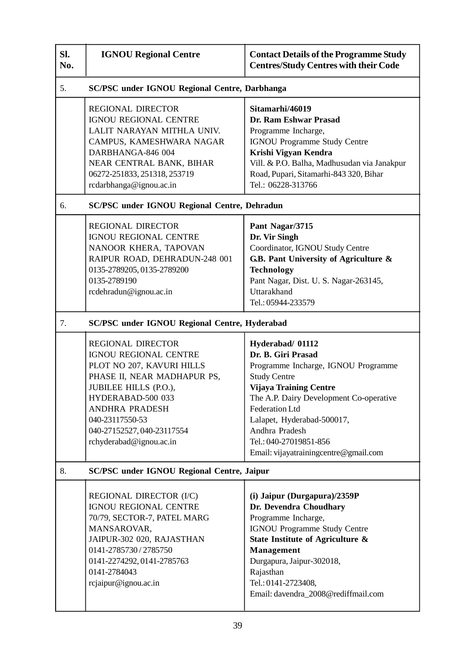| SI.<br>No. | <b>IGNOU Regional Centre</b>                                                                                                                                                                                                                                     | <b>Contact Details of the Programme Study</b><br><b>Centres/Study Centres with their Code</b>                                                                                                                                                                                                                                |  |  |  |  |  |  |
|------------|------------------------------------------------------------------------------------------------------------------------------------------------------------------------------------------------------------------------------------------------------------------|------------------------------------------------------------------------------------------------------------------------------------------------------------------------------------------------------------------------------------------------------------------------------------------------------------------------------|--|--|--|--|--|--|
| 5.         | <b>SC/PSC under IGNOU Regional Centre, Darbhanga</b>                                                                                                                                                                                                             |                                                                                                                                                                                                                                                                                                                              |  |  |  |  |  |  |
|            | <b>REGIONAL DIRECTOR</b><br>IGNOU REGIONAL CENTRE<br>LALIT NARAYAN MITHLA UNIV.<br>CAMPUS, KAMESHWARA NAGAR<br>DARBHANGA-846 004<br>NEAR CENTRAL BANK, BIHAR<br>06272-251833, 251318, 253719<br>rcdarbhanga@ignou.ac.in                                          | Sitamarhi/46019<br>Dr. Ram Eshwar Prasad<br>Programme Incharge,<br><b>IGNOU Programme Study Centre</b><br>Krishi Vigyan Kendra<br>Vill. & P.O. Balha, Madhusudan via Janakpur<br>Road, Pupari, Sitamarhi-843 320, Bihar<br>Tel.: 06228-313766                                                                                |  |  |  |  |  |  |
| 6.         | <b>SC/PSC under IGNOU Regional Centre, Dehradun</b>                                                                                                                                                                                                              |                                                                                                                                                                                                                                                                                                                              |  |  |  |  |  |  |
|            | <b>REGIONAL DIRECTOR</b><br><b>IGNOU REGIONAL CENTRE</b><br>NANOOR KHERA, TAPOVAN<br>RAIPUR ROAD, DEHRADUN-248 001<br>0135-2789205, 0135-2789200<br>0135-2789190<br>rcdehradun@ignou.ac.in                                                                       | Pant Nagar/3715<br>Dr. Vir Singh<br>Coordinator, IGNOU Study Centre<br>G.B. Pant University of Agriculture &<br><b>Technology</b><br>Pant Nagar, Dist. U. S. Nagar-263145,<br>Uttarakhand<br>Tel.: 05944-233579                                                                                                              |  |  |  |  |  |  |
| 7.         | <b>SC/PSC under IGNOU Regional Centre, Hyderabad</b>                                                                                                                                                                                                             |                                                                                                                                                                                                                                                                                                                              |  |  |  |  |  |  |
|            | <b>REGIONAL DIRECTOR</b><br>IGNOU REGIONAL CENTRE<br>PLOT NO 207, KAVURI HILLS<br>PHASE II, NEAR MADHAPUR PS,<br>JUBILEE HILLS (P.O.),<br>HYDERABAD-500 033<br><b>ANDHRA PRADESH</b><br>040-23117550-53<br>040-27152527, 040-23117554<br>rchyderabad@ignou.ac.in | Hyderabad/ 01112<br>Dr. B. Giri Prasad<br>Programme Incharge, IGNOU Programme<br><b>Study Centre</b><br><b>Vijaya Training Centre</b><br>The A.P. Dairy Development Co-operative<br><b>Federation Ltd</b><br>Lalapet, Hyderabad-500017,<br>Andhra Pradesh<br>Tel.: 040-27019851-856<br>Email: vijayatrainingcentre@gmail.com |  |  |  |  |  |  |
| 8.         | <b>SC/PSC under IGNOU Regional Centre, Jaipur</b>                                                                                                                                                                                                                |                                                                                                                                                                                                                                                                                                                              |  |  |  |  |  |  |
|            | REGIONAL DIRECTOR (I/C)<br>IGNOU REGIONAL CENTRE<br>70/79, SECTOR-7, PATEL MARG<br>MANSAROVAR,<br>JAIPUR-302 020, RAJASTHAN<br>0141-2785730/2785750<br>0141-2274292, 0141-2785763<br>0141-2784043<br>rcjaipur@ignou.ac.in                                        | (i) Jaipur (Durgapura)/2359P<br>Dr. Devendra Choudhary<br>Programme Incharge,<br><b>IGNOU Programme Study Centre</b><br>State Institute of Agriculture &<br>Management<br>Durgapura, Jaipur-302018,<br>Rajasthan<br>Tel.: 0141-2723408,<br>Email: davendra_2008@rediffmail.com                                               |  |  |  |  |  |  |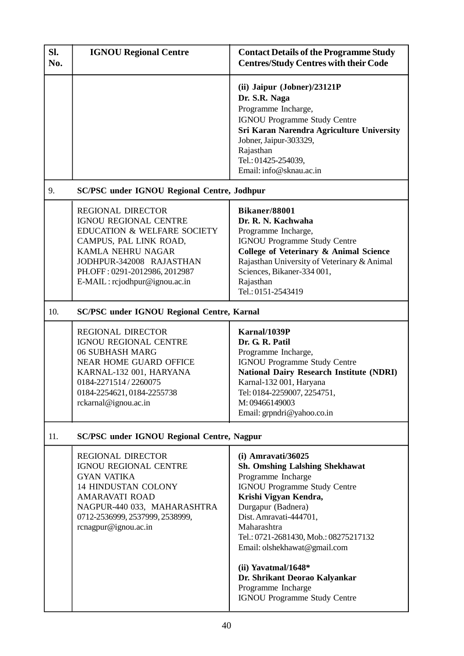| SI.<br>No. | <b>IGNOU Regional Centre</b>                                                                                                                                                                                                                    | <b>Contact Details of the Programme Study</b><br><b>Centres/Study Centres with their Code</b>                                                                                                                                                                                                                                                                                                                      |
|------------|-------------------------------------------------------------------------------------------------------------------------------------------------------------------------------------------------------------------------------------------------|--------------------------------------------------------------------------------------------------------------------------------------------------------------------------------------------------------------------------------------------------------------------------------------------------------------------------------------------------------------------------------------------------------------------|
|            |                                                                                                                                                                                                                                                 | (ii) Jaipur (Jobner)/23121P<br>Dr. S.R. Naga<br>Programme Incharge,<br><b>IGNOU Programme Study Centre</b><br>Sri Karan Narendra Agriculture University<br>Jobner, Jaipur-303329,<br>Rajasthan<br>Tel.: 01425-254039,<br>Email: info@sknau.ac.in                                                                                                                                                                   |
| 9.         | <b>SC/PSC under IGNOU Regional Centre, Jodhpur</b>                                                                                                                                                                                              |                                                                                                                                                                                                                                                                                                                                                                                                                    |
|            | <b>REGIONAL DIRECTOR</b><br>IGNOU REGIONAL CENTRE<br><b>EDUCATION &amp; WELFARE SOCIETY</b><br>CAMPUS, PAL LINK ROAD,<br><b>KAMLA NEHRU NAGAR</b><br>JODHPUR-342008 RAJASTHAN<br>PH.OFF: 0291-2012986, 2012987<br>E-MAIL: rcjodhpur@ignou.ac.in | Bikaner/88001<br>Dr. R. N. Kachwaha<br>Programme Incharge,<br><b>IGNOU Programme Study Centre</b><br>College of Veterinary & Animal Science<br>Rajasthan University of Veterinary & Animal<br>Sciences, Bikaner-334 001,<br>Rajasthan<br>Tel.: 0151-2543419                                                                                                                                                        |
| 10.        | <b>SC/PSC under IGNOU Regional Centre, Karnal</b>                                                                                                                                                                                               |                                                                                                                                                                                                                                                                                                                                                                                                                    |
|            | <b>REGIONAL DIRECTOR</b><br>IGNOU REGIONAL CENTRE<br><b>06 SUBHASH MARG</b><br><b>NEAR HOME GUARD OFFICE</b><br>KARNAL-132 001, HARYANA<br>0184-2271514/2260075<br>0184-2254621, 0184-2255738<br>rckarnal@ignou.ac.in                           | Karnal/1039P<br>Dr. G. R. Patil<br>Programme Incharge,<br><b>IGNOU Programme Study Centre</b><br><b>National Dairy Research Institute (NDRI)</b><br>Karnal-132 001, Haryana<br>Tel: 0184-2259007, 2254751,<br>M: 09466149003<br>Email: grpndri@yahoo.co.in                                                                                                                                                         |
| 11.        | <b>SC/PSC under IGNOU Regional Centre, Nagpur</b>                                                                                                                                                                                               |                                                                                                                                                                                                                                                                                                                                                                                                                    |
|            | <b>REGIONAL DIRECTOR</b><br>IGNOU REGIONAL CENTRE<br><b>GYAN VATIKA</b><br><b>14 HINDUSTAN COLONY</b><br><b>AMARAVATI ROAD</b><br>NAGPUR-440 033, MAHARASHTRA<br>0712-2536999, 2537999, 2538999,<br>rcnagpur@ignou.ac.in                        | $(i)$ Amravati/36025<br><b>Sh. Omshing Lalshing Shekhawat</b><br>Programme Incharge<br><b>IGNOU Programme Study Centre</b><br>Krishi Vigyan Kendra,<br>Durgapur (Badnera)<br>Dist. Amravati-444701,<br>Maharashtra<br>Tel.: 0721-2681430, Mob.: 08275217132<br>Email: olshekhawat@gmail.com<br>$(ii)$ Yavatmal/1648*<br>Dr. Shrikant Deorao Kalyankar<br>Programme Incharge<br><b>IGNOU Programme Study Centre</b> |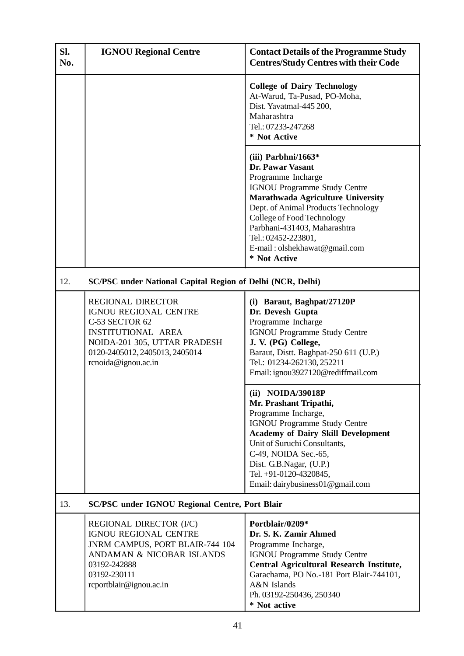| SI.<br>No. | <b>IGNOU Regional Centre</b>                                                                                                                                                              | <b>Contact Details of the Programme Study</b><br><b>Centres/Study Centres with their Code</b>                                                                                                                                                                                                                                          |  |  |  |  |
|------------|-------------------------------------------------------------------------------------------------------------------------------------------------------------------------------------------|----------------------------------------------------------------------------------------------------------------------------------------------------------------------------------------------------------------------------------------------------------------------------------------------------------------------------------------|--|--|--|--|
|            |                                                                                                                                                                                           | <b>College of Dairy Technology</b><br>At-Warud, Ta-Pusad, PO-Moha,<br>Dist. Yavatmal-445 200,<br>Maharashtra<br>Tel.: 07233-247268<br>* Not Active                                                                                                                                                                                     |  |  |  |  |
|            |                                                                                                                                                                                           | $(iii)$ Parbhni/1663*<br><b>Dr. Pawar Vasant</b><br>Programme Incharge<br><b>IGNOU Programme Study Centre</b><br><b>Marathwada Agriculture University</b><br>Dept. of Animal Products Technology<br>College of Food Technology<br>Parbhani-431403, Maharashtra<br>Tel.: 02452-223801,<br>E-mail: olshekhawat@gmail.com<br>* Not Active |  |  |  |  |
| 12.        | <b>SC/PSC under National Capital Region of Delhi (NCR, Delhi)</b>                                                                                                                         |                                                                                                                                                                                                                                                                                                                                        |  |  |  |  |
|            | <b>REGIONAL DIRECTOR</b><br>IGNOU REGIONAL CENTRE<br>C-53 SECTOR 62<br><b>INSTITUTIONAL AREA</b><br>NOIDA-201 305, UTTAR PRADESH<br>0120-2405012, 2405013, 2405014<br>rcnoida@ignou.ac.in | (i) Baraut, Baghpat/27120P<br>Dr. Devesh Gupta<br>Programme Incharge<br><b>IGNOU Programme Study Centre</b><br>J. V. (PG) College,<br>Baraut, Distt. Baghpat-250 611 (U.P.)<br>Tel.: 01234-262130, 252211<br>Email: ignou3927120@rediffmail.com                                                                                        |  |  |  |  |
|            |                                                                                                                                                                                           | (ii) NOIDA/39018P<br>Mr. Prashant Tripathi,<br>Programme Incharge,<br><b>IGNOU Programme Study Centre</b><br><b>Academy of Dairy Skill Development</b><br>Unit of Suruchi Consultants,<br>C-49, NOIDA Sec.-65,<br>Dist. G.B.Nagar, (U.P.)<br>Tel. +91-0120-4320845,<br>Email: dairybusiness01@gmail.com                                |  |  |  |  |
| 13.        | <b>SC/PSC under IGNOU Regional Centre, Port Blair</b>                                                                                                                                     |                                                                                                                                                                                                                                                                                                                                        |  |  |  |  |
|            | REGIONAL DIRECTOR (I/C)<br>IGNOU REGIONAL CENTRE<br>JNRM CAMPUS, PORT BLAIR-744 104<br>ANDAMAN & NICOBAR ISLANDS<br>03192-242888<br>03192-230111<br>rcportblair@ignou.ac.in               | Portblair/0209*<br>Dr. S. K. Zamir Ahmed<br>Programme Incharge,<br><b>IGNOU Programme Study Centre</b><br>Central Agricultural Research Institute,<br>Garachama, PO No.-181 Port Blair-744101,<br>A&N Islands<br>Ph. 03192-250436, 250340<br>* Not active                                                                              |  |  |  |  |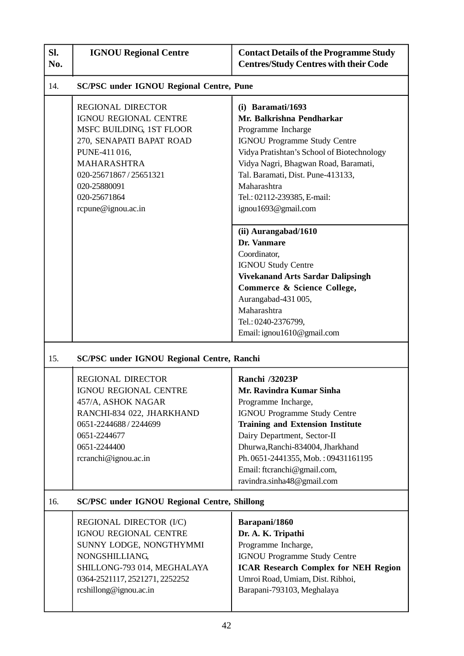| SI.<br>No. | <b>IGNOU Regional Centre</b>                                                                                                                                                                                                      | <b>Contact Details of the Programme Study</b><br><b>Centres/Study Centres with their Code</b>                                                                                                                                                                                                                                     |  |  |  |  |  |  |
|------------|-----------------------------------------------------------------------------------------------------------------------------------------------------------------------------------------------------------------------------------|-----------------------------------------------------------------------------------------------------------------------------------------------------------------------------------------------------------------------------------------------------------------------------------------------------------------------------------|--|--|--|--|--|--|
| 14.        | <b>SC/PSC under IGNOU Regional Centre, Pune</b>                                                                                                                                                                                   |                                                                                                                                                                                                                                                                                                                                   |  |  |  |  |  |  |
|            | <b>REGIONAL DIRECTOR</b><br>IGNOU REGIONAL CENTRE<br>MSFC BUILDING, 1ST FLOOR<br>270, SENAPATI BAPAT ROAD<br>PUNE-411 016,<br><b>MAHARASHTRA</b><br>020-25671867 / 25651321<br>020-25880091<br>020-25671864<br>rcpune@ignou.ac.in | $(i)$ Baramati/1693<br>Mr. Balkrishna Pendharkar<br>Programme Incharge<br><b>IGNOU Programme Study Centre</b><br>Vidya Pratishtan's School of Biotechnology<br>Vidya Nagri, Bhagwan Road, Baramati,<br>Tal. Baramati, Dist. Pune-413133,<br>Maharashtra<br>Tel.: 02112-239385, E-mail:<br>ignou1693@gmail.com                     |  |  |  |  |  |  |
|            |                                                                                                                                                                                                                                   | (ii) Aurangabad/1610<br>Dr. Vanmare<br>Coordinator,<br><b>IGNOU Study Centre</b><br><b>Vivekanand Arts Sardar Dalipsingh</b><br>Commerce & Science College,<br>Aurangabad-431005,<br>Maharashtra<br>Tel.: 0240-2376799,<br>Email: ignou1610@gmail.com                                                                             |  |  |  |  |  |  |
| 15.        | <b>SC/PSC under IGNOU Regional Centre, Ranchi</b>                                                                                                                                                                                 |                                                                                                                                                                                                                                                                                                                                   |  |  |  |  |  |  |
|            | <b>REGIONAL DIRECTOR</b><br><b>IGNOU REGIONAL CENTRE</b><br>457/A, ASHOK NAGAR<br>RANCHI-834 022, JHARKHAND<br>0651-2244688 / 2244699<br>0651-2244677<br>0651-2244400<br>rcranchi@ignou.ac.in                                     | <b>Ranchi /32023P</b><br>Mr. Ravindra Kumar Sinha<br>Programme Incharge,<br><b>IGNOU Programme Study Centre</b><br><b>Training and Extension Institute</b><br>Dairy Department, Sector-II<br>Dhurwa, Ranchi-834004, Jharkhand<br>Ph. 0651-2441355, Mob.: 09431161195<br>Email: ftcranchi@gmail.com,<br>ravindra.sinha48@gmail.com |  |  |  |  |  |  |
| 16.        | <b>SC/PSC under IGNOU Regional Centre, Shillong</b>                                                                                                                                                                               |                                                                                                                                                                                                                                                                                                                                   |  |  |  |  |  |  |
|            | REGIONAL DIRECTOR (I/C)<br>IGNOU REGIONAL CENTRE<br>SUNNY LODGE, NONGTHYMMI<br>NONGSHILLIANG,<br>SHILLONG-793 014, MEGHALAYA<br>0364-2521117, 2521271, 2252252<br>rcshillong@ignou.ac.in                                          | Barapani/1860<br>Dr. A. K. Tripathi<br>Programme Incharge,<br><b>IGNOU Programme Study Centre</b><br><b>ICAR Research Complex for NEH Region</b><br>Umroi Road, Umiam, Dist. Ribhoi,<br>Barapani-793103, Meghalaya                                                                                                                |  |  |  |  |  |  |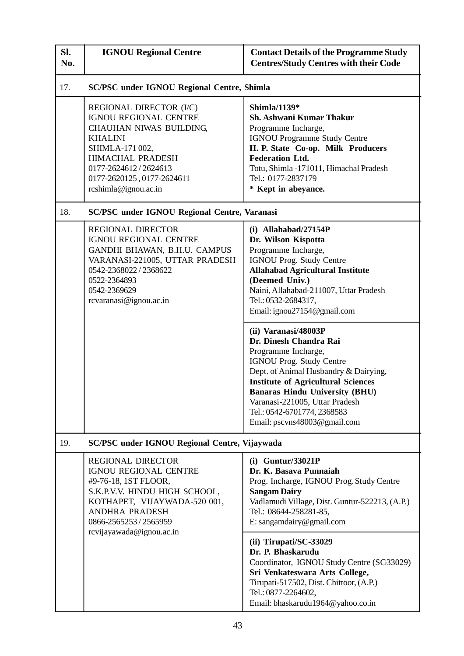| SI.<br>No. | <b>IGNOU Regional Centre</b>                                                                                                                                                                                              | <b>Contact Details of the Programme Study</b><br><b>Centres/Study Centres with their Code</b>                                                                                                                                                                                                                                                                                                                                                                                                                                                                                                      |  |  |  |  |  |  |
|------------|---------------------------------------------------------------------------------------------------------------------------------------------------------------------------------------------------------------------------|----------------------------------------------------------------------------------------------------------------------------------------------------------------------------------------------------------------------------------------------------------------------------------------------------------------------------------------------------------------------------------------------------------------------------------------------------------------------------------------------------------------------------------------------------------------------------------------------------|--|--|--|--|--|--|
| 17.        | <b>SC/PSC under IGNOU Regional Centre, Shimla</b>                                                                                                                                                                         |                                                                                                                                                                                                                                                                                                                                                                                                                                                                                                                                                                                                    |  |  |  |  |  |  |
|            | REGIONAL DIRECTOR (I/C)<br>IGNOU REGIONAL CENTRE<br>CHAUHAN NIWAS BUILDING,<br><b>KHALINI</b><br>SHIMLA-171 002,<br><b>HIMACHAL PRADESH</b><br>0177-2624612/2624613<br>0177-2620125, 0177-2624611<br>rcshimla@ignou.ac.in | Shimla/1139*<br><b>Sh. Ashwani Kumar Thakur</b><br>Programme Incharge,<br><b>IGNOU Programme Study Centre</b><br>H. P. State Co-op. Milk Producers<br><b>Federation Ltd.</b><br>Totu, Shimla -171011, Himachal Pradesh<br>Tel.: 0177-2837179<br>* Kept in abeyance.                                                                                                                                                                                                                                                                                                                                |  |  |  |  |  |  |
| 18.        | <b>SC/PSC under IGNOU Regional Centre, Varanasi</b>                                                                                                                                                                       |                                                                                                                                                                                                                                                                                                                                                                                                                                                                                                                                                                                                    |  |  |  |  |  |  |
|            | <b>REGIONAL DIRECTOR</b><br>IGNOU REGIONAL CENTRE<br>GANDHI BHAWAN, B.H.U. CAMPUS<br>VARANASI-221005, UTTAR PRADESH<br>0542-2368022/2368622<br>0522-2364893<br>0542-2369629<br>rcvaranasi@ignou.ac.in                     | $(i)$ Allahabad/27154P<br>Dr. Wilson Kispotta<br>Programme Incharge,<br>IGNOU Prog. Study Centre<br><b>Allahabad Agricultural Institute</b><br>(Deemed Univ.)<br>Naini, Allahabad-211007, Uttar Pradesh<br>Tel.: 0532-2684317,<br>Email: ignou27154@gmail.com<br>(ii) Varanasi/48003P<br>Dr. Dinesh Chandra Rai<br>Programme Incharge,<br>IGNOU Prog. Study Centre<br>Dept. of Animal Husbandry & Dairying,<br><b>Institute of Agricultural Sciences</b><br><b>Banaras Hindu University (BHU)</b><br>Varanasi-221005, Uttar Pradesh<br>Tel.: 0542-6701774, 2368583<br>Email: pscvns48003@gmail.com |  |  |  |  |  |  |
| 19.        | <b>SC/PSC under IGNOU Regional Centre, Vijaywada</b>                                                                                                                                                                      |                                                                                                                                                                                                                                                                                                                                                                                                                                                                                                                                                                                                    |  |  |  |  |  |  |
|            | REGIONAL DIRECTOR<br>IGNOU REGIONAL CENTRE<br>#9-76-18, 1ST FLOOR,<br>S.K.P.V.V. HINDU HIGH SCHOOL,<br>KOTHAPET, VIJAYWADA-520 001,<br><b>ANDHRA PRADESH</b><br>0866-2565253/2565959<br>rcvijayawada@ignou.ac.in          | $(i)$ Guntur/33021P<br>Dr. K. Basava Punnaiah<br>Prog. Incharge, IGNOU Prog. Study Centre<br><b>Sangam Dairy</b><br>Vadlamudi Village, Dist. Guntur-522213, (A.P.)<br>Tel.: 08644-258281-85,<br>E: sangamdairy@gmail.com<br>(ii) Tirupati/SC-33029<br>Dr. P. Bhaskarudu<br>Coordinator, IGNOU Study Centre (SC-33029)<br>Sri Venkateswara Arts College,<br>Tirupati-517502, Dist. Chittoor, (A.P.)<br>Tel.: 0877-2264602,<br>Email: bhaskarudu1964@yahoo.co.in                                                                                                                                     |  |  |  |  |  |  |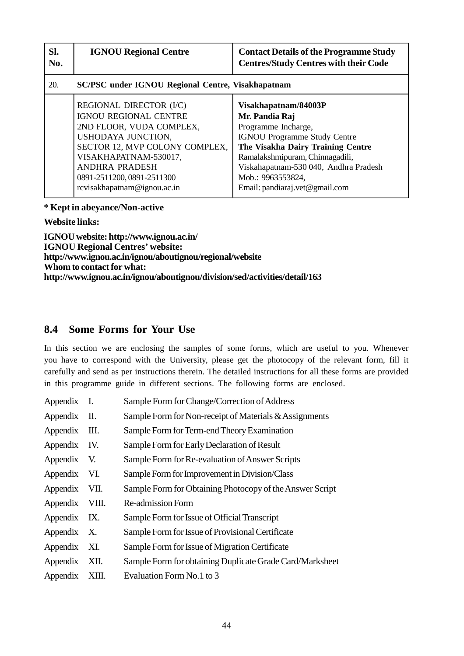| SI.<br>No. | <b>IGNOU Regional Centre</b>                                                                                                                                                                                                                        | <b>Contact Details of the Programme Study</b><br><b>Centres/Study Centres with their Code</b>                                                                                                                                                                                |  |  |
|------------|-----------------------------------------------------------------------------------------------------------------------------------------------------------------------------------------------------------------------------------------------------|------------------------------------------------------------------------------------------------------------------------------------------------------------------------------------------------------------------------------------------------------------------------------|--|--|
| 20.        | SC/PSC under IGNOU Regional Centre, Visakhapatnam                                                                                                                                                                                                   |                                                                                                                                                                                                                                                                              |  |  |
|            | REGIONAL DIRECTOR (I/C)<br><b>IGNOU REGIONAL CENTRE</b><br>2ND FLOOR, VUDA COMPLEX,<br>USHODAYA JUNCTION,<br>SECTOR 12, MVP COLONY COMPLEX,<br>VISAKHAPATNAM-530017,<br>ANDHRA PRADESH<br>0891-2511200, 0891-2511300<br>rcvisakhapatnam@ignou.ac.in | Visakhapatnam/84003P<br>Mr. Pandia Raj<br>Programme Incharge,<br><b>IGNOU Programme Study Centre</b><br>The Visakha Dairy Training Centre<br>Ramalakshmipuram, Chinnagadili,<br>Viskahapatnam-530 040, Andhra Pradesh<br>Mob.: 9963553824,<br>Email: pandiaraj.vet@gmail.com |  |  |

**\* Kept in abeyance/Non-active**

**Website links:**

**IGNOU website: http://www.ignou.ac.in/ IGNOU Regional Centres' website: http://www.ignou.ac.in/ignou/aboutignou/regional/website Whom to contact for what: http://www.ignou.ac.in/ignou/aboutignou/division/sed/activities/detail/163**

#### **8.4 Some Forms for Your Use**

In this section we are enclosing the samples of some forms, which are useful to you. Whenever you have to correspond with the University, please get the photocopy of the relevant form, fill it carefully and send as per instructions therein. The detailed instructions for all these forms are provided in this programme guide in different sections. The following forms are enclosed.

| Appendix I.    |       | Sample Form for Change/Correction of Address             |
|----------------|-------|----------------------------------------------------------|
| Appendix       | Ш.    | Sample Form for Non-receipt of Materials & Assignments   |
| Appendix III.  |       | Sample Form for Term-end Theory Examination              |
| Appendix IV.   |       | Sample Form for Early Declaration of Result              |
| Appendix V.    |       | Sample Form for Re-evaluation of Answer Scripts          |
| Appendix VI.   |       | Sample Form for Improvement in Division/Class            |
| Appendix VII.  |       | Sample Form for Obtaining Photocopy of the Answer Script |
| Appendix VIII. |       | Re-admission Form                                        |
| Appendix IX.   |       | Sample Form for Issue of Official Transcript             |
| Appendix X.    |       | Sample Form for Issue of Provisional Certificate         |
| Appendix XI.   |       | Sample Form for Issue of Migration Certificate           |
| Appendix       | XII.  | Sample Form for obtaining Duplicate Grade Card/Marksheet |
| Appendix       | XIII. | Evaluation Form No.1 to 3                                |
|                |       |                                                          |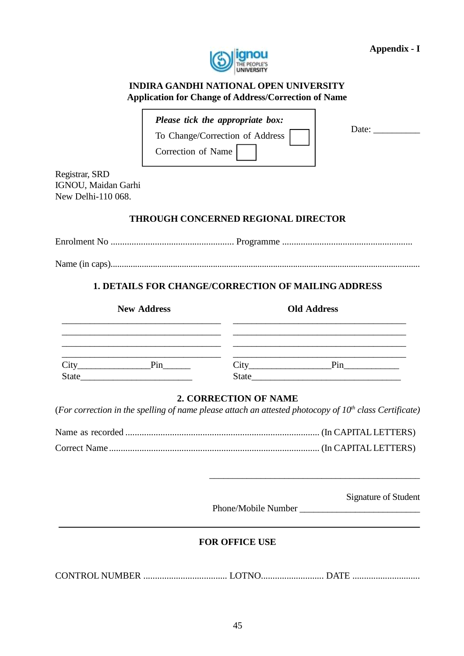Date: \_\_\_\_\_\_\_\_\_\_



#### **INDIRA GANDHI NATIONAL OPEN UNIVERSITY Application for Change of Address/Correction of Name**

*Please tick the appropriate box:*

To Change/Correction of Address

Correction of Name

Registrar, SRD IGNOU, Maidan Garhi New Delhi-110 068.

#### **THROUGH CONCERNED REGIONAL DIRECTOR**

Enrolment No ..................................................... Programme ........................................................

Name (in caps)...........................................................................................................................................

#### **1. DETAILS FOR CHANGE/CORRECTION OF MAILING ADDRESS**

|       | <b>New Address</b> | <b>Old Address</b>       |  |  |  |  |  |
|-------|--------------------|--------------------------|--|--|--|--|--|
|       |                    |                          |  |  |  |  |  |
| City  | Pin                | Pin<br>$\mathcal{C}$ ity |  |  |  |  |  |
| State |                    | State                    |  |  |  |  |  |

#### **2. CORRECTION OF NAME**

(*For correction in the spelling of name please attach an attested photocopy of 10th class Certificate)*

Name as recorded ................................................................................... (In CAPITAL LETTERS) Correct Name .......................................................................................... (In CAPITAL LETTERS)

Signature of Student

Phone/Mobile Number

\_\_\_\_\_\_\_\_\_\_\_\_\_\_\_\_\_\_\_\_\_\_\_\_\_\_\_\_\_\_\_\_\_\_\_\_\_\_\_\_\_\_\_\_\_

#### **FOR OFFICE USE**

CONTROL NUMBER .................................... LOTNO........................... DATE .............................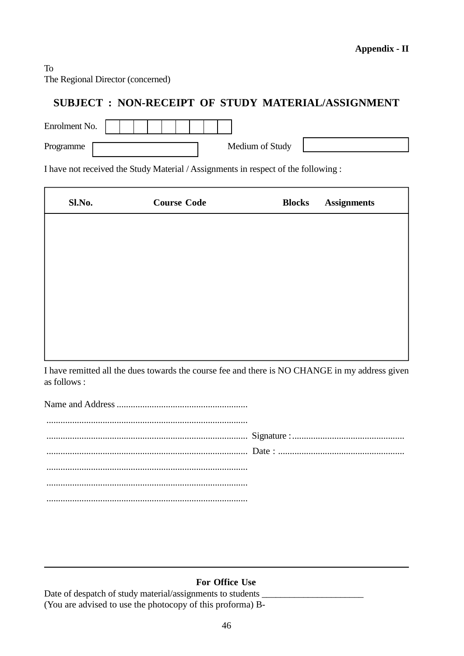## To

The Regional Director (concerned)

## **SUBJECT : NON-RECEIPT OF STUDY MATERIAL/ASSIGNMENT**

| Enrolment No. |  |  |  |  |                 |  |
|---------------|--|--|--|--|-----------------|--|
| Programme     |  |  |  |  | Medium of Study |  |

I have not received the Study Material / Assignments in respect of the following :

| Sl.No. | <b>Course Code</b> | <b>Blocks</b> | <b>Assignments</b> |
|--------|--------------------|---------------|--------------------|
|        |                    |               |                    |
|        |                    |               |                    |
|        |                    |               |                    |
|        |                    |               |                    |
|        |                    |               |                    |
|        |                    |               |                    |

I have remitted all the dues towards the course fee and there is NO CHANGE in my address given as follows :

#### **For Office Use**

Date of despatch of study material/assignments to students (You are advised to use the photocopy of this proforma) B-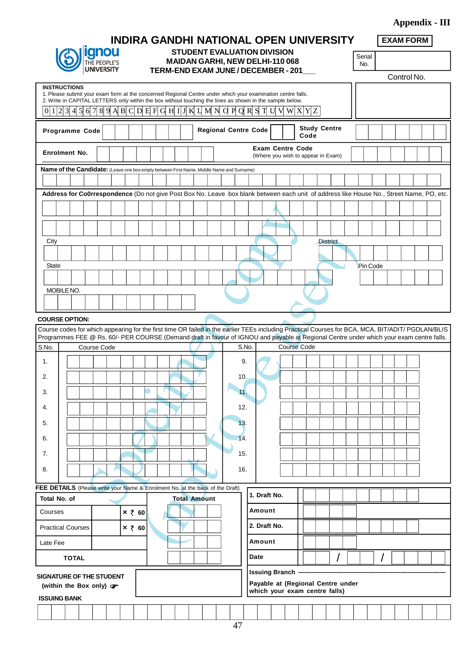**Appendix - III**

|                                                 |                                                                                                                                                                                                                                                                                                    | INDIRA GANDHI NATIONAL OPEN UNIVERSITY                                                                                                                                                                                                                                                        | <b>EXAM FORM</b> |
|-------------------------------------------------|----------------------------------------------------------------------------------------------------------------------------------------------------------------------------------------------------------------------------------------------------------------------------------------------------|-----------------------------------------------------------------------------------------------------------------------------------------------------------------------------------------------------------------------------------------------------------------------------------------------|------------------|
| nou<br><b>JNIVERSITY</b>                        | <b>STUDENT EVALUATION DIVISION</b><br><b>MAIDAN GARHI, NEW DELHI-110 068</b>                                                                                                                                                                                                                       |                                                                                                                                                                                                                                                                                               | Serial<br>No.    |
|                                                 | TERM-END EXAM JUNE / DECEMBER - 201                                                                                                                                                                                                                                                                |                                                                                                                                                                                                                                                                                               | Control No.      |
| <b>INSTRUCTIONS</b><br> 0                       | 1. Please submit your exam form at the concerned Regional Centre under which your examination centre falls.<br>2. Write in CAPITAL LETTERS only within the box without touching the lines as shown in the sample below.<br>$1 2 3 4 5 6 7 8 9 A B C D E F G H I J K L M N G P Q R S T U V W X Y Z$ |                                                                                                                                                                                                                                                                                               |                  |
| <b>Programme Code</b>                           | <b>Regional Centre Code</b>                                                                                                                                                                                                                                                                        | <b>Study Centre</b><br>Code                                                                                                                                                                                                                                                                   |                  |
| <b>Enrolment No.</b>                            |                                                                                                                                                                                                                                                                                                    | <b>Exam Centre Code</b><br>(Where you wish to appear in Exam)                                                                                                                                                                                                                                 |                  |
|                                                 | Name of the Candidate: (Leave one box empty between First Name, Middle Name and Surname)                                                                                                                                                                                                           |                                                                                                                                                                                                                                                                                               |                  |
|                                                 |                                                                                                                                                                                                                                                                                                    |                                                                                                                                                                                                                                                                                               |                  |
|                                                 |                                                                                                                                                                                                                                                                                                    | Address for Co0rrespondence (Do not give Post Box No. Leave box blank between each unit of address like House No., Street Name, PO, etc.                                                                                                                                                      |                  |
|                                                 |                                                                                                                                                                                                                                                                                                    |                                                                                                                                                                                                                                                                                               |                  |
|                                                 |                                                                                                                                                                                                                                                                                                    |                                                                                                                                                                                                                                                                                               |                  |
| City                                            |                                                                                                                                                                                                                                                                                                    | <b>District</b>                                                                                                                                                                                                                                                                               |                  |
|                                                 |                                                                                                                                                                                                                                                                                                    |                                                                                                                                                                                                                                                                                               |                  |
| <b>State</b>                                    |                                                                                                                                                                                                                                                                                                    |                                                                                                                                                                                                                                                                                               | <b>Pin Code</b>  |
|                                                 |                                                                                                                                                                                                                                                                                                    |                                                                                                                                                                                                                                                                                               |                  |
| MOBILE NO.                                      |                                                                                                                                                                                                                                                                                                    |                                                                                                                                                                                                                                                                                               |                  |
|                                                 |                                                                                                                                                                                                                                                                                                    |                                                                                                                                                                                                                                                                                               |                  |
| <b>COURSE OPTION:</b>                           |                                                                                                                                                                                                                                                                                                    |                                                                                                                                                                                                                                                                                               |                  |
|                                                 |                                                                                                                                                                                                                                                                                                    | Course codes for which appearing for the first time OR failed in the earlier TEEs including Practical Courses for BCA, MCA, BIT/ADIT/ PGDLAN/BLIS<br>Programmes FEE @ Rs. 60/- PER COURSE (Demand draft in favour of IGNOU and payable at Regional Centre under which your exam centre falls. |                  |
| S.No.<br>Course Code                            |                                                                                                                                                                                                                                                                                                    | <b>Course Code</b><br>S.No.                                                                                                                                                                                                                                                                   |                  |
| 1.                                              |                                                                                                                                                                                                                                                                                                    | 9.                                                                                                                                                                                                                                                                                            |                  |
| 2                                               |                                                                                                                                                                                                                                                                                                    | 10.                                                                                                                                                                                                                                                                                           |                  |
| 3.                                              |                                                                                                                                                                                                                                                                                                    | <b>AU</b>                                                                                                                                                                                                                                                                                     |                  |
| 4.                                              |                                                                                                                                                                                                                                                                                                    | 12.                                                                                                                                                                                                                                                                                           |                  |
| 5.                                              |                                                                                                                                                                                                                                                                                                    | 13.                                                                                                                                                                                                                                                                                           |                  |
| 6.                                              |                                                                                                                                                                                                                                                                                                    | 14.                                                                                                                                                                                                                                                                                           |                  |
| 7.                                              |                                                                                                                                                                                                                                                                                                    | 15.                                                                                                                                                                                                                                                                                           |                  |
|                                                 |                                                                                                                                                                                                                                                                                                    |                                                                                                                                                                                                                                                                                               |                  |
| 8.                                              |                                                                                                                                                                                                                                                                                                    | 16.                                                                                                                                                                                                                                                                                           |                  |
|                                                 | FEE DETAILS (Please write your Name & Enrolment No. at the back of the Draft)                                                                                                                                                                                                                      |                                                                                                                                                                                                                                                                                               |                  |
| Total No. of                                    | <b>Total Amount</b>                                                                                                                                                                                                                                                                                | 1. Draft No.                                                                                                                                                                                                                                                                                  |                  |
| Courses<br>$x \overline{z}$ 60                  |                                                                                                                                                                                                                                                                                                    | Amount                                                                                                                                                                                                                                                                                        |                  |
| <b>Practical Courses</b><br>$x \overline{z}$ 60 |                                                                                                                                                                                                                                                                                                    | 2. Draft No.                                                                                                                                                                                                                                                                                  |                  |
| Late Fee                                        |                                                                                                                                                                                                                                                                                                    | Amount                                                                                                                                                                                                                                                                                        |                  |
| <b>TOTAL</b>                                    |                                                                                                                                                                                                                                                                                                    | <b>Date</b>                                                                                                                                                                                                                                                                                   |                  |
| SIGNATURE OF THE STUDENT                        |                                                                                                                                                                                                                                                                                                    | <b>Issuing Branch</b> -                                                                                                                                                                                                                                                                       |                  |
| (within the Box only)                           |                                                                                                                                                                                                                                                                                                    | Payable at (Regional Centre under<br>which your exam centre falls)                                                                                                                                                                                                                            |                  |
| <b>ISSUING BANK</b>                             |                                                                                                                                                                                                                                                                                                    |                                                                                                                                                                                                                                                                                               |                  |
|                                                 |                                                                                                                                                                                                                                                                                                    |                                                                                                                                                                                                                                                                                               |                  |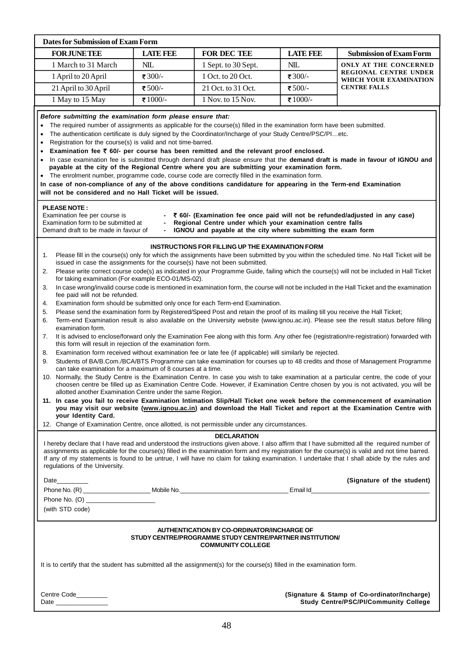| <b>Dates for Submission of Exam Form</b>                                                                                                                                                                                                                                                                                                                                                                                                                                                                                                                                                                                                                                                                                                                                                                                                                                                                                                                                                                 |         |                                                                                                                                                                                                                                                                                                                                                                                   |            |                                                                                                                                                                                                                                                                                                                                                                                                                                                                                                                                                                                                                                                                                                                                                                                                                                                                                                                                                                                                                                                                                                                                                                                                                                                                                                                                                                                               |  |  |  |  |  |  |  |  |
|----------------------------------------------------------------------------------------------------------------------------------------------------------------------------------------------------------------------------------------------------------------------------------------------------------------------------------------------------------------------------------------------------------------------------------------------------------------------------------------------------------------------------------------------------------------------------------------------------------------------------------------------------------------------------------------------------------------------------------------------------------------------------------------------------------------------------------------------------------------------------------------------------------------------------------------------------------------------------------------------------------|---------|-----------------------------------------------------------------------------------------------------------------------------------------------------------------------------------------------------------------------------------------------------------------------------------------------------------------------------------------------------------------------------------|------------|-----------------------------------------------------------------------------------------------------------------------------------------------------------------------------------------------------------------------------------------------------------------------------------------------------------------------------------------------------------------------------------------------------------------------------------------------------------------------------------------------------------------------------------------------------------------------------------------------------------------------------------------------------------------------------------------------------------------------------------------------------------------------------------------------------------------------------------------------------------------------------------------------------------------------------------------------------------------------------------------------------------------------------------------------------------------------------------------------------------------------------------------------------------------------------------------------------------------------------------------------------------------------------------------------------------------------------------------------------------------------------------------------|--|--|--|--|--|--|--|--|
| <b>FOR JUNETEE</b><br><b>LATE FEE</b><br><b>FOR DEC TEE</b><br>LATE 58<br><b>Submission of Exam Form</b>                                                                                                                                                                                                                                                                                                                                                                                                                                                                                                                                                                                                                                                                                                                                                                                                                                                                                                 |         |                                                                                                                                                                                                                                                                                                                                                                                   |            |                                                                                                                                                                                                                                                                                                                                                                                                                                                                                                                                                                                                                                                                                                                                                                                                                                                                                                                                                                                                                                                                                                                                                                                                                                                                                                                                                                                               |  |  |  |  |  |  |  |  |
| 1 March to 31 March                                                                                                                                                                                                                                                                                                                                                                                                                                                                                                                                                                                                                                                                                                                                                                                                                                                                                                                                                                                      | NIL     | 1 Sept. to 30 Sept.                                                                                                                                                                                                                                                                                                                                                               | <b>NIL</b> | ONLY AT THE CONCERNED                                                                                                                                                                                                                                                                                                                                                                                                                                                                                                                                                                                                                                                                                                                                                                                                                                                                                                                                                                                                                                                                                                                                                                                                                                                                                                                                                                         |  |  |  |  |  |  |  |  |
| 1 April to 20 April                                                                                                                                                                                                                                                                                                                                                                                                                                                                                                                                                                                                                                                                                                                                                                                                                                                                                                                                                                                      | ₹300/-  | 1 Oct. to 20 Oct.                                                                                                                                                                                                                                                                                                                                                                 | ₹300/-     | <b>REGIONAL CENTRE UNDER</b><br>WHICH YOUR EXAMINATION                                                                                                                                                                                                                                                                                                                                                                                                                                                                                                                                                                                                                                                                                                                                                                                                                                                                                                                                                                                                                                                                                                                                                                                                                                                                                                                                        |  |  |  |  |  |  |  |  |
| 21 April to 30 April                                                                                                                                                                                                                                                                                                                                                                                                                                                                                                                                                                                                                                                                                                                                                                                                                                                                                                                                                                                     | ₹500/-  | 21 Oct. to 31 Oct.                                                                                                                                                                                                                                                                                                                                                                | ₹500/-     | <b>CENTRE FALLS</b>                                                                                                                                                                                                                                                                                                                                                                                                                                                                                                                                                                                                                                                                                                                                                                                                                                                                                                                                                                                                                                                                                                                                                                                                                                                                                                                                                                           |  |  |  |  |  |  |  |  |
| 1 May to 15 May                                                                                                                                                                                                                                                                                                                                                                                                                                                                                                                                                                                                                                                                                                                                                                                                                                                                                                                                                                                          | ₹1000/- | 1 Nov. to 15 Nov.                                                                                                                                                                                                                                                                                                                                                                 | ₹1000/-    |                                                                                                                                                                                                                                                                                                                                                                                                                                                                                                                                                                                                                                                                                                                                                                                                                                                                                                                                                                                                                                                                                                                                                                                                                                                                                                                                                                                               |  |  |  |  |  |  |  |  |
| Before submitting the examination form please ensure that:<br>The required number of assignments as applicable for the course(s) filled in the examination form have been submitted.<br>$\bullet$<br>The authentication certificate is duly signed by the Coordinator/Incharge of your Study Centre/PSC/PIetc.<br>$\bullet$<br>Registration for the course(s) is valid and not time-barred.<br>Examination fee ₹ 60/- per course has been remitted and the relevant proof enclosed.<br>In case examination fee is submitted through demand draft please ensure that the demand draft is made in favour of IGNOU and<br>payable at the city of the Regional Centre where you are submitting your examination form.<br>The enrolment number, programme code, course code are correctly filled in the examination form.<br>٠<br>In case of non-compliance of any of the above conditions candidature for appearing in the Term-end Examination<br>will not be considered and no Hall Ticket will be issued. |         |                                                                                                                                                                                                                                                                                                                                                                                   |            |                                                                                                                                                                                                                                                                                                                                                                                                                                                                                                                                                                                                                                                                                                                                                                                                                                                                                                                                                                                                                                                                                                                                                                                                                                                                                                                                                                                               |  |  |  |  |  |  |  |  |
| <b>PLEASE NOTE:</b><br>₹ 60/- (Examination fee once paid will not be refunded/adjusted in any case)<br>Examination fee per course is<br>Examination form to be submitted at<br>Regional Centre under which your examination centre falls<br>Demand draft to be made in favour of<br>IGNOU and payable at the city where submitting the exam form                                                                                                                                                                                                                                                                                                                                                                                                                                                                                                                                                                                                                                                         |         |                                                                                                                                                                                                                                                                                                                                                                                   |            |                                                                                                                                                                                                                                                                                                                                                                                                                                                                                                                                                                                                                                                                                                                                                                                                                                                                                                                                                                                                                                                                                                                                                                                                                                                                                                                                                                                               |  |  |  |  |  |  |  |  |
| 1.<br>issued in case the assignments for the course(s) have not been submitted.<br>2.<br>for taking examination (For example ECO-01/MS-02).<br>3.<br>fee paid will not be refunded.<br>4.<br>5.<br>6.<br>examination form.<br>7.<br>this form will result in rejection of the examination form.<br>8.<br>9.<br>can take examination for a maximum of 8 courses at a time.<br>allotted another Examination Centre under the same Region.<br>your Identity Card.<br>12. Change of Examination Centre, once allotted, is not permissible under any circumstances.                                                                                                                                                                                                                                                                                                                                                                                                                                           |         | INSTRUCTIONS FOR FILLING UP THE EXAMINATION FORM<br>Examination form should be submitted only once for each Term-end Examination.<br>Please send the examination form by Registered/Speed Post and retain the proof of its mailing till you receive the Hall Ticket;<br>Examination form received without examination fee or late fee (if applicable) will similarly be rejected. |            | Please fill in the course(s) only for which the assignments have been submitted by you within the scheduled time. No Hall Ticket will be<br>Please write correct course code(s) as indicated in your Programme Guide, failing which the course(s) will not be included in Hall Ticket<br>In case wrong/invalid course code is mentioned in examination form, the course will not be included in the Hall Ticket and the examination<br>Term-end Examination result is also available on the University website (www.ignou.ac.in). Please see the result status before filling<br>It is advised to enclose/forward only the Examination Fee along with this form. Any other fee (registration/re-registration) forwarded with<br>Students of BA/B.Com./BCA/BTS Programme can take examination for courses up to 48 credits and those of Management Programme<br>10. Normally, the Study Centre is the Examination Centre. In case you wish to take examination at a particular centre, the code of your<br>choosen centre be filled up as Examination Centre Code. However, if Examination Centre chosen by you is not activated, you will be<br>11. In case you fail to receive Examination Intimation Slip/Hall Ticket one week before the commencement of examination<br>you may visit our website (www.ignou.ac.in) and download the Hall Ticket and report at the Examination Centre with |  |  |  |  |  |  |  |  |
| regulations of the University.<br>Date_________                                                                                                                                                                                                                                                                                                                                                                                                                                                                                                                                                                                                                                                                                                                                                                                                                                                                                                                                                          |         | <b>DECLARATION</b>                                                                                                                                                                                                                                                                                                                                                                |            | I hereby declare that I have read and understood the instructions given above. I also affirm that I have submitted all the required number of<br>assignments as applicable for the course(s) filled in the examination form and my registration for the course(s) is valid and not time barred.<br>If any of my statements is found to be untrue, I will have no claim for taking examination. I undertake that I shall abide by the rules and<br>(Signature of the student)                                                                                                                                                                                                                                                                                                                                                                                                                                                                                                                                                                                                                                                                                                                                                                                                                                                                                                                  |  |  |  |  |  |  |  |  |
|                                                                                                                                                                                                                                                                                                                                                                                                                                                                                                                                                                                                                                                                                                                                                                                                                                                                                                                                                                                                          |         |                                                                                                                                                                                                                                                                                                                                                                                   |            |                                                                                                                                                                                                                                                                                                                                                                                                                                                                                                                                                                                                                                                                                                                                                                                                                                                                                                                                                                                                                                                                                                                                                                                                                                                                                                                                                                                               |  |  |  |  |  |  |  |  |
|                                                                                                                                                                                                                                                                                                                                                                                                                                                                                                                                                                                                                                                                                                                                                                                                                                                                                                                                                                                                          |         |                                                                                                                                                                                                                                                                                                                                                                                   |            |                                                                                                                                                                                                                                                                                                                                                                                                                                                                                                                                                                                                                                                                                                                                                                                                                                                                                                                                                                                                                                                                                                                                                                                                                                                                                                                                                                                               |  |  |  |  |  |  |  |  |
| (with STD code)                                                                                                                                                                                                                                                                                                                                                                                                                                                                                                                                                                                                                                                                                                                                                                                                                                                                                                                                                                                          |         |                                                                                                                                                                                                                                                                                                                                                                                   |            |                                                                                                                                                                                                                                                                                                                                                                                                                                                                                                                                                                                                                                                                                                                                                                                                                                                                                                                                                                                                                                                                                                                                                                                                                                                                                                                                                                                               |  |  |  |  |  |  |  |  |
| It is to certify that the student has submitted all the assignment(s) for the course(s) filled in the examination form.                                                                                                                                                                                                                                                                                                                                                                                                                                                                                                                                                                                                                                                                                                                                                                                                                                                                                  |         | AUTHENTICATION BY CO-ORDINATOR/INCHARGE OF<br>STUDY CENTRE/PROGRAMME STUDY CENTRE/PARTNER INSTITUTION/<br><b>COMMUNITY COLLEGE</b>                                                                                                                                                                                                                                                |            |                                                                                                                                                                                                                                                                                                                                                                                                                                                                                                                                                                                                                                                                                                                                                                                                                                                                                                                                                                                                                                                                                                                                                                                                                                                                                                                                                                                               |  |  |  |  |  |  |  |  |
|                                                                                                                                                                                                                                                                                                                                                                                                                                                                                                                                                                                                                                                                                                                                                                                                                                                                                                                                                                                                          |         |                                                                                                                                                                                                                                                                                                                                                                                   |            | (Signature & Stamp of Co-ordinator/Incharge)                                                                                                                                                                                                                                                                                                                                                                                                                                                                                                                                                                                                                                                                                                                                                                                                                                                                                                                                                                                                                                                                                                                                                                                                                                                                                                                                                  |  |  |  |  |  |  |  |  |
|                                                                                                                                                                                                                                                                                                                                                                                                                                                                                                                                                                                                                                                                                                                                                                                                                                                                                                                                                                                                          |         |                                                                                                                                                                                                                                                                                                                                                                                   |            | <b>Study Centre/PSC/PI/Community College</b>                                                                                                                                                                                                                                                                                                                                                                                                                                                                                                                                                                                                                                                                                                                                                                                                                                                                                                                                                                                                                                                                                                                                                                                                                                                                                                                                                  |  |  |  |  |  |  |  |  |
|                                                                                                                                                                                                                                                                                                                                                                                                                                                                                                                                                                                                                                                                                                                                                                                                                                                                                                                                                                                                          |         | $\Lambda$ O                                                                                                                                                                                                                                                                                                                                                                       |            |                                                                                                                                                                                                                                                                                                                                                                                                                                                                                                                                                                                                                                                                                                                                                                                                                                                                                                                                                                                                                                                                                                                                                                                                                                                                                                                                                                                               |  |  |  |  |  |  |  |  |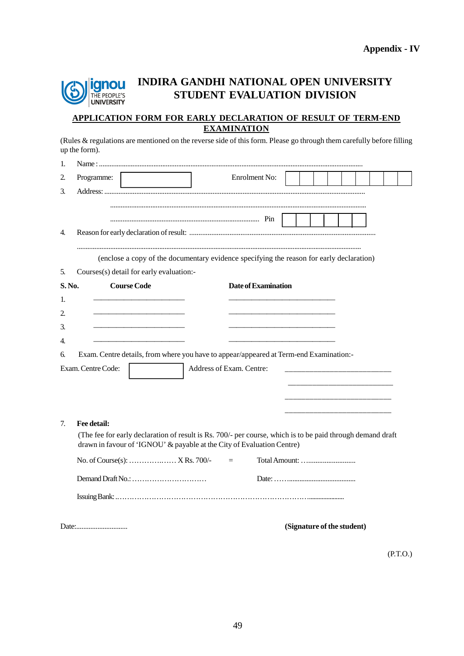

## **INDIRA GANDHI NATIONAL OPEN UNIVERSITY STUDENT EVALUATION DIVISION**

#### **APPLICATION FORM FOR EARLY DECLARATION OF RESULT OF TERM-END EXAMINATION**

(Rules & regulations are mentioned on the reverse side of this form. Please go through them carefully before filling up the form).

| 1.     |                                                                                                                                                                                      |                          |                     |                            |  |  |  |  |
|--------|--------------------------------------------------------------------------------------------------------------------------------------------------------------------------------------|--------------------------|---------------------|----------------------------|--|--|--|--|
| 2.     | Programme:                                                                                                                                                                           |                          | Enrolment No:       |                            |  |  |  |  |
| 3.     |                                                                                                                                                                                      |                          |                     |                            |  |  |  |  |
|        |                                                                                                                                                                                      |                          |                     |                            |  |  |  |  |
|        |                                                                                                                                                                                      |                          |                     |                            |  |  |  |  |
| 4.     |                                                                                                                                                                                      |                          |                     |                            |  |  |  |  |
|        | (enclose a copy of the documentary evidence specifying the reason for early declaration)                                                                                             |                          |                     |                            |  |  |  |  |
| 5.     | Courses(s) detail for early evaluation:-                                                                                                                                             |                          |                     |                            |  |  |  |  |
| S. No. | <b>Course Code</b>                                                                                                                                                                   |                          | Date of Examination |                            |  |  |  |  |
| 1.     |                                                                                                                                                                                      |                          |                     |                            |  |  |  |  |
| 2.     |                                                                                                                                                                                      |                          |                     |                            |  |  |  |  |
| 3.     |                                                                                                                                                                                      |                          |                     |                            |  |  |  |  |
| 4.     |                                                                                                                                                                                      |                          |                     |                            |  |  |  |  |
| 6.     | Exam. Centre details, from where you have to appear/appeared at Term-end Examination:-                                                                                               |                          |                     |                            |  |  |  |  |
|        | Exam. Centre Code:                                                                                                                                                                   | Address of Exam. Centre: |                     |                            |  |  |  |  |
|        |                                                                                                                                                                                      |                          |                     |                            |  |  |  |  |
|        |                                                                                                                                                                                      |                          |                     |                            |  |  |  |  |
|        |                                                                                                                                                                                      |                          |                     |                            |  |  |  |  |
| 7.     | Fee detail:                                                                                                                                                                          |                          |                     |                            |  |  |  |  |
|        | (The fee for early declaration of result is Rs. 700/- per course, which is to be paid through demand draft<br>drawn in favour of 'IGNOU' & payable at the City of Evaluation Centre) |                          |                     |                            |  |  |  |  |
|        | No. of Course(s):  X Rs. 700/-                                                                                                                                                       | $=$                      |                     |                            |  |  |  |  |
|        |                                                                                                                                                                                      |                          |                     |                            |  |  |  |  |
|        |                                                                                                                                                                                      |                          |                     |                            |  |  |  |  |
|        |                                                                                                                                                                                      |                          |                     |                            |  |  |  |  |
|        |                                                                                                                                                                                      |                          |                     | (Signature of the student) |  |  |  |  |

(P.T.O.)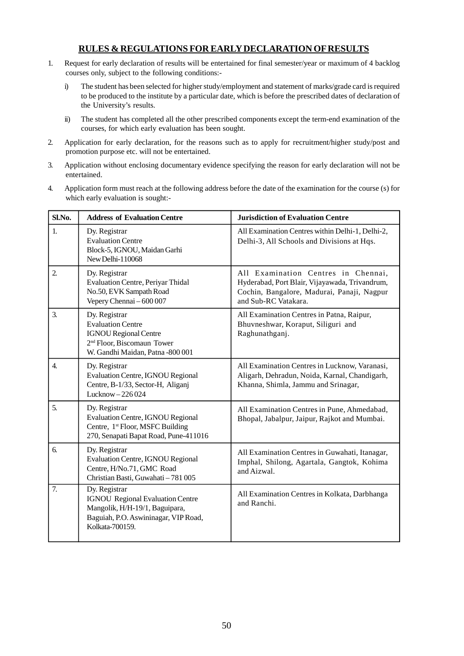#### **RULES & REGULATIONS FOR EARLY DECLARATION OFRESULTS**

- 1. Request for early declaration of results will be entertained for final semester/year or maximum of 4 backlog courses only, subject to the following conditions:
	- i) The student has been selected for higher study/employment and statement of marks/grade card is required to be produced to the institute by a particular date, which is before the prescribed dates of declaration of the University's results.
	- ii) The student has completed all the other prescribed components except the term-end examination of the courses, for which early evaluation has been sought.
- 2. Application for early declaration, for the reasons such as to apply for recruitment/higher study/post and promotion purpose etc. will not be entertained.
- 3. Application without enclosing documentary evidence specifying the reason for early declaration will not be entertained.
- 4. Application form must reach at the following address before the date of the examination for the course (s) for which early evaluation is sought:-

| Sl.No.           | <b>Address of Evaluation Centre</b>                                                                                                                     | <b>Jurisdiction of Evaluation Centre</b>                                                                                                                    |
|------------------|---------------------------------------------------------------------------------------------------------------------------------------------------------|-------------------------------------------------------------------------------------------------------------------------------------------------------------|
| 1.               | Dy. Registrar<br><b>Evaluation Centre</b><br>Block-5, IGNOU, Maidan Garhi<br>New Delhi-110068                                                           | All Examination Centres within Delhi-1, Delhi-2,<br>Delhi-3, All Schools and Divisions at Hqs.                                                              |
| $\overline{2}$ . | Dy. Registrar<br><b>Evaluation Centre, Periyar Thidal</b><br>No.50, EVK Sampath Road<br>Vepery Chennai - 600 007                                        | All Examination Centres in Chennai,<br>Hyderabad, Port Blair, Vijayawada, Trivandrum,<br>Cochin, Bangalore, Madurai, Panaji, Nagpur<br>and Sub-RC Vatakara. |
| $\overline{3}$ . | Dy. Registrar<br><b>Evaluation Centre</b><br><b>IGNOU Regional Centre</b><br>2 <sup>nd</sup> Floor, Biscomaun Tower<br>W. Gandhi Maidan, Patna -800 001 | All Examination Centres in Patna, Raipur,<br>Bhuvneshwar, Koraput, Siliguri and<br>Raghunathganj.                                                           |
| $\overline{4}$ . | Dy. Registrar<br><b>Evaluation Centre, IGNOU Regional</b><br>Centre, B-1/33, Sector-H, Aliganj<br>Lucknow-226024                                        | All Examination Centres in Lucknow, Varanasi,<br>Aligarh, Dehradun, Noida, Karnal, Chandigarh,<br>Khanna, Shimla, Jammu and Srinagar,                       |
| 5 <sub>1</sub>   | Dy. Registrar<br><b>Evaluation Centre, IGNOU Regional</b><br>Centre, 1st Floor, MSFC Building<br>270, Senapati Bapat Road, Pune-411016                  | All Examination Centres in Pune, Ahmedabad,<br>Bhopal, Jabalpur, Jaipur, Rajkot and Mumbai.                                                                 |
| 6.               | Dy. Registrar<br><b>Evaluation Centre, IGNOU Regional</b><br>Centre, H/No.71, GMC Road<br>Christian Basti, Guwahati - 781 005                           | All Examination Centres in Guwahati, Itanagar,<br>Imphal, Shilong, Agartala, Gangtok, Kohima<br>and Aizwal.                                                 |
| 7.               | Dy. Registrar<br><b>IGNOU Regional Evaluation Centre</b><br>Mangolik, H/H-19/1, Baguipara,<br>Baguiah, P.O. Aswininagar, VIP Road,<br>Kolkata-700159.   | All Examination Centres in Kolkata, Darbhanga<br>and Ranchi.                                                                                                |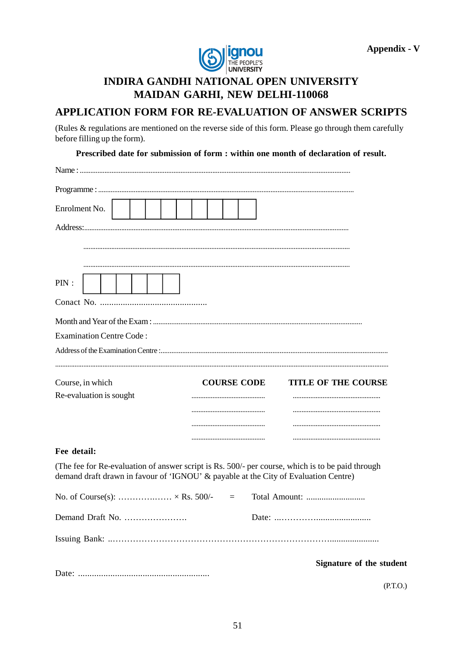

## **INDIRA GANDHI NATIONAL OPEN UNIVERSITY MAIDAN GARHI, NEW DELHI-110068**

#### APPLICATION FORM FOR RE-EVALUATION OF ANSWER SCRIPTS

(Rules & regulations are mentioned on the reverse side of this form. Please go through them carefully before filling up the form).

Prescribed date for submission of form : within one month of declaration of result.

| PIN: |                                                                                                                                                                                                                                                                                                                                                                              |  |  |  |  |  |  |  |  |  |  |                                 |
|------|------------------------------------------------------------------------------------------------------------------------------------------------------------------------------------------------------------------------------------------------------------------------------------------------------------------------------------------------------------------------------|--|--|--|--|--|--|--|--|--|--|---------------------------------|
|      |                                                                                                                                                                                                                                                                                                                                                                              |  |  |  |  |  |  |  |  |  |  |                                 |
|      |                                                                                                                                                                                                                                                                                                                                                                              |  |  |  |  |  |  |  |  |  |  |                                 |
|      |                                                                                                                                                                                                                                                                                                                                                                              |  |  |  |  |  |  |  |  |  |  |                                 |
|      | <b>COURSE CODE</b><br><b>TITLE OF THE COURSE</b>                                                                                                                                                                                                                                                                                                                             |  |  |  |  |  |  |  |  |  |  |                                 |
|      |                                                                                                                                                                                                                                                                                                                                                                              |  |  |  |  |  |  |  |  |  |  |                                 |
|      |                                                                                                                                                                                                                                                                                                                                                                              |  |  |  |  |  |  |  |  |  |  |                                 |
|      |                                                                                                                                                                                                                                                                                                                                                                              |  |  |  |  |  |  |  |  |  |  |                                 |
|      |                                                                                                                                                                                                                                                                                                                                                                              |  |  |  |  |  |  |  |  |  |  |                                 |
|      |                                                                                                                                                                                                                                                                                                                                                                              |  |  |  |  |  |  |  |  |  |  |                                 |
|      |                                                                                                                                                                                                                                                                                                                                                                              |  |  |  |  |  |  |  |  |  |  |                                 |
|      |                                                                                                                                                                                                                                                                                                                                                                              |  |  |  |  |  |  |  |  |  |  |                                 |
|      | Enrolment No.<br><b>Examination Centre Code:</b><br>Course, in which<br>Re-evaluation is sought<br>Fee detail:<br>(The fee for Re-evaluation of answer script is Rs. 500/- per course, which is to be paid through<br>demand draft drawn in favour of 'IGNOU' & payable at the City of Evaluation Centre)<br>No. of Course(s): $\times$ Rs. 500/-<br>$=$<br>Demand Draft No. |  |  |  |  |  |  |  |  |  |  |                                 |
|      |                                                                                                                                                                                                                                                                                                                                                                              |  |  |  |  |  |  |  |  |  |  |                                 |
|      |                                                                                                                                                                                                                                                                                                                                                                              |  |  |  |  |  |  |  |  |  |  |                                 |
|      |                                                                                                                                                                                                                                                                                                                                                                              |  |  |  |  |  |  |  |  |  |  | <b>Signature of the student</b> |
|      |                                                                                                                                                                                                                                                                                                                                                                              |  |  |  |  |  |  |  |  |  |  |                                 |

 $(P.T.O.)$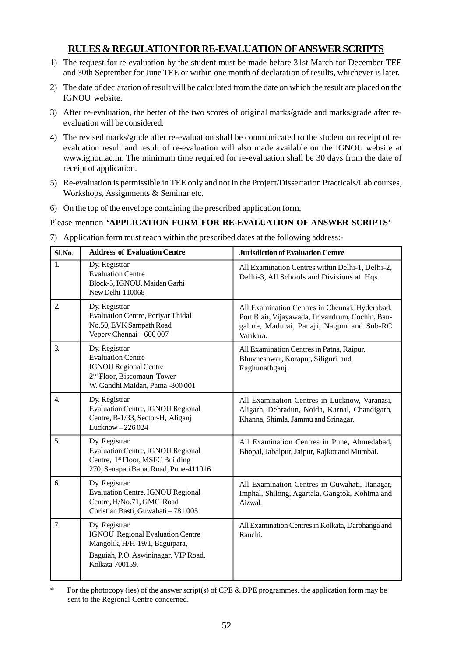#### **RULES & REGULATION FOR RE-EVALUATION OFANSWER SCRIPTS**

- 1) The request for re-evaluation by the student must be made before 31st March for December TEE and 30th September for June TEE or within one month of declaration of results, whichever is later.
- 2) The date of declaration of result will be calculated from the date on which the result are placed on the IGNOU website.
- 3) After re-evaluation, the better of the two scores of original marks/grade and marks/grade after reevaluation will be considered.
- 4) The revised marks/grade after re-evaluation shall be communicated to the student on receipt of reevaluation result and result of re-evaluation will also made available on the IGNOU website at www.ignou.ac.in. The minimum time required for re-evaluation shall be 30 days from the date of receipt of application.
- 5) Re-evaluation is permissible in TEE only and not in the Project/Dissertation Practicals/Lab courses, Workshops, Assignments & Seminar etc.
- 6) On the top of the envelope containing the prescribed application form,

#### Please mention **'APPLICATION FORM FOR RE-EVALUATION OF ANSWER SCRIPTS'**

7) Application form must reach within the prescribed dates at the following address:-

| Sl.No. | <b>Address of Evaluation Centre</b>                                                                                                                     | <b>Jurisdiction of Evaluation Centre</b>                                                                                                                      |
|--------|---------------------------------------------------------------------------------------------------------------------------------------------------------|---------------------------------------------------------------------------------------------------------------------------------------------------------------|
| 1.     | Dy. Registrar<br><b>Evaluation Centre</b><br>Block-5, IGNOU, Maidan Garhi<br>New Delhi-110068                                                           | All Examination Centres within Delhi-1, Delhi-2,<br>Delhi-3, All Schools and Divisions at Hqs.                                                                |
| 2.     | Dy. Registrar<br><b>Evaluation Centre, Periyar Thidal</b><br>No.50, EVK Sampath Road<br>Vepery Chennai - 600 007                                        | All Examination Centres in Chennai, Hyderabad,<br>Port Blair, Vijayawada, Trivandrum, Cochin, Ban-<br>galore, Madurai, Panaji, Nagpur and Sub-RC<br>Vatakara. |
| 3.     | Dy. Registrar<br><b>Evaluation Centre</b><br><b>IGNOU Regional Centre</b><br>2 <sup>nd</sup> Floor, Biscomaun Tower<br>W. Gandhi Maidan, Patna -800 001 | All Examination Centres in Patna, Raipur,<br>Bhuvneshwar, Koraput, Siliguri and<br>Raghunathganj.                                                             |
| 4.     | Dy. Registrar<br>Evaluation Centre, IGNOU Regional<br>Centre, B-1/33, Sector-H, Aliganj<br>Lucknow-226024                                               | All Examination Centres in Lucknow, Varanasi,<br>Aligarh, Dehradun, Noida, Karnal, Chandigarh,<br>Khanna, Shimla, Jammu and Srinagar,                         |
| 5.     | Dy. Registrar<br><b>Evaluation Centre, IGNOU Regional</b><br>Centre, 1st Floor, MSFC Building<br>270, Senapati Bapat Road, Pune-411016                  | All Examination Centres in Pune, Ahmedabad,<br>Bhopal, Jabalpur, Jaipur, Rajkot and Mumbai.                                                                   |
| б.     | Dy. Registrar<br><b>Evaluation Centre, IGNOU Regional</b><br>Centre, H/No.71, GMC Road<br>Christian Basti, Guwahati - 781 005                           | All Examination Centres in Guwahati, Itanagar,<br>Imphal, Shilong, Agartala, Gangtok, Kohima and<br>Aizwal.                                                   |
| 7.     | Dy. Registrar<br><b>IGNOU Regional Evaluation Centre</b><br>Mangolik, H/H-19/1, Baguipara,<br>Baguiah, P.O. Aswininagar, VIP Road,<br>Kolkata-700159.   | All Examination Centres in Kolkata, Darbhanga and<br>Ranchi.                                                                                                  |

For the photocopy (ies) of the answer script(s) of CPE & DPE programmes, the application form may be sent to the Regional Centre concerned.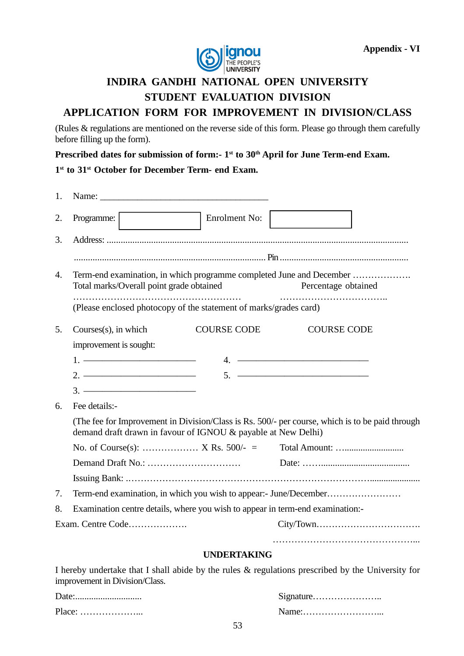

## **INDIRA GANDHI NATIONAL OPEN UNIVERSITY STUDENT EVALUATION DIVISION APPLICATION FORM FOR IMPROVEMENT IN DIVISION/CLASS**

(Rules & regulations are mentioned on the reverse side of this form. Please go through them carefully before filling up the form).

**Prescribed dates for submission of form:- 1st to 30th April for June Term-end Exam.**

**1 st to 31st October for December Term- end Exam.**

| 1. |                        |                                          |                                                                   |                                                                                                      |
|----|------------------------|------------------------------------------|-------------------------------------------------------------------|------------------------------------------------------------------------------------------------------|
| 2. | Programme:             |                                          | Enrolment No:                                                     |                                                                                                      |
| 3. |                        |                                          |                                                                   |                                                                                                      |
|    |                        |                                          |                                                                   |                                                                                                      |
| 4. |                        | Total marks/Overall point grade obtained |                                                                   | Term-end examination, in which programme completed June and December<br><b>Percentage obtained</b>   |
|    |                        |                                          | (Please enclosed photocopy of the statement of marks/grades card) |                                                                                                      |
| 5. | Courses(s), in which   |                                          | <b>COURSE CODE</b>                                                | <b>COURSE CODE</b>                                                                                   |
|    | improvement is sought: |                                          |                                                                   |                                                                                                      |
|    |                        |                                          |                                                                   | 4.                                                                                                   |
|    |                        |                                          |                                                                   | $5.$ $-$                                                                                             |
|    |                        | $3.$ $\overline{\phantom{a}}$            |                                                                   |                                                                                                      |
| 6. | Fee details:-          |                                          |                                                                   |                                                                                                      |
|    |                        |                                          | demand draft drawn in favour of IGNOU & payable at New Delhi)     | (The fee for Improvement in Division/Class is Rs. 500/- per course, which is to be paid through      |
|    |                        |                                          |                                                                   |                                                                                                      |
|    |                        |                                          |                                                                   |                                                                                                      |
|    |                        |                                          |                                                                   |                                                                                                      |
| 7. |                        |                                          |                                                                   | Term-end examination, in which you wish to appear:- June/December                                    |
| 8. |                        |                                          |                                                                   | Examination centre details, where you wish to appear in term-end examination:-                       |
|    |                        | Exam. Centre Code                        |                                                                   |                                                                                                      |
|    |                        |                                          | <b>UNDERTAKING</b>                                                |                                                                                                      |
|    | imm                    |                                          |                                                                   | I hereby undertake that I shall abide by the rules $\&$ regulations prescribed by the University for |

improvement in Division/Class.

| $Place: \ldots \ldots \ldots \ldots \ldots$ |  |
|---------------------------------------------|--|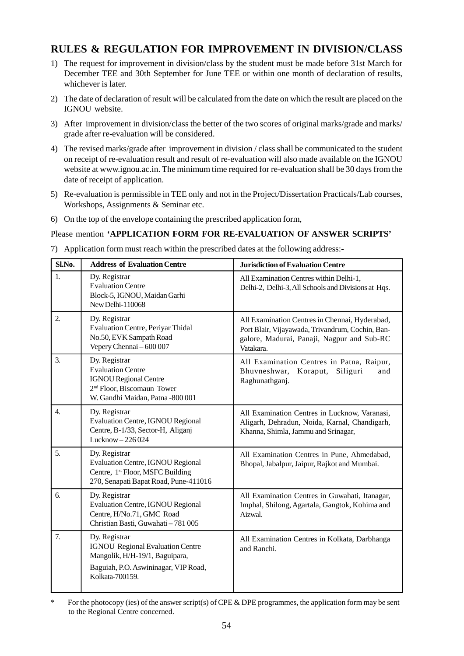## **RULES & REGULATION FOR IMPROVEMENT IN DIVISION/CLASS**

- 1) The request for improvement in division/class by the student must be made before 31st March for December TEE and 30th September for June TEE or within one month of declaration of results, whichever is later.
- 2) The date of declaration of result will be calculated from the date on which the result are placed on the IGNOU website.
- 3) After improvement in division/class the better of the two scores of original marks/grade and marks/ grade after re-evaluation will be considered.
- 4) The revised marks/grade after improvement in division / class shall be communicated to the student on receipt of re-evaluation result and result of re-evaluation will also made available on the IGNOU website at www.ignou.ac.in. The minimum time required for re-evaluation shall be 30 days from the date of receipt of application.
- 5) Re-evaluation is permissible in TEE only and not in the Project/Dissertation Practicals/Lab courses, Workshops, Assignments & Seminar etc.
- 6) On the top of the envelope containing the prescribed application form,

#### Please mention **'APPLICATION FORM FOR RE-EVALUATION OF ANSWER SCRIPTS'**

7) Application form must reach within the prescribed dates at the following address:-

| Sl.No.           | <b>Address of Evaluation Centre</b>                                                                                                                     | <b>Jurisdiction of Evaluation Centre</b>                                                                                                                      |
|------------------|---------------------------------------------------------------------------------------------------------------------------------------------------------|---------------------------------------------------------------------------------------------------------------------------------------------------------------|
| 1.               | Dy. Registrar<br><b>Evaluation Centre</b><br>Block-5, IGNOU, Maidan Garhi<br>New Delhi-110068                                                           | All Examination Centres within Delhi-1,<br>Delhi-2, Delhi-3, All Schools and Divisions at Hqs.                                                                |
| 2.               | Dy. Registrar<br><b>Evaluation Centre, Periyar Thidal</b><br>No.50, EVK Sampath Road<br>Vepery Chennai - 600 007                                        | All Examination Centres in Chennai, Hyderabad,<br>Port Blair, Vijayawada, Trivandrum, Cochin, Ban-<br>galore, Madurai, Panaji, Nagpur and Sub-RC<br>Vatakara. |
| $\overline{3}$ . | Dy. Registrar<br><b>Evaluation Centre</b><br><b>IGNOU Regional Centre</b><br>2 <sup>nd</sup> Floor, Biscomaun Tower<br>W. Gandhi Maidan, Patna -800 001 | All Examination Centres in Patna, Raipur,<br>Bhuvneshwar, Koraput,<br>Siliguri<br>and<br>Raghunathganj.                                                       |
| $\overline{4}$ . | Dy. Registrar<br><b>Evaluation Centre, IGNOU Regional</b><br>Centre, B-1/33, Sector-H, Aliganj<br>Lucknow-226024                                        | All Examination Centres in Lucknow, Varanasi,<br>Aligarh, Dehradun, Noida, Karnal, Chandigarh,<br>Khanna, Shimla, Jammu and Srinagar,                         |
| 5.               | Dy. Registrar<br><b>Evaluation Centre, IGNOU Regional</b><br>Centre, 1st Floor, MSFC Building<br>270, Senapati Bapat Road, Pune-411016                  | All Examination Centres in Pune, Ahmedabad,<br>Bhopal, Jabalpur, Jaipur, Rajkot and Mumbai.                                                                   |
| 6.               | Dy. Registrar<br><b>Evaluation Centre, IGNOU Regional</b><br>Centre, H/No.71, GMC Road<br>Christian Basti, Guwahati - 781 005                           | All Examination Centres in Guwahati, Itanagar,<br>Imphal, Shilong, Agartala, Gangtok, Kohima and<br>Aizwal.                                                   |
| 7.               | Dy. Registrar<br><b>IGNOU Regional Evaluation Centre</b><br>Mangolik, H/H-19/1, Baguipara,<br>Baguiah, P.O. Aswininagar, VIP Road,<br>Kolkata-700159.   | All Examination Centres in Kolkata, Darbhanga<br>and Ranchi.                                                                                                  |

For the photocopy (ies) of the answer script(s) of CPE & DPE programmes, the application form may be sent to the Regional Centre concerned.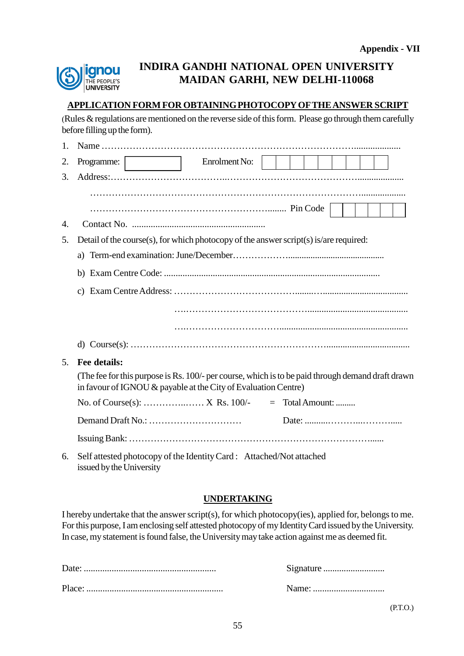

## **INDIRA GANDHI NATIONAL OPEN UNIVERSITY MAIDAN GARHI, NEW DELHI-110068**

#### **APPLICATION FORM FOR OBTAININGPHOTOCOPY OFTHEANSWER SCRIPT**

(Rules & regulations are mentioned on the reverse side of this form. Please go through them carefully before filling up the form).

| 1. |                                                                                                                                                                     |
|----|---------------------------------------------------------------------------------------------------------------------------------------------------------------------|
| 2. | Enrolment No:<br>Programme:                                                                                                                                         |
| 3. |                                                                                                                                                                     |
|    |                                                                                                                                                                     |
|    |                                                                                                                                                                     |
| 4. |                                                                                                                                                                     |
| 5. | Detail of the course(s), for which photocopy of the answer script(s) is/are required:                                                                               |
|    |                                                                                                                                                                     |
|    |                                                                                                                                                                     |
|    | $\mathbf{c}$                                                                                                                                                        |
|    |                                                                                                                                                                     |
|    |                                                                                                                                                                     |
|    |                                                                                                                                                                     |
|    |                                                                                                                                                                     |
| 5. | Fee details:                                                                                                                                                        |
|    | (The fee for this purpose is Rs. 100/- per course, which is to be paid through demand draft drawn<br>in favour of IGNOU & payable at the City of Evaluation Centre) |
|    |                                                                                                                                                                     |
|    |                                                                                                                                                                     |
|    |                                                                                                                                                                     |
| 6. | Self attested photocopy of the Identity Card : Attached/Not attached<br>issued by the University                                                                    |

#### **UNDERTAKING**

I hereby undertake that the answer script(s), for which photocopy(ies), applied for, belongs to me. For this purpose, I am enclosing self attested photocopy of my Identity Card issued by the University. In case, my statement is found false, the Universitymaytake action against me as deemed fit.

| Place: |  |
|--------|--|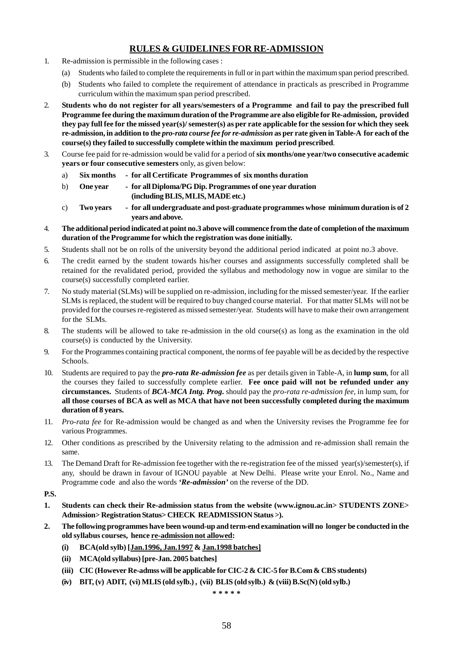#### **RULES & GUIDELINES FOR RE-ADMISSION**

- 1. Re-admission is permissible in the following cases :
	- (a) Students who failed to complete the requirements in full or in part within the maximum span period prescribed.
	- (b) Students who failed to complete the requirement of attendance in practicals as prescribed in Programme curriculum within the maximum span period prescribed.
- 2. **Students who do not register for all years/semesters of a Programme and fail to pay the prescribed full Programme fee during the maximum duration of the Programme are also eligible for Re-admission, provided they pay full fee for the missed year(s)/ semester(s) as per rate applicable for the session for which they seek re-admission, in addition to the** *pro-rata course fee for re-admission* **as per rate given in Table-A for each of the course(s) they failed to successfully complete within the maximum period prescribed**.
- 3. Course fee paid for re-admission would be valid for a period of **six months/one year/two consecutive academic years or four consecutive semesters** only, as given below:
	- a) **Six months - for all Certificate Programmes of six months duration**
	- b) **One year - for all Diploma/PG Dip. Programmes of one year duration (including BLIS, MLIS, MADE etc.)**
	- c) **Two years - for all undergraduate and post-graduate programmes whose minimum duration is of 2 years and above.**
- 4. **The additional period indicated at point no.3 above will commence fromthe date of completion of the maximum duration of the Programme for which the registration was done initially.**
- 5. Students shall not be on rolls of the university beyond the additional period indicated at point no.3 above.
- 6. The credit earned by the student towards his/her courses and assignments successfully completed shall be retained for the revalidated period, provided the syllabus and methodology now in vogue are similar to the course(s) successfully completed earlier.
- 7. No study material (SLMs) will be supplied on re-admission, including for the missed semester/year. If the earlier SLMs is replaced, the student will be required to buy changed course material. For that matter SLMs will not be provided for the courses re-registered as missed semester/year. Students will have to make their own arrangement for the SLMs.
- 8. The students will be allowed to take re-admission in the old course(s) as long as the examination in the old course(s) is conducted by the University.
- 9. For the Programmes containing practical component, the norms of fee payable will be as decided by the respective Schools.
- 10. Students are required to pay the *pro-rata Re-admission fee* as per details given in Table-A, in **lump sum**, for all the courses they failed to successfully complete earlier. **Fee once paid will not be refunded under any circumstances.** Students of *BCA-MCA Intg. Prog.* should pay the *pro-rata re-admission fee*, in lump sum, for **all those courses of BCA as well as MCA that have not been successfully completed during the maximum duration of 8 years.**
- 11. *Pro-rata fee* for Re-admission would be changed as and when the University revises the Programme fee for various Programmes.
- 12. Other conditions as prescribed by the University relating to the admission and re-admission shall remain the same.
- 13. The Demand Draft for Re-admission fee together with the re-registration fee of the missed year(s)/semester(s), if any, should be drawn in favour of IGNOU payable at New Delhi. Please write your Enrol. No., Name and Programme code and also the words *'Re-admission'* on the reverse of the DD.
- **P.S.**
- **1. Students can check their Re-admission status from the website (www.ignou.ac.in> STUDENTS ZONE> Admission> Registration Status> CHECK READMISSION Status >).**
- **2. The following programmes have been wound-up and term-end examination will no longer be conducted in the old syllabus courses, hence re-admission not allowed:**
	- **(i) BCA(old sylb) [Jan.1996, Jan.1997 & Jan.1998 batches]**
	- **(ii) MCA(old syllabus) [pre-Jan. 2005 batches]**
	- **(iii) CIC (However Re-admss will be applicable for CIC-2 & CIC-5 for B.Com& CBS students)**
	- **(iv) BIT, (v) ADIT, (vi) MLIS (old sylb.) , (vii) BLIS (old sylb.) & (viii) B.Sc(N) (old sylb.)**

**\* \* \* \* \***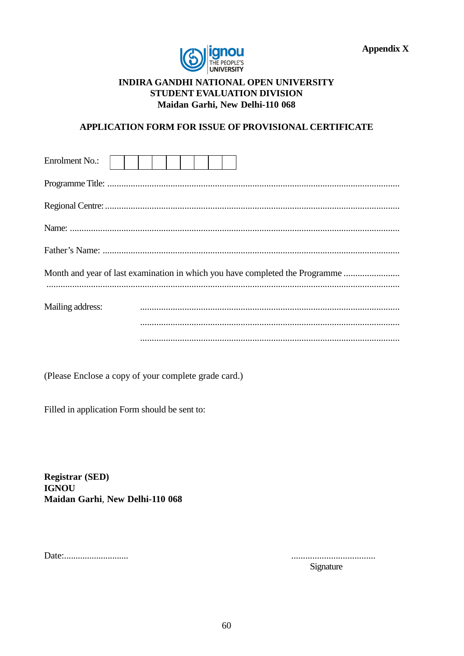



#### **INDIRA GANDHI NATIONAL OPEN UNIVERSITY STUDENT EVALUATION DIVISION** Maidan Garhi, New Delhi-110 068

#### APPLICATION FORM FOR ISSUE OF PROVISIONAL CERTIFICATE

| Enrolment No.:                                                               |  |  |  |  |  |  |  |  |
|------------------------------------------------------------------------------|--|--|--|--|--|--|--|--|
|                                                                              |  |  |  |  |  |  |  |  |
|                                                                              |  |  |  |  |  |  |  |  |
|                                                                              |  |  |  |  |  |  |  |  |
|                                                                              |  |  |  |  |  |  |  |  |
| Month and year of last examination in which you have completed the Programme |  |  |  |  |  |  |  |  |
|                                                                              |  |  |  |  |  |  |  |  |
| Mailing address:                                                             |  |  |  |  |  |  |  |  |
|                                                                              |  |  |  |  |  |  |  |  |
|                                                                              |  |  |  |  |  |  |  |  |

(Please Enclose a copy of your complete grade card.)

Filled in application Form should be sent to:

**Registrar (SED) IGNOU** Maidan Garhi, New Delhi-110 068

Date:.............................

Signature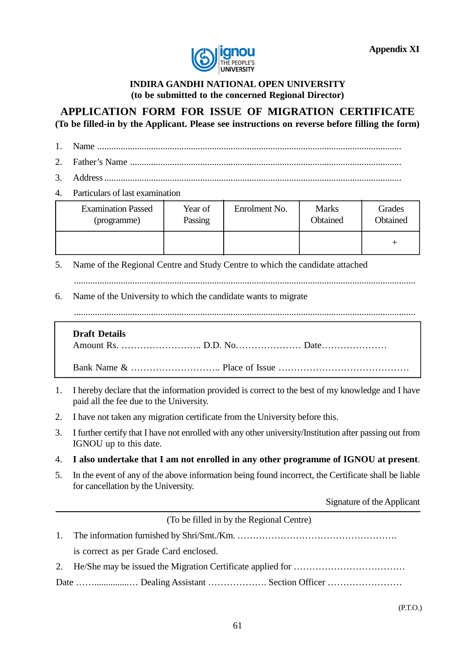

#### **INDIRA GANDHI NATIONAL OPEN UNIVERSITY (to be submitted to the concerned Regional Director)**

#### **APPLICATION FORM FOR ISSUE OF MIGRATION CERTIFICATE (To be filled-in by the Applicant. Please see instructions on reverse before filling the form)**

- 1. Name ..................................................................................................................................
- 2. Father's Name ....................................................................................................................
- 3. Address...............................................................................................................................
- 4. Particulars of last examination

| <b>Examination Passed</b> | Year of | Enrolment No. | <b>Marks</b> | Grades   |
|---------------------------|---------|---------------|--------------|----------|
| (programme)               | Passing |               | Obtained     | Obtained |
|                           |         |               |              |          |

5. Name of the Regional Centre and Study Centre to which the candidate attached

..................................................................................................................................................

6. Name of the University to which the candidate wants to migrate

..................................................................................................................................................

#### **Draft Details** Amount Rs. …………………….. D.D. No………………… Date…………………

Bank Name & ……………………….. Place of Issue ……………………………………

- 1. I hereby declare that the information provided is correct to the best of my knowledge and I have paid all the fee due to the University.
- 2. I have not taken any migration certificate from the University before this.
- 3. I further certify that I have not enrolled with any other university/Institution after passing out from IGNOU up to this date.
- 4. **I also undertake that I am not enrolled in any other programme of IGNOU at present**.
- 5. In the event of any of the above information being found incorrect, the Certificate shall be liable for cancellation by the University.

Signature of the Applicant

(To be filled in by the Regional Centre) 1. The information furnished by Shri/Smt./Km. ……………………………………………. is correct as per Grade Card enclosed. 2. He/She may be issued the Migration Certificate applied for ……………………………… Date ……...............… Dealing Assistant ………………. Section Officer ……………………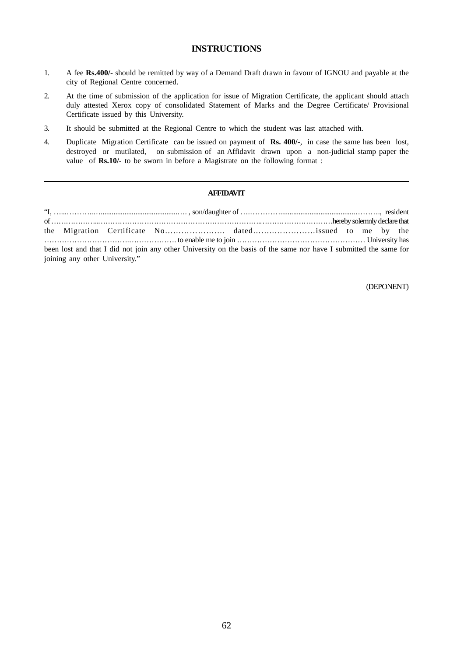#### **INSTRUCTIONS**

- 1. A fee **Rs.400/-** should be remitted by way of a Demand Draft drawn in favour of IGNOU and payable at the city of Regional Centre concerned.
- 2. At the time of submission of the application for issue of Migration Certificate, the applicant should attach duly attested Xerox copy of consolidated Statement of Marks and the Degree Certificate/ Provisional Certificate issued by this University.
- 3. It should be submitted at the Regional Centre to which the student was last attached with.
- 4. Duplicate Migration Certificate can be issued on payment of **Rs. 400/-**, in case the same has been lost, destroyed or mutilated, on submission of an Affidavit drawn upon a non-judicial stamp paper the value of **Rs.10/-** to be sworn in before a Magistrate on the following format :

#### **AFFIDAVIT**

"I, …...………..…..........................................…. , son/daughter of ….………….........................................………., resident of………………..………………………………………………………….…………………………herebysolemnlydeclarethat the Migration Certificate No…………………. dated……..……………issued to me by the …………………………….………………. to enable me to join …………………………………………… University has been lost and that I did not join any other University on the basis of the same nor have I submitted the same for joining any other University."

(DEPONENT)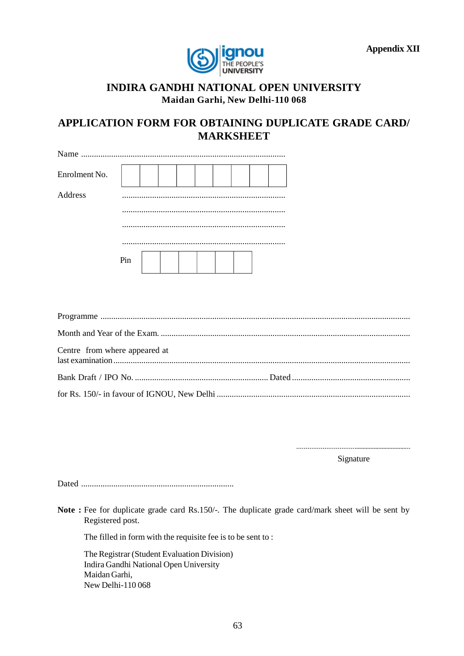

#### **INDIRA GANDHI NATIONAL OPEN UNIVERSITY Maidan Garhi, New Delhi-110 068**

## **APPLICATION FORM FOR OBTAINING DUPLICATE GRADE CARD/ MARKSHEET**

| Enrolment No. |     |  |  |  |  |
|---------------|-----|--|--|--|--|
| Address       |     |  |  |  |  |
|               |     |  |  |  |  |
|               |     |  |  |  |  |
|               |     |  |  |  |  |
|               | Pin |  |  |  |  |

| Centre from where appeared at |  |
|-------------------------------|--|
|                               |  |
|                               |  |

.................................................................. Signature

Dated .......................................................................

**Note :** Fee for duplicate grade card Rs.150/-. The duplicate grade card/mark sheet will be sent by Registered post.

The filled in form with the requisite fee is to be sent to :

The Registrar (Student Evaluation Division) Indira Gandhi National Open University Maidan Garhi, New Delhi-110 068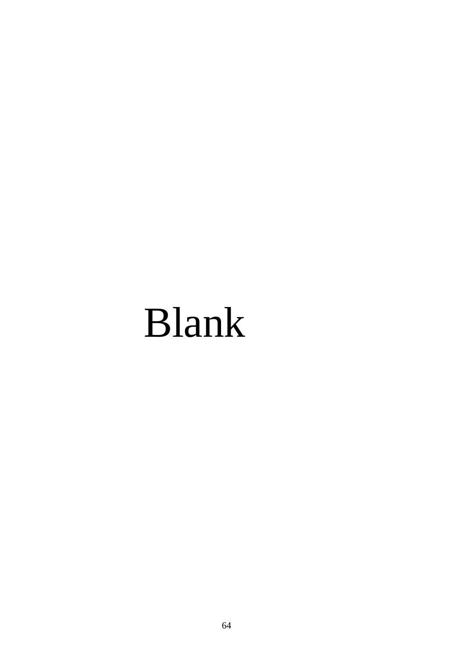# Blank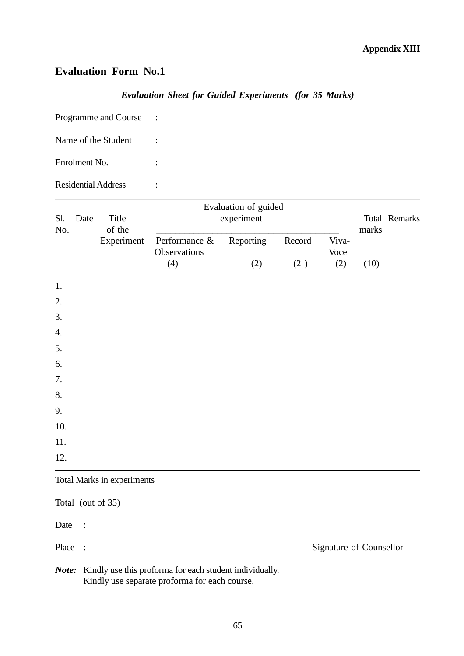## **Evaluation Form No.1**

#### *Evaluation Sheet for Guided Experiments (for 35 Marks)*

| Programme and Course |  |  |  |
|----------------------|--|--|--|
|----------------------|--|--|--|

Name of the Student :

Enrolment No. :

Residential Address :

| Sl.<br>No. | Date | Title<br>of the<br>Experiment                                      | Evaluation of guided<br>experiment |           |        |               | marks | Total Remarks |
|------------|------|--------------------------------------------------------------------|------------------------------------|-----------|--------|---------------|-------|---------------|
|            |      |                                                                    | Performance &<br>Observations      | Reporting | Record | Viva-<br>Voce |       |               |
|            |      |                                                                    | (4)                                | (2)       | $(2)$  | (2)           | (10)  |               |
| 1.         |      |                                                                    |                                    |           |        |               |       |               |
| 2.         |      |                                                                    |                                    |           |        |               |       |               |
| 3.         |      |                                                                    |                                    |           |        |               |       |               |
| 4.         |      |                                                                    |                                    |           |        |               |       |               |
| 5.         |      |                                                                    |                                    |           |        |               |       |               |
| 6.         |      |                                                                    |                                    |           |        |               |       |               |
| 7.         |      |                                                                    |                                    |           |        |               |       |               |
| 8.         |      |                                                                    |                                    |           |        |               |       |               |
| 9.         |      |                                                                    |                                    |           |        |               |       |               |
| 10.        |      |                                                                    |                                    |           |        |               |       |               |
| 11.        |      |                                                                    |                                    |           |        |               |       |               |
| 12.        |      |                                                                    |                                    |           |        |               |       |               |
|            |      | $\mathbf{m}$ . The state $\mathbf{r}$ is the state of $\mathbf{r}$ |                                    |           |        |               |       |               |

Total Marks in experiments

|         | Total (out of 35)                                                                                                            |                         |
|---------|------------------------------------------------------------------------------------------------------------------------------|-------------------------|
| Date :  |                                                                                                                              |                         |
| Place : |                                                                                                                              | Signature of Counsellor |
|         | <b><i>Note:</i></b> Kindly use this proforma for each student individually.<br>Kindly use separate proforma for each course. |                         |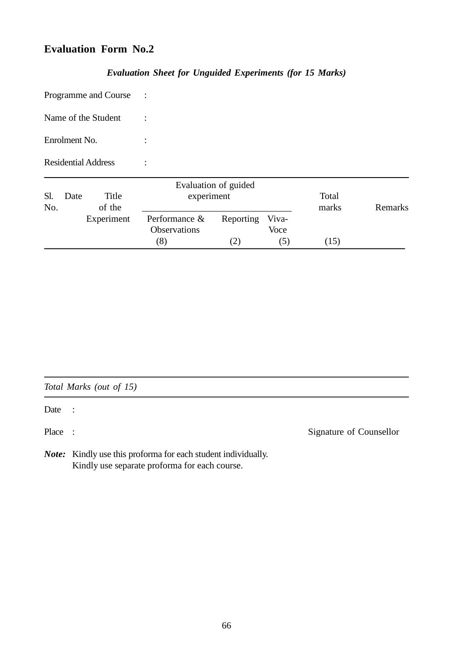## **Evaluation Form No.2**

#### *Evaluation Sheet for Unguided Experiments (for 15 Marks)*

Programme and Course : Name of the Student : Enrolment No. : Residential Address : Evaluation of guided

| Sl.<br>No. | Date | Title<br>of the | Lydiadion of guidea<br>experiment |                   |       | Total<br>marks | Remarks |
|------------|------|-----------------|-----------------------------------|-------------------|-------|----------------|---------|
|            |      | Experiment      | Performance &<br>Observations     | Reporting Viva-   | Voce  |                |         |
|            |      |                 | (8)                               | $\left( 2\right)$ | I C J | (15)           |         |

*Total Marks (out of 15)*

Date :

Place : Signature of Counsellor

*Note:* Kindly use this proforma for each student individually. Kindly use separate proforma for each course.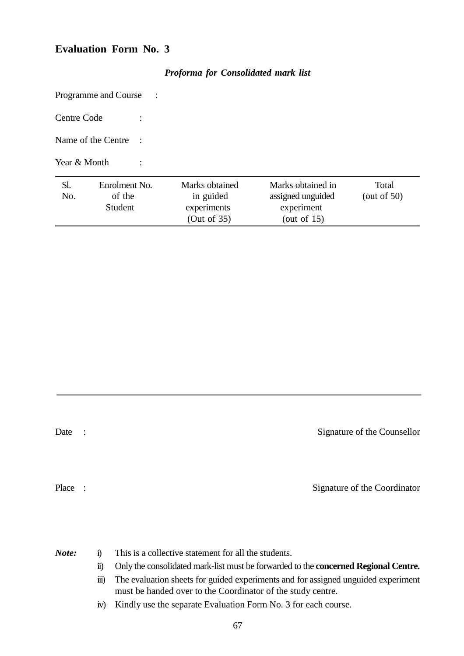## **Evaluation Form No. 3**

## *Proforma for Consolidated mark list*

|              | Programme and Course<br>$\ddot{\phantom{0}}$ |                                            |                                                      |                         |
|--------------|----------------------------------------------|--------------------------------------------|------------------------------------------------------|-------------------------|
| Centre Code  |                                              |                                            |                                                      |                         |
|              | Name of the Centre                           |                                            |                                                      |                         |
| Year & Month |                                              |                                            |                                                      |                         |
| Sl.<br>No.   | Enrolment No.<br>of the<br>Student           | Marks obtained<br>in guided<br>experiments | Marks obtained in<br>assigned unguided<br>experiment | Total<br>(out of $50$ ) |

(Out of 35) (out of 15)

| Date    |                                               | Signature of the Counsellor                                                                                                                                                                                                             |
|---------|-----------------------------------------------|-----------------------------------------------------------------------------------------------------------------------------------------------------------------------------------------------------------------------------------------|
| Place : |                                               | Signature of the Coordinator                                                                                                                                                                                                            |
| Note:   | $\ddot{1}$<br>$\ddot{u}$<br>$\overline{111})$ | This is a collective statement for all the students.<br>Only the consolidated mark-list must be forwarded to the <b>concerned Regional Centre.</b><br>The evaluation sheets for guided experiments and for assigned unguided experiment |
|         | 1V)                                           | must be handed over to the Coordinator of the study centre.<br>Kindly use the separate Evaluation Form No. 3 for each course.                                                                                                           |